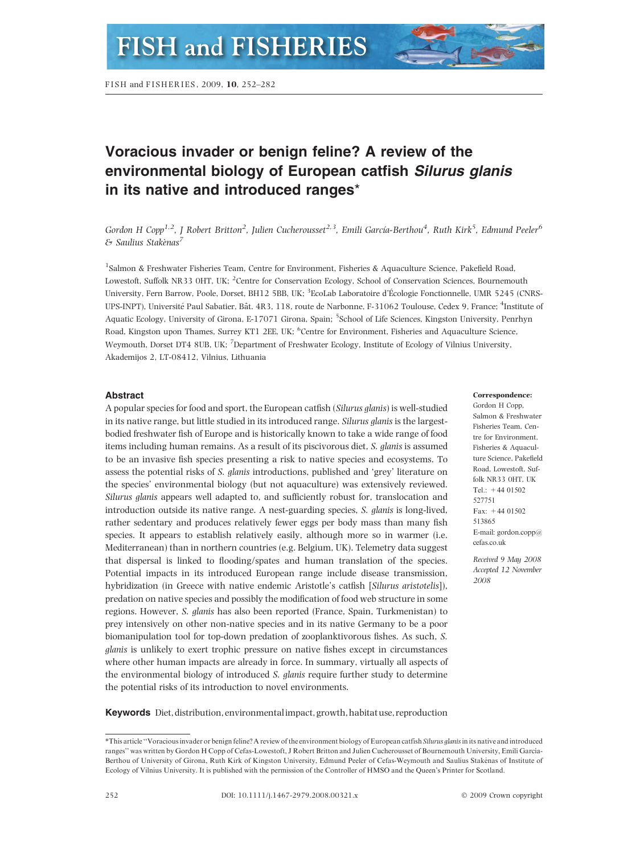# Voracious invader or benign feline? A review of the environmental biology of European catfish Silurus glanis in its native and introduced ranges\*

Gordon H Copp<sup>1,2</sup>, J Robert Britton<sup>2</sup>, Julien Cucherousset<sup>2,3</sup>, Emili García-Berthou<sup>4</sup>, Ruth Kirk<sup>5</sup>, Edmund Peeler<sup>6</sup>  $\varepsilon$  Saulius Stakenas<sup>7</sup>

1 Salmon & Freshwater Fisheries Team, Centre for Environment, Fisheries & Aquaculture Science, Pakefield Road, Lowestoft, Suffolk NR33 OHT, UK; <sup>2</sup> Centre for Conservation Ecology, School of Conservation Sciences, Bournemouth University, Fern Barrow, Poole, Dorset, BH12 5BB, UK; <sup>3</sup>EcoLab Laboratoire d'Écologie Fonctionnelle, UMR 5245 (CNRS-UPS-INPT), Université Paul Sabatier, Bât. 4R3, 118, route de Narbonne, F-31062 Toulouse, Cedex 9, France; <sup>4</sup>Institute of Aquatic Ecology, University of Girona, E-17071 Girona, Spain; <sup>5</sup>School of Life Sciences, Kingston University, Penrhyn Road, Kingston upon Thames, Surrey KT1 2EE, UK; <sup>6</sup> Centre for Environment, Fisheries and Aquaculture Science, Weymouth, Dorset DT4 8UB, UK; <sup>7</sup> Department of Freshwater Ecology, Institute of Ecology of Vilnius University, Akademijos 2, LT-08412, Vilnius, Lithuania

# Abstract

A popular species for food and sport, the European catfish (Silurus glanis) is well-studied in its native range, but little studied in its introduced range. Silurus glanis is the largestbodied freshwater fish of Europe and is historically known to take a wide range of food items including human remains. As a result of its piscivorous diet, S. glanis is assumed to be an invasive fish species presenting a risk to native species and ecosystems. To assess the potential risks of S. glanis introductions, published and 'grey' literature on the species' environmental biology (but not aquaculture) was extensively reviewed. Silurus glanis appears well adapted to, and sufficiently robust for, translocation and introduction outside its native range. A nest-guarding species, S. glanis is long-lived, rather sedentary and produces relatively fewer eggs per body mass than many fish species. It appears to establish relatively easily, although more so in warmer (i.e. Mediterranean) than in northern countries (e.g. Belgium, UK). Telemetry data suggest that dispersal is linked to flooding/spates and human translation of the species. Potential impacts in its introduced European range include disease transmission, hybridization (in Greece with native endemic Aristotle's catfish [Silurus aristotelis]), predation on native species and possibly the modification of food web structure in some regions. However, S. glanis has also been reported (France, Spain, Turkmenistan) to prey intensively on other non-native species and in its native Germany to be a poor biomanipulation tool for top-down predation of zooplanktivorous fishes. As such, S. glanis is unlikely to exert trophic pressure on native fishes except in circumstances where other human impacts are already in force. In summary, virtually all aspects of the environmental biology of introduced S. glanis require further study to determine the potential risks of its introduction to novel environments.

### Correspondence:

Gordon H Copp. Salmon & Freshwater Fisheries Team, Centre for Environment, Fisheries & Aquaculture Science, Pakefield Road, Lowestoft, Suffolk NR33 OHT, UK Tel.: +44 01502 527751 Fax: +44 01502 513865 E-mail: gordon.copp@ cefas.co.uk

Received 9 May 2008 Accepted 12 November 2008

Keywords Diet, distribution, environmental impact, growth, habitatuse, reproduction

<sup>\*</sup>This article ''Voracious invader or benign feline? A review of the environment biology of European catfish Silurus glanisin its native and introduced ranges" was written by Gordon H Copp of Cefas-Lowestoft, J Robert Britton and Julien Cucherousset of Bournemouth University, Emili García-Berthou of University of Girona, Ruth Kirk of Kingston University, Edmund Peeler of Cefas-Weymouth and Saulius Stakenas of Institute of Ecology of Vilnius University. It is published with the permission of the Controller of HMSO and the Queen's Printer for Scotland.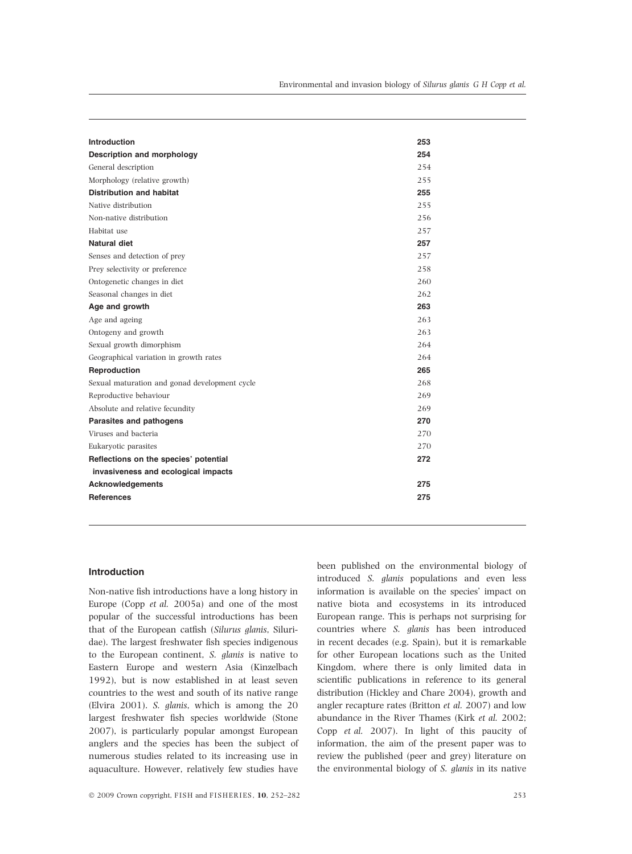| Introduction                                  | 253 |
|-----------------------------------------------|-----|
| Description and morphology                    | 254 |
| General description                           | 254 |
| Morphology (relative growth)                  | 255 |
| <b>Distribution and habitat</b>               | 255 |
| Native distribution                           | 255 |
| Non-native distribution                       | 256 |
| Habitat use                                   | 257 |
| Natural diet                                  | 257 |
| Senses and detection of prey                  | 257 |
| Prey selectivity or preference                | 258 |
| Ontogenetic changes in diet                   | 260 |
| Seasonal changes in diet                      | 262 |
| Age and growth                                | 263 |
| Age and ageing                                | 263 |
| Ontogeny and growth                           | 263 |
| Sexual growth dimorphism                      | 264 |
| Geographical variation in growth rates        | 264 |
| Reproduction                                  | 265 |
| Sexual maturation and gonad development cycle | 268 |
| Reproductive behaviour                        | 269 |
| Absolute and relative fecundity               | 269 |
| Parasites and pathogens                       | 270 |
| Viruses and bacteria                          | 270 |
| Eukaryotic parasites                          | 270 |
| Reflections on the species' potential         | 272 |
| invasiveness and ecological impacts           |     |
| <b>Acknowledgements</b>                       | 275 |
| <b>References</b>                             | 275 |

# Introduction

Non-native fish introductions have a long history in Europe (Copp et al. 2005a) and one of the most popular of the successful introductions has been that of the European catfish (Silurus glanis, Siluridae). The largest freshwater fish species indigenous to the European continent, S. glanis is native to Eastern Europe and western Asia (Kinzelbach 1992), but is now established in at least seven countries to the west and south of its native range (Elvira 2001). S. glanis, which is among the 20 largest freshwater fish species worldwide (Stone 2007), is particularly popular amongst European anglers and the species has been the subject of numerous studies related to its increasing use in aquaculture. However, relatively few studies have

 $\odot$  2009 Crown copyright, FISH and FISHERIES, 10, 252–282 253

been published on the environmental biology of introduced S. glanis populations and even less information is available on the species' impact on native biota and ecosystems in its introduced European range. This is perhaps not surprising for countries where S. glanis has been introduced in recent decades (e.g. Spain), but it is remarkable for other European locations such as the United Kingdom, where there is only limited data in scientific publications in reference to its general distribution (Hickley and Chare 2004), growth and angler recapture rates (Britton et al. 2007) and low abundance in the River Thames (Kirk et al. 2002; Copp et al. 2007). In light of this paucity of information, the aim of the present paper was to review the published (peer and grey) literature on the environmental biology of S. glanis in its native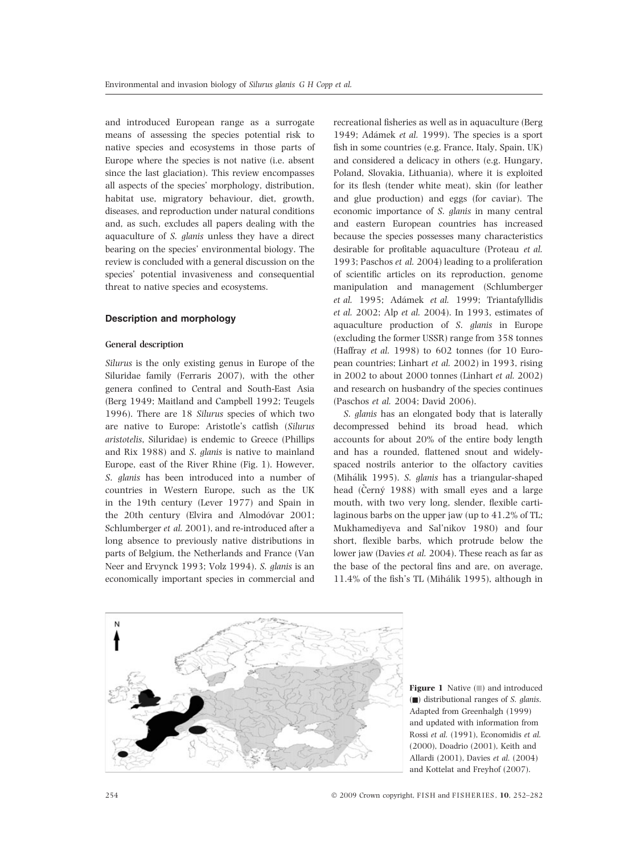and introduced European range as a surrogate means of assessing the species potential risk to native species and ecosystems in those parts of Europe where the species is not native (i.e. absent since the last glaciation). This review encompasses all aspects of the species' morphology, distribution, habitat use, migratory behaviour, diet, growth, diseases, and reproduction under natural conditions and, as such, excludes all papers dealing with the aquaculture of S. glanis unless they have a direct bearing on the species' environmental biology. The review is concluded with a general discussion on the species' potential invasiveness and consequential threat to native species and ecosystems.

# Description and morphology

# General description

Silurus is the only existing genus in Europe of the Siluridae family (Ferraris 2007), with the other genera confined to Central and South-East Asia (Berg 1949; Maitland and Campbell 1992; Teugels 1996). There are 18 Silurus species of which two are native to Europe: Aristotle's catfish (Silurus aristotelis, Siluridae) is endemic to Greece (Phillips and Rix 1988) and S. glanis is native to mainland Europe, east of the River Rhine (Fig. 1). However, S. glanis has been introduced into a number of countries in Western Europe, such as the UK in the 19th century (Lever 1977) and Spain in the 20th century (Elvira and Almodóvar 2001; Schlumberger et al. 2001), and re-introduced after a long absence to previously native distributions in parts of Belgium, the Netherlands and France (Van Neer and Ervynck 1993; Volz 1994). S. glanis is an economically important species in commercial and recreational fisheries as well as in aquaculture (Berg 1949; Adámek et al. 1999). The species is a sport fish in some countries (e.g. France, Italy, Spain, UK) and considered a delicacy in others (e.g. Hungary, Poland, Slovakia, Lithuania), where it is exploited for its flesh (tender white meat), skin (for leather and glue production) and eggs (for caviar). The economic importance of S. glanis in many central and eastern European countries has increased because the species possesses many characteristics desirable for profitable aquaculture (Proteau et al. 1993; Paschos et al. 2004) leading to a proliferation of scientific articles on its reproduction, genome manipulation and management (Schlumberger et al. 1995; Adámek et al. 1999; Triantafyllidis et al. 2002; Alp et al. 2004). In 1993, estimates of aquaculture production of S. glanis in Europe (excluding the former USSR) range from 358 tonnes (Haffray et al. 1998) to 602 tonnes (for 10 European countries; Linhart et al. 2002) in 1993, rising in 2002 to about 2000 tonnes (Linhart et al. 2002) and research on husbandry of the species continues (Paschos et al. 2004; David 2006).

S. glanis has an elongated body that is laterally decompressed behind its broad head, which accounts for about 20% of the entire body length and has a rounded, flattened snout and widelyspaced nostrils anterior to the olfactory cavities (Mihálik 1995). S. glanis has a triangular-shaped head (Černý 1988) with small eyes and a large mouth, with two very long, slender, flexible cartilaginous barbs on the upper jaw (up to 41.2% of TL; Mukhamediyeva and Sal'nikov 1980) and four short, flexible barbs, which protrude below the lower jaw (Davies et al. 2004). These reach as far as the base of the pectoral fins and are, on average,  $11.4\%$  of the fish's TL (Mihálik 1995), although in



**Figure 1** Native  $(\square)$  and introduced  $\Box$ ) distributional ranges of *S. glanis*. Adapted from Greenhalgh (1999) and updated with information from Rossi et al. (1991), Economidis et al. (2000), Doadrio (2001), Keith and Allardi (2001), Davies et al. (2004) and Kottelat and Freyhof (2007).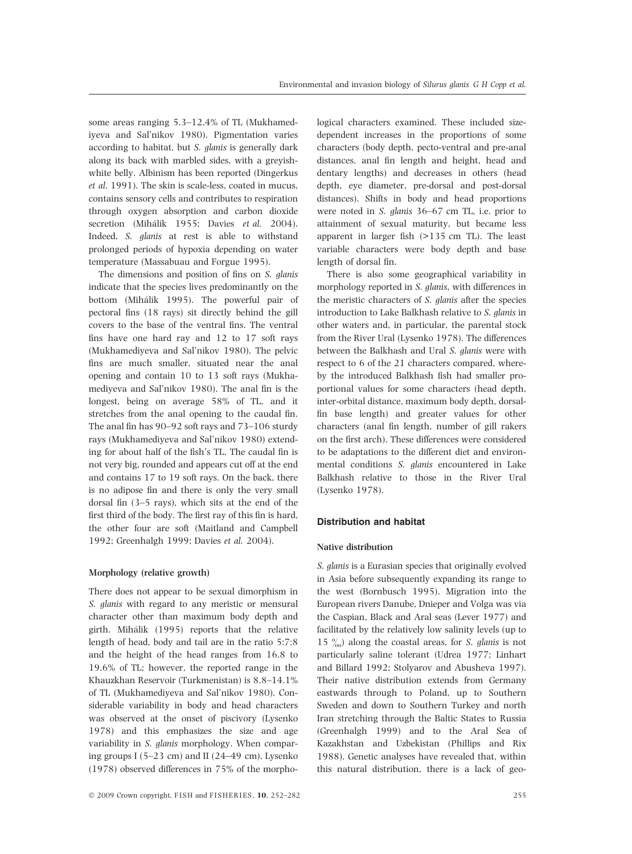some areas ranging 5.3–12.4% of TL (Mukhamediyeva and Sal'nikov 1980). Pigmentation varies according to habitat, but S. glanis is generally dark along its back with marbled sides, with a greyishwhite belly. Albinism has been reported (Dingerkus et al. 1991). The skin is scale-less, coated in mucus, contains sensory cells and contributes to respiration through oxygen absorption and carbon dioxide secretion (Mihálik 1955; Davies et al. 2004). Indeed, S. glanis at rest is able to withstand prolonged periods of hypoxia depending on water temperature (Massabuau and Forgue 1995).

The dimensions and position of fins on S. glanis indicate that the species lives predominantly on the bottom (Mihálik 1995). The powerful pair of pectoral fins (18 rays) sit directly behind the gill covers to the base of the ventral fins. The ventral fins have one hard ray and 12 to 17 soft rays (Mukhamediyeva and Sal'nikov 1980). The pelvic fins are much smaller, situated near the anal opening and contain 10 to 13 soft rays (Mukhamediyeva and Sal'nikov 1980). The anal fin is the longest, being on average 58% of TL, and it stretches from the anal opening to the caudal fin. The anal fin has 90–92 soft rays and 73–106 sturdy rays (Mukhamediyeva and Sal'nikov 1980) extending for about half of the fish's TL. The caudal fin is not very big, rounded and appears cut off at the end and contains 17 to 19 soft rays. On the back, there is no adipose fin and there is only the very small dorsal fin (3–5 rays), which sits at the end of the first third of the body. The first ray of this fin is hard, the other four are soft (Maitland and Campbell 1992; Greenhalgh 1999; Davies et al. 2004).

## Morphology (relative growth)

There does not appear to be sexual dimorphism in S. glanis with regard to any meristic or mensural character other than maximum body depth and girth. Mihálik (1995) reports that the relative length of head, body and tail are in the ratio 5:7:8 and the height of the head ranges from 16.8 to 19.6% of TL; however, the reported range in the Khauzkhan Reservoir (Turkmenistan) is 8.8–14.1% of TL (Mukhamediyeva and Sal'nikov 1980). Considerable variability in body and head characters was observed at the onset of piscivory (Lysenko 1978) and this emphasizes the size and age variability in S. glanis morphology. When comparing groups I (5–23 cm) and II (24–49 cm), Lysenko (1978) observed differences in 75% of the morphological characters examined. These included sizedependent increases in the proportions of some characters (body depth, pecto-ventral and pre-anal distances, anal fin length and height, head and dentary lengths) and decreases in others (head depth, eye diameter, pre-dorsal and post-dorsal distances). Shifts in body and head proportions were noted in S. glanis 36–67 cm TL, i.e. prior to attainment of sexual maturity, but became less apparent in larger fish (>135 cm TL). The least variable characters were body depth and base length of dorsal fin.

There is also some geographical variability in morphology reported in S. glanis, with differences in the meristic characters of S. glanis after the species introduction to Lake Balkhash relative to S. glanis in other waters and, in particular, the parental stock from the River Ural (Lysenko 1978). The differences between the Balkhash and Ural S. glanis were with respect to 6 of the 21 characters compared, whereby the introduced Balkhash fish had smaller proportional values for some characters (head depth, inter-orbital distance, maximum body depth, dorsalfin base length) and greater values for other characters (anal fin length, number of gill rakers on the first arch). These differences were considered to be adaptations to the different diet and environmental conditions S. glanis encountered in Lake Balkhash relative to those in the River Ural (Lysenko 1978).

# Distribution and habitat

## Native distribution

S. glanis is a Eurasian species that originally evolved in Asia before subsequently expanding its range to the west (Bornbusch 1995). Migration into the European rivers Danube, Dnieper and Volga was via the Caspian, Black and Aral seas (Lever 1977) and facilitated by the relatively low salinity levels (up to 15  $\%$  along the coastal areas, for *S*. *glanis* is not particularly saline tolerant (Udrea 1977; Linhart and Billard 1992; Stolyarov and Abusheva 1997). Their native distribution extends from Germany eastwards through to Poland, up to Southern Sweden and down to Southern Turkey and north Iran stretching through the Baltic States to Russia (Greenhalgh 1999) and to the Aral Sea of Kazakhstan and Uzbekistan (Phillips and Rix 1988). Genetic analyses have revealed that, within this natural distribution, there is a lack of geo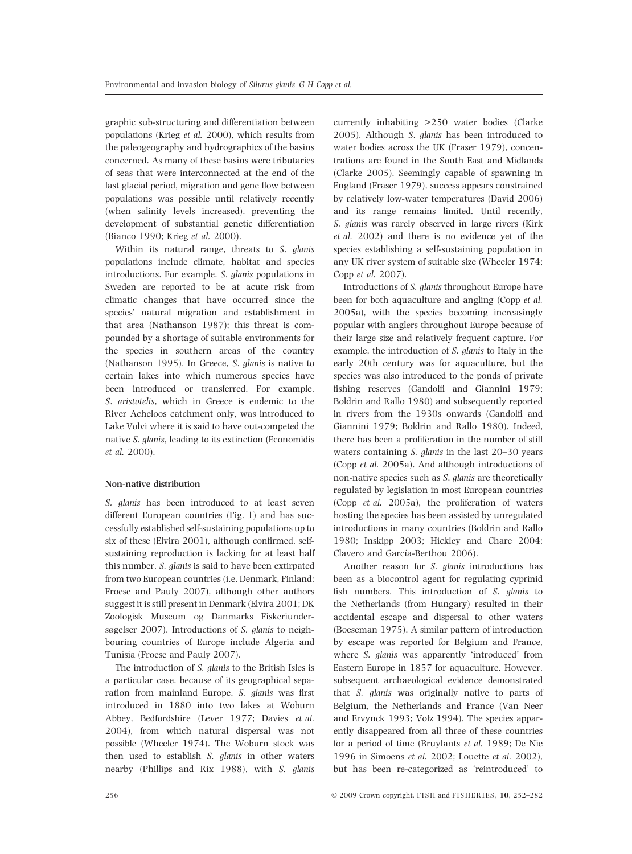graphic sub-structuring and differentiation between populations (Krieg et al. 2000), which results from the paleogeography and hydrographics of the basins concerned. As many of these basins were tributaries of seas that were interconnected at the end of the last glacial period, migration and gene flow between populations was possible until relatively recently (when salinity levels increased), preventing the development of substantial genetic differentiation (Bianco 1990; Krieg et al. 2000).

Within its natural range, threats to S. glanis populations include climate, habitat and species introductions. For example, S. glanis populations in Sweden are reported to be at acute risk from climatic changes that have occurred since the species' natural migration and establishment in that area (Nathanson 1987); this threat is compounded by a shortage of suitable environments for the species in southern areas of the country (Nathanson 1995). In Greece, S. glanis is native to certain lakes into which numerous species have been introduced or transferred. For example, S. aristotelis, which in Greece is endemic to the River Acheloos catchment only, was introduced to Lake Volvi where it is said to have out-competed the native S. glanis, leading to its extinction (Economidis et al. 2000).

## Non-native distribution

S. glanis has been introduced to at least seven different European countries (Fig. 1) and has successfully established self-sustaining populations up to six of these (Elvira 2001), although confirmed, selfsustaining reproduction is lacking for at least half this number. S. glanis is said to have been extirpated from two European countries (i.e. Denmark, Finland; Froese and Pauly 2007), although other authors suggest it is still present in Denmark (Elvira 2001; DK Zoologisk Museum og Danmarks Fiskeriundersøgelser 2007). Introductions of S. glanis to neighbouring countries of Europe include Algeria and Tunisia (Froese and Pauly 2007).

The introduction of S. glanis to the British Isles is a particular case, because of its geographical separation from mainland Europe. S. glanis was first introduced in 1880 into two lakes at Woburn Abbey, Bedfordshire (Lever 1977; Davies et al. 2004), from which natural dispersal was not possible (Wheeler 1974). The Woburn stock was then used to establish S. glanis in other waters nearby (Phillips and Rix 1988), with S. glanis currently inhabiting >250 water bodies (Clarke 2005). Although S. glanis has been introduced to water bodies across the UK (Fraser 1979), concentrations are found in the South East and Midlands (Clarke 2005). Seemingly capable of spawning in England (Fraser 1979), success appears constrained by relatively low-water temperatures (David 2006) and its range remains limited. Until recently, S. glanis was rarely observed in large rivers (Kirk et al. 2002) and there is no evidence yet of the species establishing a self-sustaining population in any UK river system of suitable size (Wheeler 1974; Copp et al. 2007).

Introductions of S. glanis throughout Europe have been for both aquaculture and angling (Copp et al. 2005a), with the species becoming increasingly popular with anglers throughout Europe because of their large size and relatively frequent capture. For example, the introduction of S. glanis to Italy in the early 20th century was for aquaculture, but the species was also introduced to the ponds of private fishing reserves (Gandolfi and Giannini 1979; Boldrin and Rallo 1980) and subsequently reported in rivers from the 1930s onwards (Gandolfi and Giannini 1979; Boldrin and Rallo 1980). Indeed, there has been a proliferation in the number of still waters containing S. glanis in the last 20–30 years (Copp et al. 2005a). And although introductions of non-native species such as S. glanis are theoretically regulated by legislation in most European countries (Copp et al. 2005a), the proliferation of waters hosting the species has been assisted by unregulated introductions in many countries (Boldrin and Rallo 1980; Inskipp 2003; Hickley and Chare 2004; Clavero and García-Berthou 2006).

Another reason for S. glanis introductions has been as a biocontrol agent for regulating cyprinid fish numbers. This introduction of S. glanis to the Netherlands (from Hungary) resulted in their accidental escape and dispersal to other waters (Boeseman 1975). A similar pattern of introduction by escape was reported for Belgium and France, where S. glanis was apparently 'introduced' from Eastern Europe in 1857 for aquaculture. However, subsequent archaeological evidence demonstrated that S. glanis was originally native to parts of Belgium, the Netherlands and France (Van Neer and Ervynck 1993; Volz 1994). The species apparently disappeared from all three of these countries for a period of time (Bruylants et al. 1989; De Nie 1996 in Simoens et al. 2002; Louette et al. 2002), but has been re-categorized as 'reintroduced' to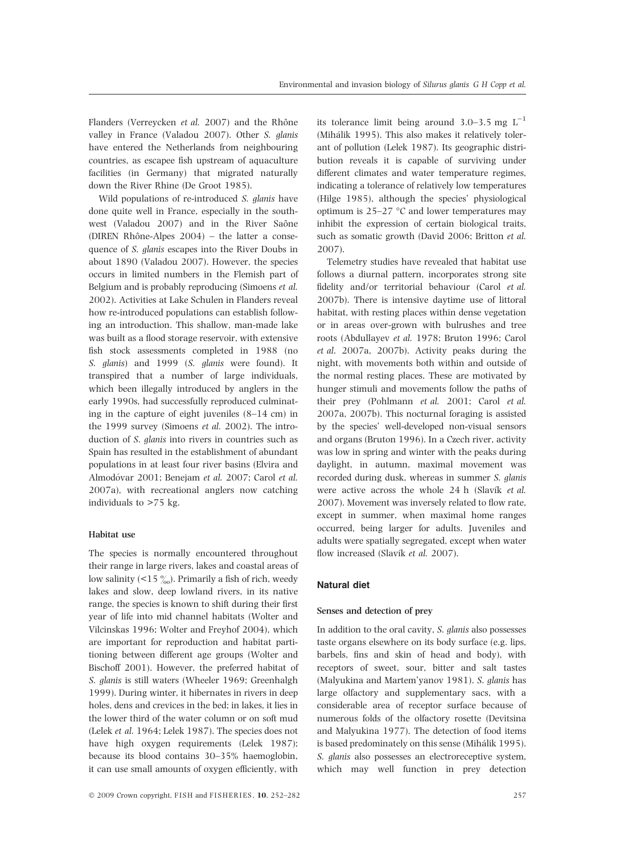Flanders (Verreycken et al. 2007) and the Rhône valley in France (Valadou 2007). Other S. glanis have entered the Netherlands from neighbouring countries, as escapee fish upstream of aquaculture facilities (in Germany) that migrated naturally down the River Rhine (De Groot 1985).

Wild populations of re-introduced S. glanis have done quite well in France, especially in the southwest (Valadou 2007) and in the River Saône (DIREN Rhône-Alpes  $2004$ ) – the latter a consequence of S. glanis escapes into the River Doubs in about 1890 (Valadou 2007). However, the species occurs in limited numbers in the Flemish part of Belgium and is probably reproducing (Simoens et al. 2002). Activities at Lake Schulen in Flanders reveal how re-introduced populations can establish following an introduction. This shallow, man-made lake was built as a flood storage reservoir, with extensive fish stock assessments completed in 1988 (no S. glanis) and 1999 (S. glanis were found). It transpired that a number of large individuals, which been illegally introduced by anglers in the early 1990s, had successfully reproduced culminating in the capture of eight juveniles (8–14 cm) in the 1999 survey (Simoens et al. 2002). The introduction of S. glanis into rivers in countries such as Spain has resulted in the establishment of abundant populations in at least four river basins (Elvira and Almodóvar 2001; Benejam et al. 2007; Carol et al. 2007a), with recreational anglers now catching individuals to >75 kg.

#### Habitat use

The species is normally encountered throughout their range in large rivers, lakes and coastal areas of low salinity (<15  $\frac{\%}{\%}$ ). Primarily a fish of rich, weedy lakes and slow, deep lowland rivers, in its native range, the species is known to shift during their first year of life into mid channel habitats (Wolter and Vilcinskas 1996; Wolter and Freyhof 2004), which are important for reproduction and habitat partitioning between different age groups (Wolter and Bischoff 2001). However, the preferred habitat of S. glanis is still waters (Wheeler 1969; Greenhalgh 1999). During winter, it hibernates in rivers in deep holes, dens and crevices in the bed; in lakes, it lies in the lower third of the water column or on soft mud (Lelek et al. 1964; Lelek 1987). The species does not have high oxygen requirements (Lelek 1987); because its blood contains 30–35% haemoglobin, it can use small amounts of oxygen efficiently, with its tolerance limit being around 3.0–3.5 mg  $L^{-1}$ (Mihálik 1995). This also makes it relatively tolerant of pollution (Lelek 1987). Its geographic distribution reveals it is capable of surviving under different climates and water temperature regimes, indicating a tolerance of relatively low temperatures (Hilge 1985), although the species' physiological optimum is  $25-27$  °C and lower temperatures may inhibit the expression of certain biological traits, such as somatic growth (David 2006; Britton et al. 2007).

Telemetry studies have revealed that habitat use follows a diurnal pattern, incorporates strong site fidelity and/or territorial behaviour (Carol et al. 2007b). There is intensive daytime use of littoral habitat, with resting places within dense vegetation or in areas over-grown with bulrushes and tree roots (Abdullayev et al. 1978; Bruton 1996; Carol et al. 2007a, 2007b). Activity peaks during the night, with movements both within and outside of the normal resting places. These are motivated by hunger stimuli and movements follow the paths of their prey (Pohlmann et al. 2001; Carol et al. 2007a, 2007b). This nocturnal foraging is assisted by the species' well-developed non-visual sensors and organs (Bruton 1996). In a Czech river, activity was low in spring and winter with the peaks during daylight, in autumn, maximal movement was recorded during dusk, whereas in summer S. glanis were active across the whole  $24$  h (Slavík et al. 2007). Movement was inversely related to flow rate, except in summer, when maximal home ranges occurred, being larger for adults. Juveniles and adults were spatially segregated, except when water flow increased (Slavík et al. 2007).

## Natural diet

#### Senses and detection of prey

In addition to the oral cavity, S. glanis also possesses taste organs elsewhere on its body surface (e.g. lips, barbels, fins and skin of head and body), with receptors of sweet, sour, bitter and salt tastes (Malyukina and Martem'yanov 1981). S. glanis has large olfactory and supplementary sacs, with a considerable area of receptor surface because of numerous folds of the olfactory rosette (Devitsina and Malyukina 1977). The detection of food items is based predominately on this sense (Mihálik 1995). S. glanis also possesses an electroreceptive system, which may well function in prey detection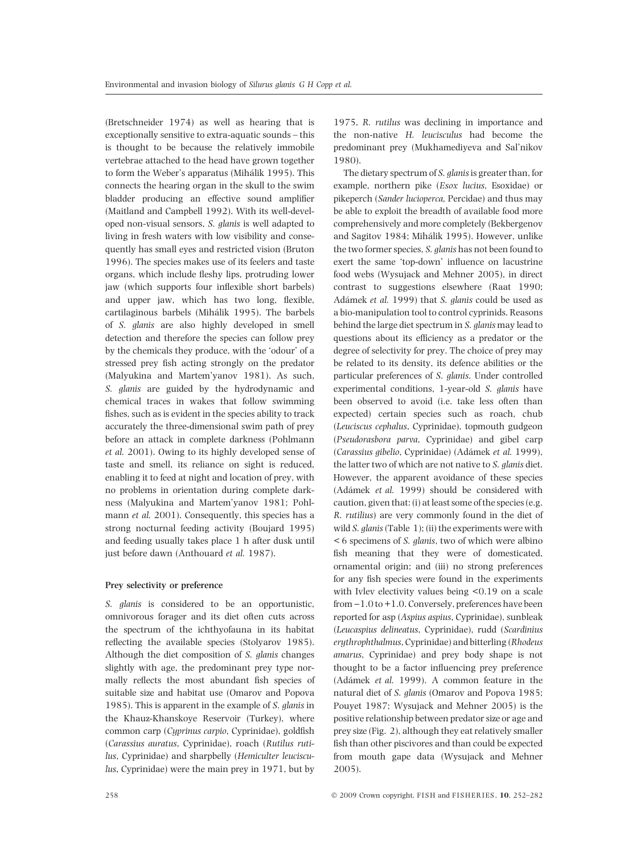(Bretschneider 1974) as well as hearing that is exceptionally sensitive to extra-aquatic sounds – this is thought to be because the relatively immobile vertebrae attached to the head have grown together to form the Weber's apparatus (Mihálik 1995). This connects the hearing organ in the skull to the swim bladder producing an effective sound amplifier (Maitland and Campbell 1992). With its well-developed non-visual sensors, S. glanis is well adapted to living in fresh waters with low visibility and consequently has small eyes and restricted vision (Bruton 1996). The species makes use of its feelers and taste organs, which include fleshy lips, protruding lower jaw (which supports four inflexible short barbels) and upper jaw, which has two long, flexible, cartilaginous barbels (Mihálik 1995). The barbels of S. glanis are also highly developed in smell detection and therefore the species can follow prey by the chemicals they produce, with the 'odour' of a stressed prey fish acting strongly on the predator (Malyukina and Martem'yanov 1981). As such, S. glanis are guided by the hydrodynamic and chemical traces in wakes that follow swimming fishes, such as is evident in the species ability to track accurately the three-dimensional swim path of prey before an attack in complete darkness (Pohlmann et al. 2001). Owing to its highly developed sense of taste and smell, its reliance on sight is reduced, enabling it to feed at night and location of prey, with no problems in orientation during complete darkness (Malyukina and Martem'yanov 1981; Pohlmann et al. 2001). Consequently, this species has a strong nocturnal feeding activity (Boujard 1995) and feeding usually takes place 1 h after dusk until just before dawn (Anthouard et al. 1987).

## Prey selectivity or preference

S. glanis is considered to be an opportunistic, omnivorous forager and its diet often cuts across the spectrum of the ichthyofauna in its habitat reflecting the available species (Stolyarov 1985). Although the diet composition of S. glanis changes slightly with age, the predominant prey type normally reflects the most abundant fish species of suitable size and habitat use (Omarov and Popova 1985). This is apparent in the example of S. glanis in the Khauz-Khanskoye Reservoir (Turkey), where common carp (Cyprinus carpio, Cyprinidae), goldfish (Carassius auratus, Cyprinidae), roach (Rutilus rutilus, Cyprinidae) and sharpbelly (Hemiculter leucisculus, Cyprinidae) were the main prey in 1971, but by

1975, R. rutilus was declining in importance and the non-native H. leucisculus had become the predominant prey (Mukhamediyeva and Sal'nikov 1980).

The dietary spectrum of S. glanis is greater than, for example, northern pike (Esox lucius, Esoxidae) or pikeperch (Sander lucioperca, Percidae) and thus may be able to exploit the breadth of available food more comprehensively and more completely (Bekbergenov and Sagitov 1984; Mihálik 1995). However, unlike the two former species, S. glanis has not been found to exert the same 'top-down' influence on lacustrine food webs (Wysujack and Mehner 2005), in direct contrast to suggestions elsewhere (Raat 1990; Adámek et al. 1999) that S. glanis could be used as a bio-manipulation tool to control cyprinids. Reasons behind the large diet spectrum in S. glanis may lead to questions about its efficiency as a predator or the degree of selectivity for prey. The choice of prey may be related to its density, its defence abilities or the particular preferences of S. glanis. Under controlled experimental conditions, 1-year-old S. glanis have been observed to avoid (i.e. take less often than expected) certain species such as roach, chub (Leuciscus cephalus, Cyprinidae), topmouth gudgeon (Pseudorasbora parva, Cyprinidae) and gibel carp (Carassius gibelio, Cyprinidae) (Adámek et al. 1999), the latter two of which are not native to S. glanis diet. However, the apparent avoidance of these species (Adámek et al. 1999) should be considered with caution, given that: (i) at least some of the species (e.g. R. rutilius) are very commonly found in the diet of wild  $S.$  glanis (Table 1); (ii) the experiments were with < 6 specimens of S. glanis, two of which were albino fish meaning that they were of domesticated, ornamental origin; and (iii) no strong preferences for any fish species were found in the experiments with Ivlev electivity values being <0.19 on a scale from  $-1.0$  to  $+1.0$ . Conversely, preferences have been reported for asp (Aspius aspius, Cyprinidae), sunbleak (Leucaspius delineatus, Cyprinidae), rudd (Scardinius erythrophthalmus, Cyprinidae) and bitterling (Rhodeus amarus, Cyprinidae) and prey body shape is not thought to be a factor influencing prey preference (Adámek et al. 1999). A common feature in the natural diet of S. glanis (Omarov and Popova 1985; Pouyet 1987; Wysujack and Mehner 2005) is the positive relationship between predator size or age and prey size (Fig. 2), although they eat relatively smaller fish than other piscivores and than could be expected from mouth gape data (Wysujack and Mehner 2005).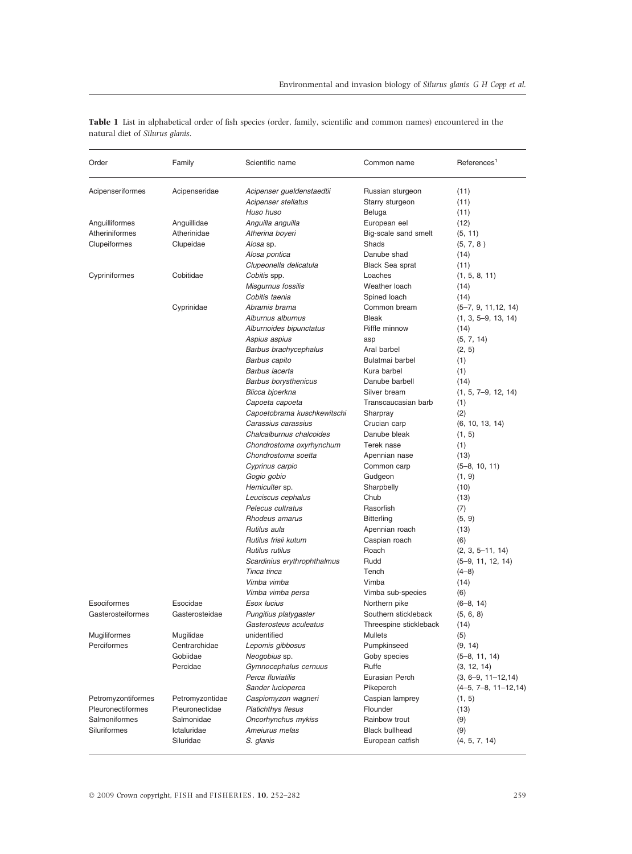| Order              | Family          | Scientific name                      | Common name            | References <sup>1</sup>                   |
|--------------------|-----------------|--------------------------------------|------------------------|-------------------------------------------|
| Acipenseriformes   | Acipenseridae   | Acipenser gueldenstaedtii            | Russian sturgeon       | (11)                                      |
|                    |                 | Acipenser stellatus                  | Starry sturgeon        | (11)                                      |
|                    |                 | Huso huso                            | Beluga                 | (11)                                      |
| Anguilliformes     | Anguillidae     | Anguilla anguilla                    | European eel           | (12)                                      |
| Atheriniformes     | Atherinidae     | Atherina boyeri                      | Big-scale sand smelt   | (5, 11)                                   |
| Clupeiformes       | Clupeidae       | Alosa sp.                            | Shads                  | (5, 7, 8)                                 |
|                    |                 | Alosa pontica                        | Danube shad            | (14)                                      |
|                    |                 | Clupeonella delicatula               | <b>Black Sea sprat</b> | (11)                                      |
| Cypriniformes      | Cobitidae       | Cobitis spp.                         | Loaches                | (1, 5, 8, 11)                             |
|                    |                 | Misgurnus fossilis                   | Weather loach          | (14)                                      |
|                    |                 | Cobitis taenia                       | Spined loach           | (14)                                      |
|                    | Cyprinidae      | Abramis brama                        | Common bream           | $(5-7, 9, 11, 12, 14)$                    |
|                    |                 | Alburnus alburnus                    | Bleak                  | $(1, 3, 5-9, 13, 14)$                     |
|                    |                 | Alburnoides bipunctatus              | Riffle minnow          | (14)                                      |
|                    |                 | Aspius aspius                        | asp                    | (5, 7, 14)                                |
|                    |                 | Barbus brachycephalus                | Aral barbel            | (2, 5)                                    |
|                    |                 | Barbus capito                        | Bulatmai barbel        | (1)                                       |
|                    |                 | Barbus lacerta                       | Kura barbel            | (1)                                       |
|                    |                 | <b>Barbus borysthenicus</b>          | Danube barbell         | (14)                                      |
|                    |                 | Blicca bjoerkna                      | Silver bream           | $(1, 5, 7-9, 12, 14)$                     |
|                    |                 | Capoeta capoeta                      | Transcaucasian barb    | (1)                                       |
|                    |                 | Capoetobrama kuschkewitschi          | Sharpray               | (2)                                       |
|                    |                 | Carassius carassius                  | Crucian carp           | (6, 10, 13, 14)                           |
|                    |                 | Chalcalburnus chalcoides             | Danube bleak           | (1, 5)                                    |
|                    |                 | Chondrostoma oxyrhynchum             | Terek nase             | (1)                                       |
|                    |                 | Chondrostoma soetta                  | Apennian nase          | (13)                                      |
|                    |                 | Cyprinus carpio                      | Common carp            | $(5-8, 10, 11)$                           |
|                    |                 | Gogio gobio                          | Gudgeon                | (1, 9)                                    |
|                    |                 | Hemiculter sp.<br>Leuciscus cephalus | Sharpbelly<br>Chub     | (10)                                      |
|                    |                 | Pelecus cultratus                    | Rasorfish              | (13)                                      |
|                    |                 | Rhodeus amarus                       | <b>Bitterling</b>      | (7)                                       |
|                    |                 | Rutilus aula                         | Apennian roach         | (5, 9)                                    |
|                    |                 | Rutilus frisii kutum                 | Caspian roach          | (13)<br>(6)                               |
|                    |                 | Rutilus rutilus                      | Roach                  |                                           |
|                    |                 | Scardinius erythrophthalmus          | Rudd                   | $(2, 3, 5-11, 14)$<br>$(5-9, 11, 12, 14)$ |
|                    |                 | Tinca tinca                          | Tench                  | $(4-8)$                                   |
|                    |                 | Vimba vimba                          | Vimba                  | (14)                                      |
|                    |                 | Vimba vimba persa                    | Vimba sub-species      | (6)                                       |
| Esociformes        | Esocidae        | Esox lucius                          | Northern pike          | $(6-8, 14)$                               |
| Gasterosteiformes  | Gasterosteidae  | Pungitius platygaster                | Southern stickleback   | (5, 6, 8)                                 |
|                    |                 | Gasterosteus aculeatus               | Threespine stickleback | (14)                                      |
| Mugiliformes       | Mugilidae       | unidentified                         | Mullets                | (5)                                       |
| Perciformes        | Centrarchidae   | Lepomis gibbosus                     | Pumpkinseed            | (9, 14)                                   |
|                    | Gobiidae        | Neogobius sp.                        | Goby species           | $(5-8, 11, 14)$                           |
|                    | Percidae        | Gymnocephalus cernuus                | Ruffe                  | (3, 12, 14)                               |
|                    |                 | Perca fluviatilis                    | Eurasian Perch         | $(3, 6-9, 11-12, 14)$                     |
|                    |                 | Sander lucioperca                    | Pikeperch              | $(4-5, 7-8, 11-12, 14)$                   |
| Petromyzontiformes | Petromyzontidae | Caspiomyzon wagneri                  | Caspian lamprey        | (1, 5)                                    |
| Pleuronectiformes  | Pleuronectidae  | <b>Platichthys flesus</b>            | Flounder               | (13)                                      |
| Salmoniformes      | Salmonidae      | Oncorhynchus mykiss                  | Rainbow trout          | (9)                                       |
| Siluriformes       | Ictaluridae     | Ameiurus melas                       | <b>Black bullhead</b>  | (9)                                       |
|                    | Siluridae       | S. glanis                            | European catfish       | (4, 5, 7, 14)                             |

Table 1 List in alphabetical order of fish species (order, family, scientific and common names) encountered in the natural diet of Silurus glanis.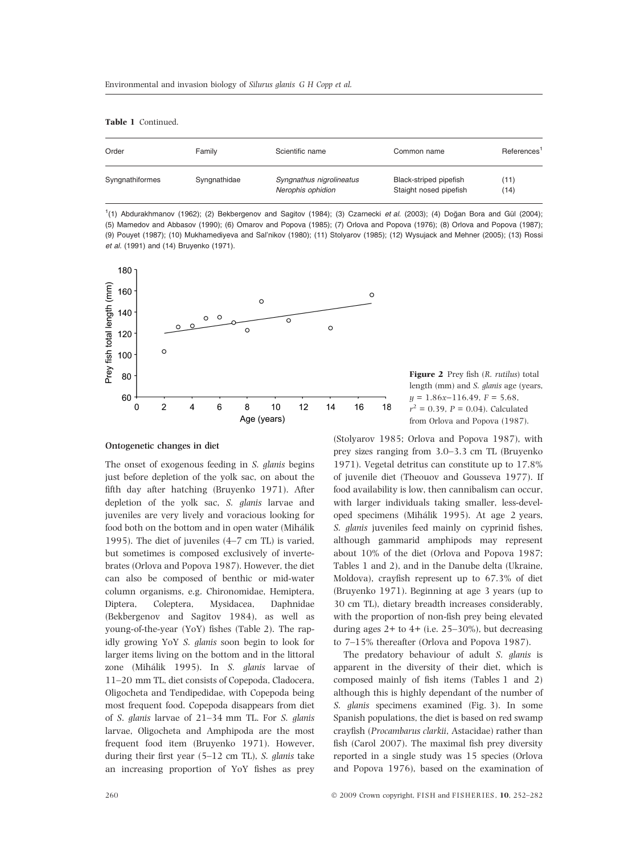Table 1 Continued.

| Order           | Family       | Scientific name                               | Common name                                      | References <sup>1</sup> |
|-----------------|--------------|-----------------------------------------------|--------------------------------------------------|-------------------------|
| Syngnathiformes | Syngnathidae | Syngnathus nigrolineatus<br>Nerophis ophidion | Black-striped pipefish<br>Staight nosed pipefish | (11)<br>(14)            |

<sup>1</sup>(1) Abdurakhmanov (1962); (2) Bekbergenov and Sagitov (1984); (3) Czarnecki et al. (2003); (4) Doğan Bora and Gül (2004); (5) Mamedov and Abbasov (1990); (6) Omarov and Popova (1985); (7) Orlova and Popova (1976); (8) Orlova and Popova (1987); (9) Pouyet (1987); (10) Mukhamediyeva and Sal'nikov (1980); (11) Stolyarov (1985); (12) Wysujack and Mehner (2005); (13) Rossi et al. (1991) and (14) Bruyenko (1971).





# Ontogenetic changes in diet

The onset of exogenous feeding in S. glanis begins just before depletion of the yolk sac, on about the fifth day after hatching (Bruyenko 1971). After depletion of the yolk sac, S. glanis larvae and juveniles are very lively and voracious looking for food both on the bottom and in open water (Mihálik 1995). The diet of juveniles (4–7 cm TL) is varied, but sometimes is composed exclusively of invertebrates (Orlova and Popova 1987). However, the diet can also be composed of benthic or mid-water column organisms, e.g. Chironomidae, Hemiptera, Diptera, Coleptera, Mysidacea, Daphnidae (Bekbergenov and Sagitov 1984), as well as young-of-the-year (YoY) fishes (Table 2). The rapidly growing YoY S. glanis soon begin to look for larger items living on the bottom and in the littoral zone (Mihálik 1995). In S. glanis larvae of 11–20 mm TL, diet consists of Copepoda, Cladocera, Oligocheta and Tendipedidae, with Copepoda being most frequent food. Copepoda disappears from diet of S. glanis larvae of 21–34 mm TL. For S. glanis larvae, Oligocheta and Amphipoda are the most frequent food item (Bruyenko 1971). However, during their first year (5–12 cm TL), S. glanis take an increasing proportion of YoY fishes as prey

(Stolyarov 1985; Orlova and Popova 1987), with prey sizes ranging from 3.0–3.3 cm TL (Bruyenko 1971). Vegetal detritus can constitute up to 17.8% of juvenile diet (Theouov and Gousseva 1977). If food availability is low, then cannibalism can occur, with larger individuals taking smaller, less-developed specimens (Mihálik 1995). At age 2 years, S. glanis juveniles feed mainly on cyprinid fishes, although gammarid amphipods may represent about 10% of the diet (Orlova and Popova 1987; Tables 1 and 2), and in the Danube delta (Ukraine, Moldova), crayfish represent up to 67.3% of diet (Bruyenko 1971). Beginning at age 3 years (up to 30 cm TL), dietary breadth increases considerably, with the proportion of non-fish prey being elevated during ages  $2+$  to  $4+$  (i.e. 25–30%), but decreasing to 7–15% thereafter (Orlova and Popova 1987).

The predatory behaviour of adult S. glanis is apparent in the diversity of their diet, which is composed mainly of fish items (Tables 1 and 2) although this is highly dependant of the number of S. glanis specimens examined (Fig. 3). In some Spanish populations, the diet is based on red swamp crayfish (Procambarus clarkii, Astacidae) rather than fish (Carol 2007). The maximal fish prey diversity reported in a single study was 15 species (Orlova and Popova 1976), based on the examination of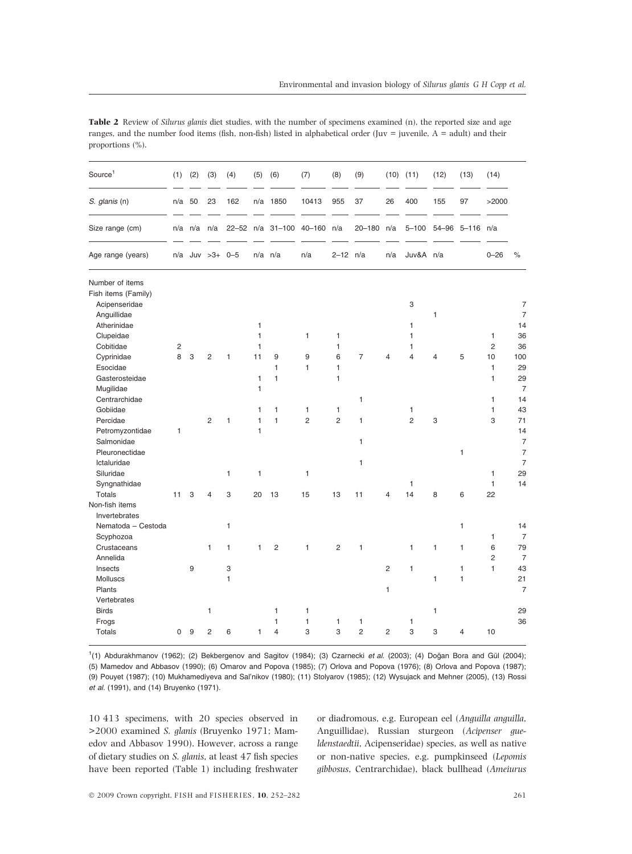| 162<br>10413<br>955<br>37<br>400<br>155<br>97<br>S. glanis (n)<br>n/a<br>50<br>23<br>n/a<br>1850<br>26<br>>2000<br>Size range (cm)<br>$40 - 160$<br>n/a<br>$20 - 180$<br>$5 - 100$<br>$54 - 96$<br>n/a n/a<br>n/a<br>$22 - 52$<br>$n/a$ 31-100<br>n/a<br>5–116 n/a<br>$\%$<br>n/a Juv >3+ 0-5<br>$2 - 12$ n/a<br>Juv&A<br>$0 - 26$<br>Age range (years)<br>$n/a$ $n/a$<br>n/a<br>n/a<br>n/a<br>Number of items<br>Fish items (Family)<br>$\overline{7}$<br>Acipenseridae<br>3<br>$\overline{7}$<br>Anguillidae<br>1<br>Atherinidae<br>1<br>14<br>1<br>Clupeidae<br>$\mathbf{1}$<br>1<br>36<br>$\mathbf{1}$<br>$\mathbf{1}$<br>1<br>Cobitidae<br>$\mathbf{1}$<br>$\mathbf{1}$<br>$\overline{2}$<br>36<br>$\overline{c}$<br>$\mathbf{1}$<br>8<br>6<br>3<br>$\overline{c}$<br>11<br>9<br>9<br>$\overline{7}$<br>5<br>10<br>100<br>Cyprinidae<br>1<br>4<br>4<br>4<br>Esocidae<br>1<br>$\mathbf{1}$<br>$\mathbf{1}$<br>$\mathbf{1}$<br>29<br>Gasterosteidae<br>$\mathbf{1}$<br>$\mathbf{1}$<br>$\mathbf{1}$<br>1<br>29<br>$\mathbf{1}$<br>$\overline{7}$<br>Mugilidae<br>Centrarchidae<br>1<br>$\mathbf{1}$<br>14<br>Gobiidae<br>$\mathbf{1}$<br>1<br>1<br>43<br>1<br>1<br>1<br>$\overline{2}$<br>$\mathbf{1}$<br>$\mathbf{1}$<br>$\overline{2}$<br>$\overline{c}$<br>$\overline{2}$<br>3<br>3<br>71<br>Percidae<br>1<br>1<br>Petromyzontidae<br>$\mathbf{1}$<br>14<br>1<br>$\overline{7}$<br>Salmonidae<br>1<br>Pleuronectidae<br>1<br>$\overline{7}$<br>Ictaluridae<br>1<br>$\overline{7}$<br>Siluridae<br>1<br>$\mathbf{1}$<br>1<br>29<br>1<br>14<br>1<br>Syngnathidae<br>1<br><b>Totals</b><br>11<br>3<br>3<br>20<br>13<br>15<br>13<br>11<br>14<br>8<br>6<br>22<br>4<br>4 |
|--------------------------------------------------------------------------------------------------------------------------------------------------------------------------------------------------------------------------------------------------------------------------------------------------------------------------------------------------------------------------------------------------------------------------------------------------------------------------------------------------------------------------------------------------------------------------------------------------------------------------------------------------------------------------------------------------------------------------------------------------------------------------------------------------------------------------------------------------------------------------------------------------------------------------------------------------------------------------------------------------------------------------------------------------------------------------------------------------------------------------------------------------------------------------------------------------------------------------------------------------------------------------------------------------------------------------------------------------------------------------------------------------------------------------------------------------------------------------------------------------------------------------------------------------------------------------------------------------------------------------------------------------------------------------|
|                                                                                                                                                                                                                                                                                                                                                                                                                                                                                                                                                                                                                                                                                                                                                                                                                                                                                                                                                                                                                                                                                                                                                                                                                                                                                                                                                                                                                                                                                                                                                                                                                                                                          |
|                                                                                                                                                                                                                                                                                                                                                                                                                                                                                                                                                                                                                                                                                                                                                                                                                                                                                                                                                                                                                                                                                                                                                                                                                                                                                                                                                                                                                                                                                                                                                                                                                                                                          |
|                                                                                                                                                                                                                                                                                                                                                                                                                                                                                                                                                                                                                                                                                                                                                                                                                                                                                                                                                                                                                                                                                                                                                                                                                                                                                                                                                                                                                                                                                                                                                                                                                                                                          |
|                                                                                                                                                                                                                                                                                                                                                                                                                                                                                                                                                                                                                                                                                                                                                                                                                                                                                                                                                                                                                                                                                                                                                                                                                                                                                                                                                                                                                                                                                                                                                                                                                                                                          |
|                                                                                                                                                                                                                                                                                                                                                                                                                                                                                                                                                                                                                                                                                                                                                                                                                                                                                                                                                                                                                                                                                                                                                                                                                                                                                                                                                                                                                                                                                                                                                                                                                                                                          |
|                                                                                                                                                                                                                                                                                                                                                                                                                                                                                                                                                                                                                                                                                                                                                                                                                                                                                                                                                                                                                                                                                                                                                                                                                                                                                                                                                                                                                                                                                                                                                                                                                                                                          |
|                                                                                                                                                                                                                                                                                                                                                                                                                                                                                                                                                                                                                                                                                                                                                                                                                                                                                                                                                                                                                                                                                                                                                                                                                                                                                                                                                                                                                                                                                                                                                                                                                                                                          |
|                                                                                                                                                                                                                                                                                                                                                                                                                                                                                                                                                                                                                                                                                                                                                                                                                                                                                                                                                                                                                                                                                                                                                                                                                                                                                                                                                                                                                                                                                                                                                                                                                                                                          |
|                                                                                                                                                                                                                                                                                                                                                                                                                                                                                                                                                                                                                                                                                                                                                                                                                                                                                                                                                                                                                                                                                                                                                                                                                                                                                                                                                                                                                                                                                                                                                                                                                                                                          |
|                                                                                                                                                                                                                                                                                                                                                                                                                                                                                                                                                                                                                                                                                                                                                                                                                                                                                                                                                                                                                                                                                                                                                                                                                                                                                                                                                                                                                                                                                                                                                                                                                                                                          |
|                                                                                                                                                                                                                                                                                                                                                                                                                                                                                                                                                                                                                                                                                                                                                                                                                                                                                                                                                                                                                                                                                                                                                                                                                                                                                                                                                                                                                                                                                                                                                                                                                                                                          |
|                                                                                                                                                                                                                                                                                                                                                                                                                                                                                                                                                                                                                                                                                                                                                                                                                                                                                                                                                                                                                                                                                                                                                                                                                                                                                                                                                                                                                                                                                                                                                                                                                                                                          |
|                                                                                                                                                                                                                                                                                                                                                                                                                                                                                                                                                                                                                                                                                                                                                                                                                                                                                                                                                                                                                                                                                                                                                                                                                                                                                                                                                                                                                                                                                                                                                                                                                                                                          |
|                                                                                                                                                                                                                                                                                                                                                                                                                                                                                                                                                                                                                                                                                                                                                                                                                                                                                                                                                                                                                                                                                                                                                                                                                                                                                                                                                                                                                                                                                                                                                                                                                                                                          |
|                                                                                                                                                                                                                                                                                                                                                                                                                                                                                                                                                                                                                                                                                                                                                                                                                                                                                                                                                                                                                                                                                                                                                                                                                                                                                                                                                                                                                                                                                                                                                                                                                                                                          |
|                                                                                                                                                                                                                                                                                                                                                                                                                                                                                                                                                                                                                                                                                                                                                                                                                                                                                                                                                                                                                                                                                                                                                                                                                                                                                                                                                                                                                                                                                                                                                                                                                                                                          |
|                                                                                                                                                                                                                                                                                                                                                                                                                                                                                                                                                                                                                                                                                                                                                                                                                                                                                                                                                                                                                                                                                                                                                                                                                                                                                                                                                                                                                                                                                                                                                                                                                                                                          |
|                                                                                                                                                                                                                                                                                                                                                                                                                                                                                                                                                                                                                                                                                                                                                                                                                                                                                                                                                                                                                                                                                                                                                                                                                                                                                                                                                                                                                                                                                                                                                                                                                                                                          |
|                                                                                                                                                                                                                                                                                                                                                                                                                                                                                                                                                                                                                                                                                                                                                                                                                                                                                                                                                                                                                                                                                                                                                                                                                                                                                                                                                                                                                                                                                                                                                                                                                                                                          |
|                                                                                                                                                                                                                                                                                                                                                                                                                                                                                                                                                                                                                                                                                                                                                                                                                                                                                                                                                                                                                                                                                                                                                                                                                                                                                                                                                                                                                                                                                                                                                                                                                                                                          |
|                                                                                                                                                                                                                                                                                                                                                                                                                                                                                                                                                                                                                                                                                                                                                                                                                                                                                                                                                                                                                                                                                                                                                                                                                                                                                                                                                                                                                                                                                                                                                                                                                                                                          |
|                                                                                                                                                                                                                                                                                                                                                                                                                                                                                                                                                                                                                                                                                                                                                                                                                                                                                                                                                                                                                                                                                                                                                                                                                                                                                                                                                                                                                                                                                                                                                                                                                                                                          |
|                                                                                                                                                                                                                                                                                                                                                                                                                                                                                                                                                                                                                                                                                                                                                                                                                                                                                                                                                                                                                                                                                                                                                                                                                                                                                                                                                                                                                                                                                                                                                                                                                                                                          |
| Non-fish items                                                                                                                                                                                                                                                                                                                                                                                                                                                                                                                                                                                                                                                                                                                                                                                                                                                                                                                                                                                                                                                                                                                                                                                                                                                                                                                                                                                                                                                                                                                                                                                                                                                           |
| Invertebrates                                                                                                                                                                                                                                                                                                                                                                                                                                                                                                                                                                                                                                                                                                                                                                                                                                                                                                                                                                                                                                                                                                                                                                                                                                                                                                                                                                                                                                                                                                                                                                                                                                                            |
| Nematoda - Cestoda<br>1<br>1<br>14                                                                                                                                                                                                                                                                                                                                                                                                                                                                                                                                                                                                                                                                                                                                                                                                                                                                                                                                                                                                                                                                                                                                                                                                                                                                                                                                                                                                                                                                                                                                                                                                                                       |
| $\overline{7}$<br>Scyphozoa<br>1                                                                                                                                                                                                                                                                                                                                                                                                                                                                                                                                                                                                                                                                                                                                                                                                                                                                                                                                                                                                                                                                                                                                                                                                                                                                                                                                                                                                                                                                                                                                                                                                                                         |
| Crustaceans<br>$\overline{2}$<br>$\overline{2}$<br>6<br>$\mathbf{1}$<br>$\mathbf{1}$<br>$\mathbf{1}$<br>$\mathbf{1}$<br>$\mathbf{1}$<br>$\mathbf{1}$<br>1<br>$\mathbf{1}$<br>79                                                                                                                                                                                                                                                                                                                                                                                                                                                                                                                                                                                                                                                                                                                                                                                                                                                                                                                                                                                                                                                                                                                                                                                                                                                                                                                                                                                                                                                                                          |
| $\overline{2}$<br>$\overline{7}$<br>Annelida                                                                                                                                                                                                                                                                                                                                                                                                                                                                                                                                                                                                                                                                                                                                                                                                                                                                                                                                                                                                                                                                                                                                                                                                                                                                                                                                                                                                                                                                                                                                                                                                                             |
| $\mathbf{1}$<br>9<br>3<br>$\overline{2}$<br>$\mathbf{1}$<br>43<br>Insects<br>1                                                                                                                                                                                                                                                                                                                                                                                                                                                                                                                                                                                                                                                                                                                                                                                                                                                                                                                                                                                                                                                                                                                                                                                                                                                                                                                                                                                                                                                                                                                                                                                           |
| <b>Molluscs</b><br>$\mathbf{1}$<br>$\mathbf{1}$<br>21<br>1                                                                                                                                                                                                                                                                                                                                                                                                                                                                                                                                                                                                                                                                                                                                                                                                                                                                                                                                                                                                                                                                                                                                                                                                                                                                                                                                                                                                                                                                                                                                                                                                               |
| Plants<br>$\overline{7}$<br>1                                                                                                                                                                                                                                                                                                                                                                                                                                                                                                                                                                                                                                                                                                                                                                                                                                                                                                                                                                                                                                                                                                                                                                                                                                                                                                                                                                                                                                                                                                                                                                                                                                            |
| Vertebrates                                                                                                                                                                                                                                                                                                                                                                                                                                                                                                                                                                                                                                                                                                                                                                                                                                                                                                                                                                                                                                                                                                                                                                                                                                                                                                                                                                                                                                                                                                                                                                                                                                                              |
| <b>Birds</b><br>29<br>$\mathbf{1}$<br>1<br>$\mathbf{1}$<br>1                                                                                                                                                                                                                                                                                                                                                                                                                                                                                                                                                                                                                                                                                                                                                                                                                                                                                                                                                                                                                                                                                                                                                                                                                                                                                                                                                                                                                                                                                                                                                                                                             |
| 1<br>$\mathbf{1}$<br>36<br>Frogs<br>1<br>1<br>1                                                                                                                                                                                                                                                                                                                                                                                                                                                                                                                                                                                                                                                                                                                                                                                                                                                                                                                                                                                                                                                                                                                                                                                                                                                                                                                                                                                                                                                                                                                                                                                                                          |
| 9<br>$\overline{2}$<br>$\mathbf{1}$<br>$\overline{4}$<br>3<br>3<br>$\overline{2}$<br>$\overline{2}$<br>3<br>3<br>10<br><b>Totals</b><br>$\mathbf 0$<br>6<br>4                                                                                                                                                                                                                                                                                                                                                                                                                                                                                                                                                                                                                                                                                                                                                                                                                                                                                                                                                                                                                                                                                                                                                                                                                                                                                                                                                                                                                                                                                                            |

Table 2 Review of Silurus glanis diet studies, with the number of specimens examined (n), the reported size and age ranges, and the number food items (fish, non-fish) listed in alphabetical order (Juv = juvenile, A = adult) and their proportions (%).

 $(1)$  Abdurakhmanov (1962); (2) Bekbergenov and Sagitov (1984); (3) Czarnecki et al. (2003); (4) Doğan Bora and Gül (2004); (5) Mamedov and Abbasov (1990); (6) Omarov and Popova (1985); (7) Orlova and Popova (1976); (8) Orlova and Popova (1987); (9) Pouyet (1987); (10) Mukhamediyeva and Sal'nikov (1980); (11) Stolyarov (1985); (12) Wysujack and Mehner (2005), (13) Rossi et al. (1991), and (14) Bruyenko (1971).

10 413 specimens, with 20 species observed in >2000 examined S. glanis (Bruyenko 1971; Mamedov and Abbasov 1990). However, across a range of dietary studies on S. glanis, at least 47 fish species have been reported (Table 1) including freshwater or diadromous, e.g. European eel (Anguilla anguilla, Anguillidae), Russian sturgeon (Acipenser gueldenstaedtii, Acipenseridae) species, as well as native or non-native species, e.g. pumpkinseed (Lepomis gibbosus, Centrarchidae), black bullhead (Ameiurus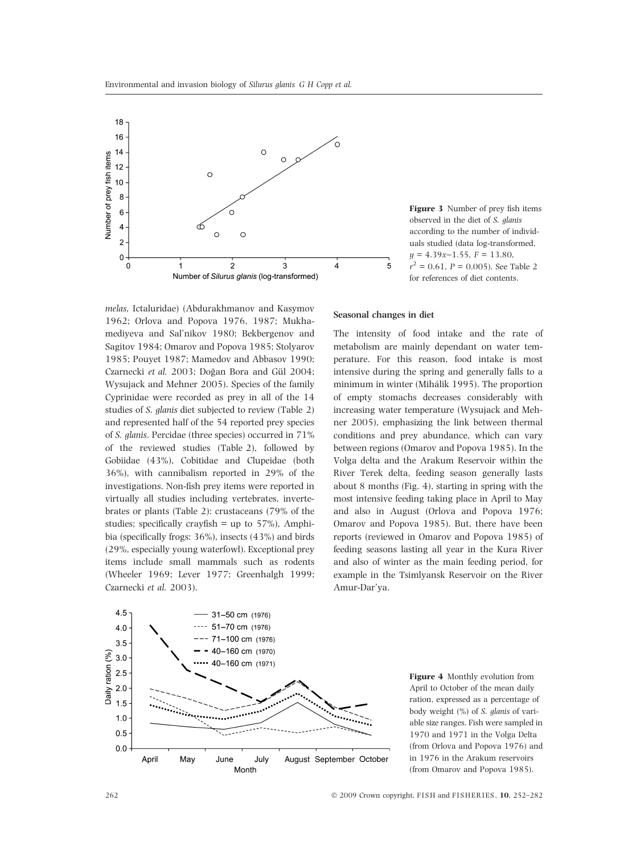

Figure 3 Number of prey fish items observed in the diet of S. glanis according to the number of individuals studied (data log-transformed,  $y = 4.39x-1.55$ ,  $F = 13.80$ ,  $r^2 = 0.61$ ,  $P = 0.005$ ). See Table 2 for references of diet contents.

melas, Ictaluridae) (Abdurakhmanov and Kasymov 1962; Orlova and Popova 1976, 1987; Mukhamediyeva and Sal'nikov 1980; Bekbergenov and Sagitov 1984; Omarov and Popova 1985; Stolyarov 1985; Pouyet 1987; Mamedov and Abbasov 1990; Czarnecki et al. 2003; Doğan Bora and Gül 2004; Wysujack and Mehner 2005). Species of the family Cyprinidae were recorded as prey in all of the 14 studies of S. glanis diet subjected to review (Table 2) and represented half of the 54 reported prey species of S. glanis. Percidae (three species) occurred in 71% of the reviewed studies (Table 2), followed by Gobiidae (43%), Cobitidae and Clupeidae (both 36%), with cannibalism reported in 29% of the investigations. Non-fish prey items were reported in virtually all studies including vertebrates, invertebrates or plants (Table 2): crustaceans (79% of the studies; specifically crayfish = up to  $57\%$ ), Amphibia (specifically frogs: 36%), insects (43%) and birds (29%, especially young waterfowl). Exceptional prey items include small mammals such as rodents (Wheeler 1969; Lever 1977; Greenhalgh 1999; Czarnecki et al. 2003).

#### Seasonal changes in diet

The intensity of food intake and the rate of metabolism are mainly dependant on water temperature. For this reason, food intake is most intensive during the spring and generally falls to a minimum in winter (Mihálik 1995). The proportion of empty stomachs decreases considerably with increasing water temperature (Wysujack and Mehner 2005), emphasizing the link between thermal conditions and prey abundance, which can vary between regions (Omarov and Popova 1985). In the Volga delta and the Arakum Reservoir within the River Terek delta, feeding season generally lasts about 8 months (Fig. 4), starting in spring with the most intensive feeding taking place in April to May and also in August (Orlova and Popova 1976; Omarov and Popova 1985). But, there have been reports (reviewed in Omarov and Popova 1985) of feeding seasons lasting all year in the Kura River and also of winter as the main feeding period, for example in the Tsimlyansk Reservoir on the River Amur-Dar'ya.



Figure 4 Monthly evolution from April to October of the mean daily ration, expressed as a percentage of body weight (%) of S. glanis of variable size ranges. Fish were sampled in 1970 and 1971 in the Volga Delta (from Orlova and Popova 1976) and in 1976 in the Arakum reservoirs (from Omarov and Popova 1985).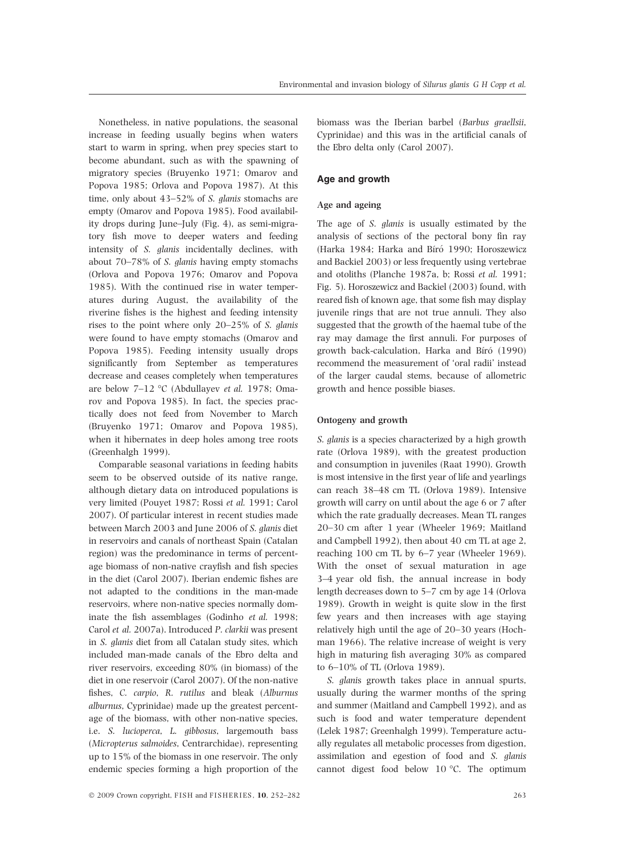Nonetheless, in native populations, the seasonal increase in feeding usually begins when waters start to warm in spring, when prey species start to become abundant, such as with the spawning of migratory species (Bruyenko 1971; Omarov and Popova 1985; Orlova and Popova 1987). At this time, only about 43–52% of S. glanis stomachs are empty (Omarov and Popova 1985). Food availability drops during June–July (Fig. 4), as semi-migratory fish move to deeper waters and feeding intensity of S. glanis incidentally declines, with about 70–78% of S. glanis having empty stomachs (Orlova and Popova 1976; Omarov and Popova 1985). With the continued rise in water temperatures during August, the availability of the riverine fishes is the highest and feeding intensity rises to the point where only 20–25% of S. glanis were found to have empty stomachs (Omarov and Popova 1985). Feeding intensity usually drops significantly from September as temperatures decrease and ceases completely when temperatures are below  $7-12$  °C (Abdullayev et al. 1978; Omarov and Popova 1985). In fact, the species practically does not feed from November to March (Bruyenko 1971; Omarov and Popova 1985), when it hibernates in deep holes among tree roots (Greenhalgh 1999).

Comparable seasonal variations in feeding habits seem to be observed outside of its native range, although dietary data on introduced populations is very limited (Pouyet 1987; Rossi et al. 1991; Carol 2007). Of particular interest in recent studies made between March 2003 and June 2006 of S. glanis diet in reservoirs and canals of northeast Spain (Catalan region) was the predominance in terms of percentage biomass of non-native crayfish and fish species in the diet (Carol 2007). Iberian endemic fishes are not adapted to the conditions in the man-made reservoirs, where non-native species normally dominate the fish assemblages (Godinho et al. 1998; Carol et al. 2007a). Introduced P. clarkii was present in S. glanis diet from all Catalan study sites, which included man-made canals of the Ebro delta and river reservoirs, exceeding 80% (in biomass) of the diet in one reservoir (Carol 2007). Of the non-native fishes, C. carpio, R. rutilus and bleak (Alburnus alburnus, Cyprinidae) made up the greatest percentage of the biomass, with other non-native species, i.e. S. lucioperca, L. gibbosus, largemouth bass (Micropterus salmoides, Centrarchidae), representing up to 15% of the biomass in one reservoir. The only endemic species forming a high proportion of the

 $\odot$  2009 Crown copyright, FISH and FISHERIES, 10, 252–282 263

biomass was the Iberian barbel (Barbus graellsii, Cyprinidae) and this was in the artificial canals of the Ebro delta only (Carol 2007).

# Age and growth

## Age and ageing

The age of S. glanis is usually estimated by the analysis of sections of the pectoral bony fin ray (Harka 1984; Harka and Bíró 1990; Horoszewicz and Backiel 2003) or less frequently using vertebrae and otoliths (Planche 1987a, b; Rossi et al. 1991; Fig. 5). Horoszewicz and Backiel (2003) found, with reared fish of known age, that some fish may display juvenile rings that are not true annuli. They also suggested that the growth of the haemal tube of the ray may damage the first annuli. For purposes of growth back-calculation, Harka and Bíró (1990) recommend the measurement of 'oral radii' instead of the larger caudal stems, because of allometric growth and hence possible biases.

### Ontogeny and growth

S. glanis is a species characterized by a high growth rate (Orlova 1989), with the greatest production and consumption in juveniles (Raat 1990). Growth is most intensive in the first year of life and yearlings can reach 38–48 cm TL (Orlova 1989). Intensive growth will carry on until about the age 6 or 7 after which the rate gradually decreases. Mean TL ranges 20–30 cm after 1 year (Wheeler 1969; Maitland and Campbell 1992), then about 40 cm TL at age 2, reaching 100 cm TL by 6–7 year (Wheeler 1969). With the onset of sexual maturation in age 3–4 year old fish, the annual increase in body length decreases down to 5–7 cm by age 14 (Orlova 1989). Growth in weight is quite slow in the first few years and then increases with age staying relatively high until the age of 20–30 years (Hochman 1966). The relative increase of weight is very high in maturing fish averaging 30% as compared to 6–10% of TL (Orlova 1989).

S. glanis growth takes place in annual spurts, usually during the warmer months of the spring and summer (Maitland and Campbell 1992), and as such is food and water temperature dependent (Lelek 1987; Greenhalgh 1999). Temperature actually regulates all metabolic processes from digestion, assimilation and egestion of food and S. glanis cannot digest food below 10  $^{\circ}$ C. The optimum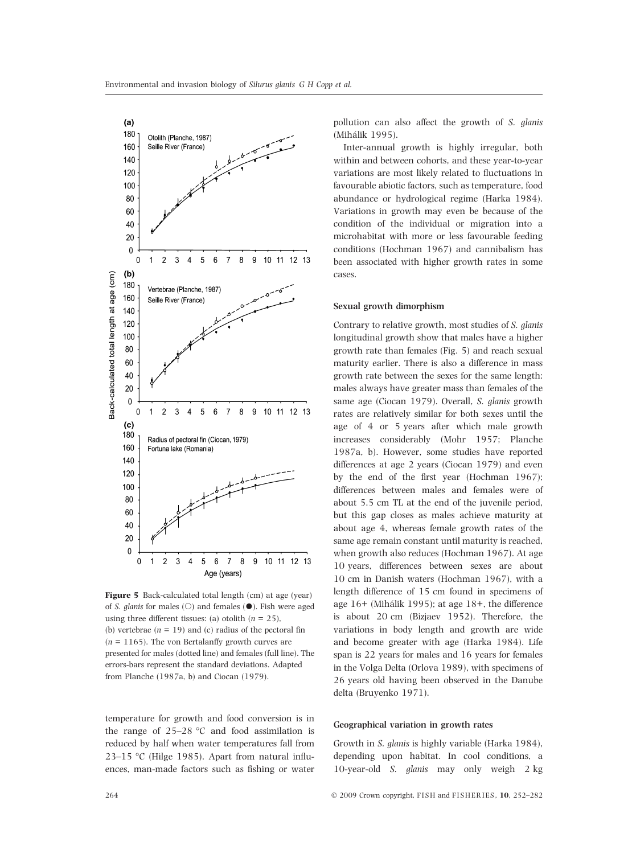

Figure 5 Back-calculated total length (cm) at age (year) of *S. glanis* for males ( $\odot$ ) and females ( $\bullet$ ). Fish were aged using three different tissues: (a) otolith ( $n = 25$ ), (b) vertebrae  $(n = 19)$  and (c) radius of the pectoral fin  $(n = 1165)$ . The von Bertalanffy growth curves are presented for males (dotted line) and females (full line). The errors-bars represent the standard deviations. Adapted from Planche (1987a, b) and Ciocan (1979).

temperature for growth and food conversion is in the range of  $25-28$  °C and food assimilation is reduced by half when water temperatures fall from 23–15 °C (Hilge 1985). Apart from natural influences, man-made factors such as fishing or water

pollution can also affect the growth of S. glanis (Mihálik 1995).

Inter-annual growth is highly irregular, both within and between cohorts, and these year-to-year variations are most likely related to fluctuations in favourable abiotic factors, such as temperature, food abundance or hydrological regime (Harka 1984). Variations in growth may even be because of the condition of the individual or migration into a microhabitat with more or less favourable feeding conditions (Hochman 1967) and cannibalism has been associated with higher growth rates in some cases.

## Sexual growth dimorphism

Contrary to relative growth, most studies of S. glanis longitudinal growth show that males have a higher growth rate than females (Fig. 5) and reach sexual maturity earlier. There is also a difference in mass growth rate between the sexes for the same length: males always have greater mass than females of the same age (Ciocan 1979). Overall, S. glanis growth rates are relatively similar for both sexes until the age of 4 or 5 years after which male growth increases considerably (Mohr 1957; Planche 1987a, b). However, some studies have reported differences at age 2 years (Ciocan 1979) and even by the end of the first year (Hochman 1967); differences between males and females were of about 5.5 cm TL at the end of the juvenile period, but this gap closes as males achieve maturity at about age 4, whereas female growth rates of the same age remain constant until maturity is reached, when growth also reduces (Hochman 1967). At age 10 years, differences between sexes are about 10 cm in Danish waters (Hochman 1967), with a length difference of 15 cm found in specimens of age 16+ (Mihálik 1995); at age 18+, the difference is about 20 cm (Bizjaev 1952). Therefore, the variations in body length and growth are wide and become greater with age (Harka 1984). Life span is 22 years for males and 16 years for females in the Volga Delta (Orlova 1989), with specimens of 26 years old having been observed in the Danube delta (Bruyenko 1971).

# Geographical variation in growth rates

Growth in S. glanis is highly variable (Harka 1984), depending upon habitat. In cool conditions, a 10-year-old S. glanis may only weigh 2 kg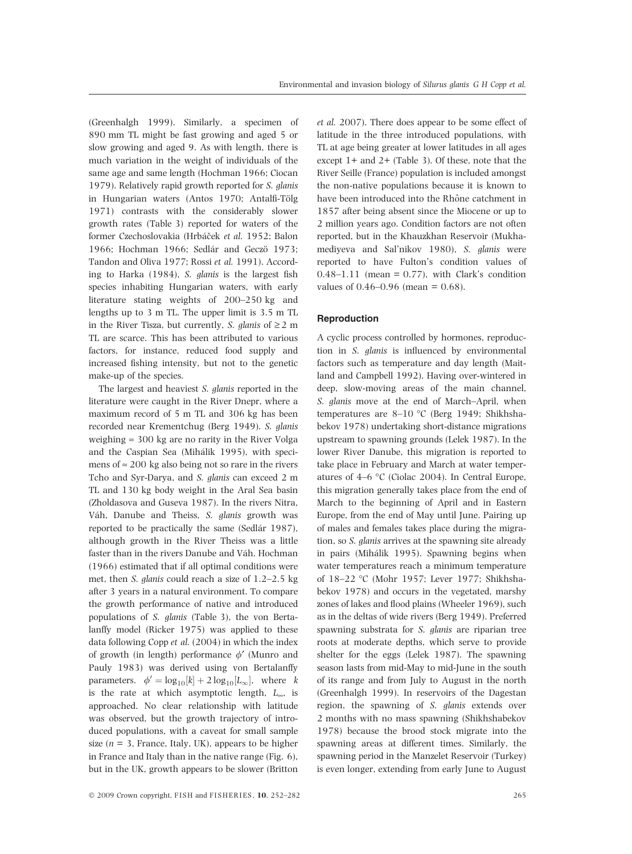(Greenhalgh 1999). Similarly, a specimen of 890 mm TL might be fast growing and aged 5 or slow growing and aged 9. As with length, there is much variation in the weight of individuals of the same age and same length (Hochman 1966; Ciocan 1979). Relatively rapid growth reported for S. glanis in Hungarian waters (Antos 1970; Antalfi-Tölg 1971) contrasts with the considerably slower growth rates (Table 3) reported for waters of the former Czechoslovakia (Hrbáček et al. 1952; Balon 1966; Hochman 1966; Sedlár and Geczö 1973; Tandon and Oliva 1977; Rossi et al. 1991). According to Harka (1984), S. glanis is the largest fish species inhabiting Hungarian waters, with early literature stating weights of 200–250 kg and lengths up to 3 m TL. The upper limit is 3.5 m TL in the River Tisza, but currently, *S. glanis* of  $\geq 2$  m TL are scarce. This has been attributed to various factors, for instance, reduced food supply and increased fishing intensity, but not to the genetic make-up of the species.

The largest and heaviest S. glanis reported in the literature were caught in the River Dnepr, where a maximum record of 5 m TL and 306 kg has been recorded near Krementchug (Berg 1949). S. glanis weighing  $\approx 300$  kg are no rarity in the River Volga and the Caspian Sea (Mihálik 1995), with specimens of  $\approx$  200 kg also being not so rare in the rivers Tcho and Syr-Darya, and S. glanis can exceed 2 m TL and 130 kg body weight in the Aral Sea basin (Zholdasova and Guseva 1987). In the rivers Nitra, Váh, Danube and Theiss, S. glanis growth was reported to be practically the same (Sedlár 1987), although growth in the River Theiss was a little faster than in the rivers Danube and Váh. Hochman (1966) estimated that if all optimal conditions were met, then S. glanis could reach a size of 1.2–2.5 kg after 3 years in a natural environment. To compare the growth performance of native and introduced populations of S. glanis (Table 3), the von Bertalanffy model (Ricker 1975) was applied to these data following Copp et al. (2004) in which the index of growth (in length) performance  $\phi'$  (Munro and Pauly 1983) was derived using von Bertalanffy parameters.  $\phi' = \log_{10}[k] + 2 \log_{10}[L_{\infty}],$  where k is the rate at which asymptotic length,  $L_{\infty}$ , is approached. No clear relationship with latitude was observed, but the growth trajectory of introduced populations, with a caveat for small sample size ( $n = 3$ , France, Italy, UK), appears to be higher in France and Italy than in the native range (Fig. 6), but in the UK, growth appears to be slower (Britton

 $\odot$  2009 Crown copyright, FISH and FISHERIES, 10, 252–282 265

et al. 2007). There does appear to be some effect of latitude in the three introduced populations, with TL at age being greater at lower latitudes in all ages except 1+ and 2+ (Table 3). Of these, note that the River Seille (France) population is included amongst the non-native populations because it is known to have been introduced into the Rhône catchment in 1857 after being absent since the Miocene or up to 2 million years ago. Condition factors are not often reported, but in the Khauzkhan Reservoir (Mukhamediyeva and Sal'nikov 1980), S. glanis were reported to have Fulton's condition values of  $0.48-1.11$  (mean = 0.77), with Clark's condition values of 0.46–0.96 (mean = 0.68).

# Reproduction

A cyclic process controlled by hormones, reproduction in S. glanis is influenced by environmental factors such as temperature and day length (Maitland and Campbell 1992). Having over-wintered in deep, slow-moving areas of the main channel, S. glanis move at the end of March–April, when temperatures are 8-10 °C (Berg 1949; Shikhshabekov 1978) undertaking short-distance migrations upstream to spawning grounds (Lelek 1987). In the lower River Danube, this migration is reported to take place in February and March at water temperatures of  $4-6$  °C (Ciolac 2004). In Central Europe, this migration generally takes place from the end of March to the beginning of April and in Eastern Europe, from the end of May until June. Pairing up of males and females takes place during the migration, so S. glanis arrives at the spawning site already in pairs (Mihálik 1995). Spawning begins when water temperatures reach a minimum temperature of 18-22 °C (Mohr 1957; Lever 1977; Shikhshabekov 1978) and occurs in the vegetated, marshy zones of lakes and flood plains (Wheeler 1969), such as in the deltas of wide rivers (Berg 1949). Preferred spawning substrata for S. glanis are riparian tree roots at moderate depths, which serve to provide shelter for the eggs (Lelek 1987). The spawning season lasts from mid-May to mid-June in the south of its range and from July to August in the north (Greenhalgh 1999). In reservoirs of the Dagestan region, the spawning of S. glanis extends over 2 months with no mass spawning (Shikhshabekov 1978) because the brood stock migrate into the spawning areas at different times. Similarly, the spawning period in the Manzelet Reservoir (Turkey) is even longer, extending from early June to August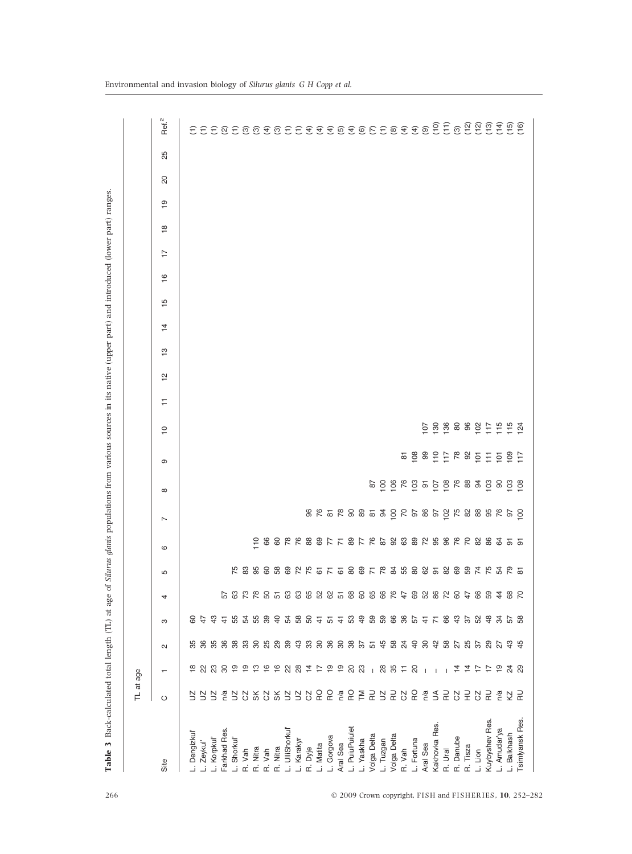|                            | TL at age                           |                 |                 |                |            |   |                                                    |                       |          |                               |                |                    |               |                |               |               |                |               |                |    |    |                                  |
|----------------------------|-------------------------------------|-----------------|-----------------|----------------|------------|---|----------------------------------------------------|-----------------------|----------|-------------------------------|----------------|--------------------|---------------|----------------|---------------|---------------|----------------|---------------|----------------|----|----|----------------------------------|
| Site                       | $\circ$                             |                 | $\sim$          | S              | 4          | Б | $\circ$                                            | $\overline{ }$        | $\infty$ | ၜ                             | $\overline{C}$ | $\frac{1}{2}$<br>₽ | $\frac{1}{2}$ | $\overline{4}$ | $\frac{5}{1}$ | $\frac{6}{1}$ | $\overline{1}$ | $\frac{8}{1}$ | $\overline{9}$ | 20 | 25 | Ref. <sup>2</sup>                |
| L. Dengizkul               |                                     | $\frac{8}{1}$   | 35              | င္စ            |            |   |                                                    |                       |          |                               |                |                    |               |                |               |               |                |               |                |    |    |                                  |
| L. Zeykul'                 | S                                   |                 | 36              | $\ddot{t}$     |            |   |                                                    |                       |          |                               |                |                    |               |                |               |               |                |               |                |    |    | EEEQE@@@@EE@@@@@@E@@@@@@@@@@@@@@ |
| L. Korpkul'                | S                                   | 23              |                 | $\frac{3}{4}$  |            |   |                                                    |                       |          |                               |                |                    |               |                |               |               |                |               |                |    |    |                                  |
| Farkhad Res.               | n/a                                 | $\overline{30}$ |                 | $\frac{4}{7}$  | 57         |   |                                                    |                       |          |                               |                |                    |               |                |               |               |                |               |                |    |    |                                  |
| L. Shorkul'                | 58%8                                | $\frac{6}{1}$   | 55 8 8 9 9      | 5558           | 3 2 3 3 5  |   |                                                    |                       |          |                               |                |                    |               |                |               |               |                |               |                |    |    |                                  |
| R. Vah                     |                                     | ္ဘာ             |                 |                |            |   |                                                    |                       |          |                               |                |                    |               |                |               |               |                |               |                |    |    |                                  |
| R. Nitra                   |                                     | $\frac{1}{2}$   |                 |                |            |   |                                                    |                       |          |                               |                |                    |               |                |               |               |                |               |                |    |    |                                  |
| R. Vah                     |                                     | $\frac{6}{5}$   | 25              |                |            |   |                                                    |                       |          |                               |                |                    |               |                |               |               |                |               |                |    |    |                                  |
| R. Nitra                   | న్                                  | $\frac{6}{1}$   | 29              | $\overline{4}$ |            |   |                                                    |                       |          |                               |                |                    |               |                |               |               |                |               |                |    |    |                                  |
| L. UlliShorkul'            | $\geq$                              | 22              | 39              |                | 63         |   |                                                    |                       |          |                               |                |                    |               |                |               |               |                |               |                |    |    |                                  |
| L. Karakyr                 | $\mathbf{E}$                        | 28              | 43              |                |            |   |                                                    |                       |          |                               |                |                    |               |                |               |               |                |               |                |    |    |                                  |
| R. Dyje                    | 8 요 요                               | $\frac{1}{4}$   |                 |                |            |   |                                                    |                       |          |                               |                |                    |               |                |               |               |                |               |                |    |    |                                  |
| L. Matita                  |                                     | 17              |                 |                |            |   |                                                    |                       |          |                               |                |                    |               |                |               |               |                |               |                |    |    |                                  |
| L. Gorgova                 |                                     | $\frac{6}{1}$   | 3.88885         | 28845489       | 888858888  |   |                                                    |                       |          |                               |                |                    |               |                |               |               |                |               |                |    |    |                                  |
| Aral Sea<br>L. PuiuPuiulet |                                     | ္စာ             |                 |                |            |   |                                                    |                       |          |                               |                |                    |               |                |               |               |                |               |                |    |    |                                  |
|                            | $rac{a}{b}$ $rac{c}{c}$ $rac{c}{c}$ | 20<br>23        |                 |                |            |   |                                                    |                       |          |                               |                |                    |               |                |               |               |                |               |                |    |    |                                  |
| L. Yaskha                  |                                     |                 |                 |                |            |   |                                                    |                       |          |                               |                |                    |               |                |               |               |                |               |                |    |    |                                  |
| Volga Delta                |                                     | $\overline{1}$  | 57              |                |            |   |                                                    |                       |          |                               |                |                    |               |                |               |               |                |               |                |    |    |                                  |
| L. Tuzgan                  |                                     | $^{28}$         | 45              |                |            |   |                                                    |                       |          |                               |                |                    |               |                |               |               |                |               |                |    |    |                                  |
| Volga Delta                | 58588                               | 35              | 58              | 5988           | 76         |   |                                                    |                       |          |                               |                |                    |               |                |               |               |                |               |                |    |    |                                  |
| R. Vah                     |                                     | Ξ               | $^{24}$         |                | 47         |   |                                                    |                       |          |                               |                |                    |               |                |               |               |                |               |                |    |    |                                  |
| L. Fortuna                 |                                     | $\overline{c}$  | $\overline{40}$ | 5778375        | 69         |   |                                                    |                       |          |                               |                |                    |               |                |               |               |                |               |                |    |    |                                  |
| Aral Sea                   |                                     |                 | SO              |                | 282842     |   |                                                    |                       |          |                               |                |                    |               |                |               |               |                |               |                |    |    |                                  |
| Kakhovka Res.              |                                     |                 | $\frac{1}{4}$   |                |            |   |                                                    |                       |          |                               |                |                    |               |                |               |               |                |               |                |    |    |                                  |
| R. Ural                    |                                     |                 | 58<br>27<br>25  |                |            |   |                                                    |                       |          |                               |                |                    |               |                |               |               |                |               |                |    |    |                                  |
| R. Danube                  |                                     | $\frac{4}{4}$   |                 |                |            |   |                                                    |                       |          |                               |                |                    |               |                |               |               |                |               |                |    |    |                                  |
| R. Tisza                   | 85222                               | $\overline{4}$  |                 |                |            |   |                                                    |                       |          |                               |                |                    |               |                |               |               |                |               |                |    |    |                                  |
| L. Lion                    |                                     | $\ddot{ }$      | 57              | 52             | 66         |   |                                                    |                       |          |                               |                |                    |               |                |               |               |                |               |                |    |    |                                  |
| Kuybyshev Res.             | 군                                   | ₽               | 29              | $\frac{8}{4}$  | 59         |   |                                                    |                       |          |                               |                |                    |               |                |               |               |                |               |                |    |    |                                  |
| L. Amudar'ya               | n/a                                 | $\frac{6}{1}$   | 27              | ್ಲಿ            | $\ddot{4}$ |   | 1988 RR 88 R F 8 F R & 8 8 8 8 R 8 8 R R 8 8 8 5 5 | $8855885385888888859$ |          | d g g g h g g g h g g h g g h | $588889$ $259$ |                    |               |                |               |               |                |               |                |    |    |                                  |
| L. Balkhash                | 오 군                                 | 24 29           | 49              | 57<br>58       | 88         |   |                                                    |                       |          |                               |                |                    |               |                |               |               |                |               |                |    |    |                                  |
| Tsimlyansk Res.            |                                     |                 |                 |                |            |   |                                                    |                       |          |                               |                |                    |               |                |               |               |                |               |                |    |    |                                  |

Table 3 Back-calculated total length (TL) at age of Silurus glanis populations from various sources in its native (upper part) and introduced (lower part) ranges.

Table 3 Back-calculated total length (TL) at age of Silurus glanis populations from various sources in its native (upper part) and introduced (lower part) ranges.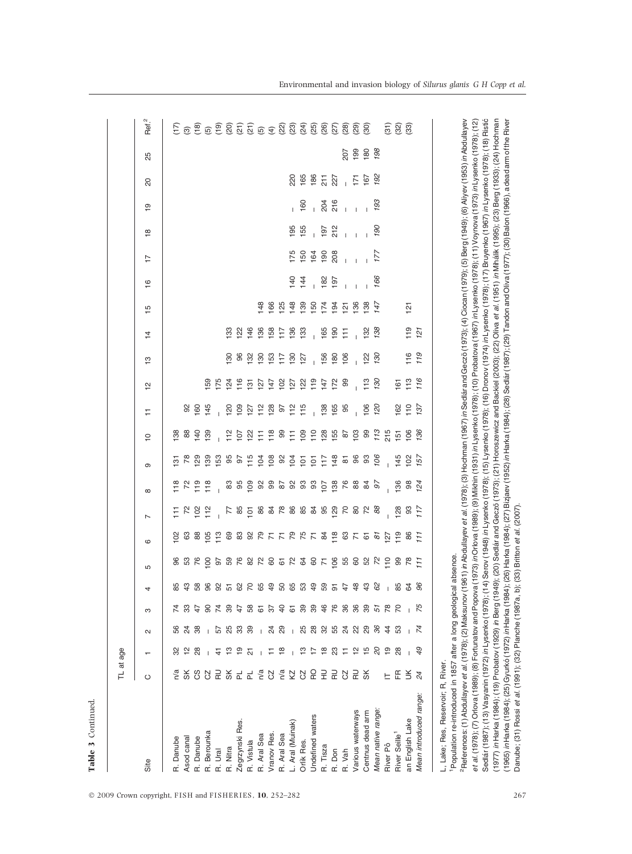|                                                                                                                                                                                                                                                                                                                                                                                                                                    | TL at age  |                 |              |                 |                                   |                 |                  |                  |                  |                 |                  |                 |                  |                 |                |                |               |                |               |                      |                |                                                                                                                                                                                                                                                    |
|------------------------------------------------------------------------------------------------------------------------------------------------------------------------------------------------------------------------------------------------------------------------------------------------------------------------------------------------------------------------------------------------------------------------------------|------------|-----------------|--------------|-----------------|-----------------------------------|-----------------|------------------|------------------|------------------|-----------------|------------------|-----------------|------------------|-----------------|----------------|----------------|---------------|----------------|---------------|----------------------|----------------|----------------------------------------------------------------------------------------------------------------------------------------------------------------------------------------------------------------------------------------------------|
| Site                                                                                                                                                                                                                                                                                                                                                                                                                               | O          |                 | $\mathbf{c}$ | S               | 4                                 | Б               | $\circ$          | $\overline{ }$   | $\infty$         | $\infty$        | $\overline{C}$   | Ξ               | $\frac{1}{2}$    | $\frac{1}{2}$   | 4              | $\frac{1}{2}$  | $\frac{6}{1}$ | $\overline{1}$ | $\frac{8}{1}$ | 20<br>$\overline{9}$ | 25             | Ref. <sup>2</sup>                                                                                                                                                                                                                                  |
|                                                                                                                                                                                                                                                                                                                                                                                                                                    |            |                 |              |                 |                                   |                 |                  |                  |                  |                 |                  |                 |                  |                 |                |                |               |                |               |                      |                |                                                                                                                                                                                                                                                    |
| R. Danube                                                                                                                                                                                                                                                                                                                                                                                                                          | n/a        |                 | <u>င</u> ္ဟ  |                 |                                   |                 | $\geq$           | Ε                | $\frac{8}{118}$  | က်              | $\frac{8}{2}$    |                 |                  |                 |                |                |               |                |               |                      |                |                                                                                                                                                                                                                                                    |
| Asod canal                                                                                                                                                                                                                                                                                                                                                                                                                         | æ          |                 | ನ            |                 | 85<br>43                          | က္တ             | යි               |                  |                  |                 | 88               | 92              |                  |                 |                |                |               |                |               |                      |                |                                                                                                                                                                                                                                                    |
| R. Danube                                                                                                                                                                                                                                                                                                                                                                                                                          | င <b>်</b> | 88              | 88           | A,              |                                   |                 | 88               | $\frac{8}{2}$    | $\frac{9}{1}$    | ଅ               | $\overline{4}$   | 160             |                  |                 |                |                |               |                |               |                      |                |                                                                                                                                                                                                                                                    |
| R. Berounka                                                                                                                                                                                                                                                                                                                                                                                                                        | 2S         |                 |              | 8               |                                   | 8               | 105              | 112              | $\frac{8}{118}$  | $\frac{8}{3}$   | $\frac{8}{3}$    | 145             | 59               |                 |                |                |               |                |               |                      |                |                                                                                                                                                                                                                                                    |
| R. Ural                                                                                                                                                                                                                                                                                                                                                                                                                            | 윤          | 순               | 57           |                 |                                   |                 | $\frac{3}{11}$   |                  |                  | යි              |                  |                 | 175              |                 |                |                |               |                |               |                      |                |                                                                                                                                                                                                                                                    |
| R. Nitra                                                                                                                                                                                                                                                                                                                                                                                                                           | SΚ         | ෆ               |              | 789             |                                   |                 | 89               | F                | 83               | 95              | $\frac{2}{1}$    | $\overline{5}$  | $^{124}$         | 8               | $\frac{83}{2}$ |                |               |                |               |                      |                |                                                                                                                                                                                                                                                    |
| Zegrzynski Res.                                                                                                                                                                                                                                                                                                                                                                                                                    | 군 군        | စ္              | ನಿ ನಿ ನಿ     |                 |                                   |                 | 83               | 85               | 95               | 5               | 5cl              | $\overline{5}$  | $\frac{6}{10}$   | 8               | $\frac{2}{2}$  |                |               |                |               |                      |                |                                                                                                                                                                                                                                                    |
| R. Vistula                                                                                                                                                                                                                                                                                                                                                                                                                         |            | 。               |              | -89             | 8 9 8 5 6 6 7 8 9 9 9 9 9 9 9 9 7 | 5 8 8 8 8 8 5 8 |                  | $\overline{5}$   | $\overline{109}$ | $\frac{5}{10}$  | $\frac{2}{2}$    | 127             | $\overline{5}$   | $\frac{8}{2}$   | $\frac{46}{5}$ |                |               |                |               |                      |                | $\widehat{\Sigma}\circledcirc \widehat{\Xi}\circledcirc \widehat{\Xi}\circledcirc \widehat{\Xi}\circledcirc \widehat{\Xi}\circledcirc \widehat{\Xi}\circledcirc \widehat{\Xi}\circledcirc \widehat{\Xi}\circledcirc \widehat{\Xi}\circledcirc \Xi$ |
| R. Aral Sea                                                                                                                                                                                                                                                                                                                                                                                                                        | n/a        |                 |              | 61              |                                   |                 | 88728873         | 8                | 92               | $\overline{5}$  | Ξ                | $\frac{12}{11}$ | 127              | $\frac{8}{2}$   | 136            | $\frac{48}{5}$ |               |                |               |                      |                |                                                                                                                                                                                                                                                    |
| Vranov Res.                                                                                                                                                                                                                                                                                                                                                                                                                        | CZ         | Ξ               | । ನೆ ನಿ      | 22              |                                   |                 |                  | \$               | 99               | 108             | $\frac{8}{10}$   | 128             | 147              | $\frac{63}{2}$  | 158            | 166            |               |                |               |                      |                |                                                                                                                                                                                                                                                    |
| R. Aral Sea                                                                                                                                                                                                                                                                                                                                                                                                                        | n/a        | $\frac{8}{16}$  |              | $\theta$        |                                   |                 |                  | 78               | $\overline{8}$   | 8               | 8                | 67              | 10 <sup>2</sup>  | $\overline{11}$ | $\frac{1}{1}$  | 125            |               |                |               |                      |                |                                                                                                                                                                                                                                                    |
| L. Aral (Muinak)                                                                                                                                                                                                                                                                                                                                                                                                                   | KZ         |                 | $\mathbf{I}$ | 61              |                                   |                 |                  | 86               | 92               | $\overline{5}$  | Ξ                | 112             | $\overline{127}$ | $\frac{8}{2}$   | 136            | 148            | 140           | 175            | 195           |                      | 220            |                                                                                                                                                                                                                                                    |
| Orlik Res.                                                                                                                                                                                                                                                                                                                                                                                                                         | CZ         | ຕ               | 25           | 89              |                                   | \$              |                  | 85               | 93               | $\overline{5}$  | $\overline{109}$ | $\frac{15}{10}$ | $\overline{22}$  | $\overline{27}$ | $\frac{8}{3}$  | 139            | 144           | 150            | 155           | 160                  | 165            |                                                                                                                                                                                                                                                    |
| Undefined waters                                                                                                                                                                                                                                                                                                                                                                                                                   | œ          | ⊵               |              | 89              |                                   |                 |                  | g                | 3                | $\overline{5}$  | $\frac{1}{2}$    |                 | $\frac{9}{10}$   |                 |                | 150            |               | 164            |               |                      | 186            |                                                                                                                                                                                                                                                    |
| R. Tisza                                                                                                                                                                                                                                                                                                                                                                                                                           | 긒          | ≌               |              | 46              |                                   |                 |                  | 95               | $\overline{5}$   | $\overline{11}$ | <u>128</u>       | 138             | 147              | 156             | 165            | 174            | 182           | $\frac{6}{1}$  | 197           | 204                  | $\frac{1}{22}$ |                                                                                                                                                                                                                                                    |
| R. Don                                                                                                                                                                                                                                                                                                                                                                                                                             | 定          | ಔ               | 88538        | <b>PG</b><br>36 |                                   | 8788            | 118              | $\overline{129}$ | 138              | 148             | 155              | 165             | 172              | $\frac{80}{2}$  | $\frac{8}{2}$  | 194            | 197           | 208            | 212           | 216                  |                |                                                                                                                                                                                                                                                    |
| R. Vah                                                                                                                                                                                                                                                                                                                                                                                                                             | 2S         | Ξ               |              |                 |                                   |                 | <b>325</b>       | 20               | 76               | 5               | 87               | 95              | 99               | $\frac{8}{2}$   | Ε              | $\overline{2}$ |               |                |               |                      | 207<br>l.      |                                                                                                                                                                                                                                                    |
| Various waterways                                                                                                                                                                                                                                                                                                                                                                                                                  | 뮨          | $\frac{1}{2}$   |              | 36              | œ                                 |                 |                  | 80               | 88               | 96              | 103              |                 |                  |                 |                | <b>96</b>      |               |                |               |                      | $171$<br>$167$ | 199                                                                                                                                                                                                                                                |
| Centnus dead arm                                                                                                                                                                                                                                                                                                                                                                                                                   | 9x         | ما              | 29           | 89              | က္                                | 52              | 67               | 72               | $\overline{8}$   | အ               | 8                | 106             | 113              | 122             | 132            | 138            |               |                |               |                      |                | $180$<br>$798$                                                                                                                                                                                                                                     |
| Mean native range:                                                                                                                                                                                                                                                                                                                                                                                                                 |            | S               | 96           | 57              | Ň,                                | K,              | $\tilde{\infty}$ | 88               | 97               | $\tilde{e}$     | 113              | 021             | 730              | 130             | 138            | 147            | 166           | 177            | 190           | 193                  | 192            |                                                                                                                                                                                                                                                    |
| River Pô                                                                                                                                                                                                                                                                                                                                                                                                                           |            | e+              | $\ddot{4}$   | జ               |                                   | $\frac{1}{2}$   | $\overline{127}$ |                  |                  |                 | 215              |                 |                  |                 |                |                |               |                |               |                      |                | $\overline{32}$                                                                                                                                                                                                                                    |
| River Seille <sup>1</sup>                                                                                                                                                                                                                                                                                                                                                                                                          | Æ          | $\overline{28}$ | င္ယာ         | R               | 85                                | 8               | 119              | 128              | 136              | 145             | $\overline{5}$   | <b>SSI</b>      | 161              |                 |                |                |               |                |               |                      |                |                                                                                                                                                                                                                                                    |
| an English Lake                                                                                                                                                                                                                                                                                                                                                                                                                    | š          |                 |              |                 | 64                                | œ               | 86               | 33               | 98               | 102             | 106              | $\frac{1}{2}$   | 113              | 116             | 119            | $\frac{5}{2}$  |               |                |               |                      |                | $\widehat{33}$                                                                                                                                                                                                                                     |
| Mean introduced range                                                                                                                                                                                                                                                                                                                                                                                                              |            | 5               | Z            | $\mathbb{Z}$    | G                                 | 111             | 111              | 117              | 124              | 157             | 136              | 137             | 116              | 119             | 121            |                |               |                |               |                      |                |                                                                                                                                                                                                                                                    |
| L, Lake; Res, Reservoir; R, River.                                                                                                                                                                                                                                                                                                                                                                                                 |            |                 |              |                 |                                   |                 |                  |                  |                  |                 |                  |                 |                  |                 |                |                |               |                |               |                      |                |                                                                                                                                                                                                                                                    |
| Population re-introduced in 1857 after a long geological                                                                                                                                                                                                                                                                                                                                                                           |            |                 |              |                 | absence.                          |                 |                  |                  |                  |                 |                  |                 |                  |                 |                |                |               |                |               |                      |                |                                                                                                                                                                                                                                                    |
| <sup>2</sup> References: (1) Abdullayev et al. (1978); (2) Maksunov (1                                                                                                                                                                                                                                                                                                                                                             |            |                 |              |                 |                                   |                 |                  |                  |                  |                 |                  |                 |                  |                 |                |                |               |                |               |                      |                | 961) in Abdullayev <i>et al.</i> (1978); (3) Hochman (1967) in Sedlár and Gecző (1973); (4) Ciocan (1979); (5) Berg (1949); (6) Aliyev (1953) in Abdullayev                                                                                        |
| Sedlár (1987); (1972) in Lysenko (1978); (14) Serov (19848) in Lysenko (1978); (15) Lysenko (1978); (16) Dronov (1974) in Lysenko (1978); (17) Bruyenko (1967) in Lysenko (1978); (18) Ristió<br>et al. (1978); (8) Fortunatov and Popova (1973) in Orlova (1989); (9) Mikhin (1981) in Lysenko (1978); (10) Probatova (1967) in Lysenko (1978); (11) Voynova (1978); (1978); (12)<br>et al. (1978); (8) Fortunatov and Popova (19 |            |                 |              |                 |                                   |                 |                  |                  |                  |                 |                  |                 |                  |                 |                |                |               |                |               |                      |                |                                                                                                                                                                                                                                                    |
| (1977) /n Harka (1984); (19) Probatov (19829) /r Beegi (1932); (20) Sediár and Gecző (1973); (21) Horoszewicz and Backiel (20); (22) Oliva et at (1951) /n Mihálik (1995); (22) Berg (1933); (24) Hochman                                                                                                                                                                                                                          |            |                 |              |                 |                                   |                 |                  |                  |                  |                 |                  |                 |                  |                 |                |                |               |                |               |                      |                |                                                                                                                                                                                                                                                    |
| (1965) in Harka (1984); (25) Gyurkó (1972) in Harka (1984); (26) Harka (1984); (27) Bizjaev (1982); in Harka (1984); (28) Sediár (1987); (29) Tandon and Oliva (1977); (30) Balon (1966), a dead arm of the River                                                                                                                                                                                                                  |            |                 |              |                 |                                   |                 |                  |                  |                  |                 |                  |                 |                  |                 |                |                |               |                |               |                      |                |                                                                                                                                                                                                                                                    |
| Danube; (31) Rossi <i>et al.</i> (1991); (32) Planche (1987a, b); (33) Britton <i>et al.</i> (2007)                                                                                                                                                                                                                                                                                                                                |            |                 |              |                 |                                   |                 |                  |                  |                  |                 |                  |                 |                  |                 |                |                |               |                |               |                      |                |                                                                                                                                                                                                                                                    |

 $\odot$  2009 Crown copyright, FISH and FISHERIES, 10, 252–282 267

Table 3 Continued.

Table 3 Continued.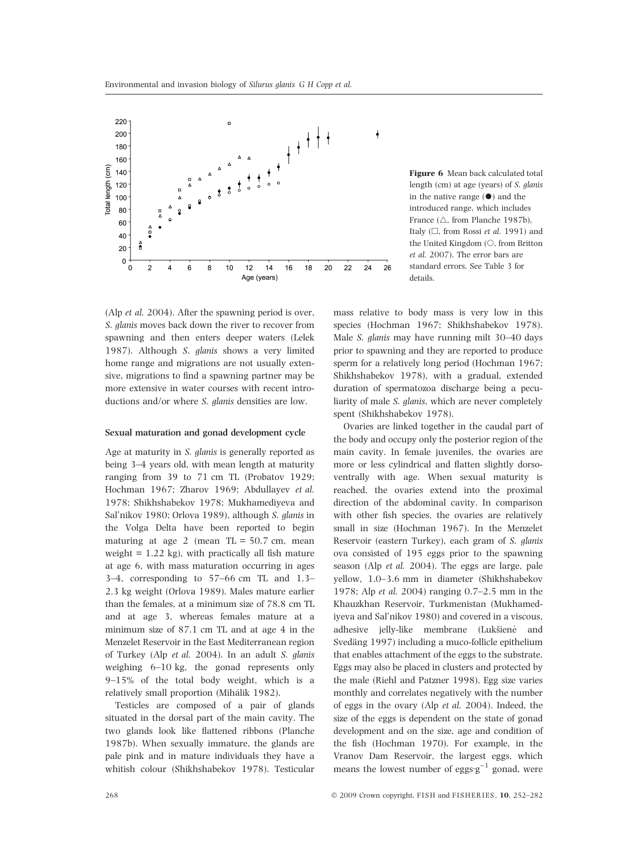

(Alp et al. 2004). After the spawning period is over, S. glanis moves back down the river to recover from spawning and then enters deeper waters (Lelek 1987). Although S. glanis shows a very limited home range and migrations are not usually extensive, migrations to find a spawning partner may be more extensive in water courses with recent introductions and/or where S. glanis densities are low.

## Sexual maturation and gonad development cycle

Age at maturity in S. glanis is generally reported as being 3–4 years old, with mean length at maturity ranging from 39 to 71 cm TL (Probatov 1929; Hochman 1967; Zharov 1969; Abdullayev et al. 1978; Shikhshabekov 1978; Mukhamediyeva and Sal'nikov 1980; Orlova 1989), although S. glanis in the Volga Delta have been reported to begin maturing at age 2 (mean  $TL = 50.7$  cm, mean weight  $= 1.22$  kg), with practically all fish mature at age 6, with mass maturation occurring in ages 3–4, corresponding to 57–66 cm TL and 1.3– 2.3 kg weight (Orlova 1989). Males mature earlier than the females, at a minimum size of 78.8 cm TL and at age 3, whereas females mature at a minimum size of 87.1 cm TL and at age 4 in the Menzelet Reservoir in the East Mediterranean region of Turkey (Alp et al. 2004). In an adult S. glanis weighing 6–10 kg, the gonad represents only 9–15% of the total body weight, which is a relatively small proportion (Mihálik 1982).

Testicles are composed of a pair of glands situated in the dorsal part of the main cavity. The two glands look like flattened ribbons (Planche 1987b). When sexually immature, the glands are pale pink and in mature individuals they have a whitish colour (Shikhshabekov 1978). Testicular

Figure 6 Mean back calculated total length (cm) at age (years) of S. glanis in the native range  $(•)$  and the introduced range, which includes France ( $\triangle$ , from Planche 1987b), Italy ( $\Box$ , from Rossi *et al.* 1991) and the United Kingdom  $(O, from Britton)$ et al. 2007). The error bars are standard errors. See Table 3 for details.

mass relative to body mass is very low in this species (Hochman 1967; Shikhshabekov 1978). Male S. glanis may have running milt 30–40 days prior to spawning and they are reported to produce sperm for a relatively long period (Hochman 1967; Shikhshabekov 1978), with a gradual, extended duration of spermatozoa discharge being a peculiarity of male S. glanis, which are never completely spent (Shikhshabekov 1978).

Ovaries are linked together in the caudal part of the body and occupy only the posterior region of the main cavity. In female juveniles, the ovaries are more or less cylindrical and flatten slightly dorsoventrally with age. When sexual maturity is reached, the ovaries extend into the proximal direction of the abdominal cavity. In comparison with other fish species, the ovaries are relatively small in size (Hochman 1967). In the Menzelet Reservoir (eastern Turkey), each gram of S. glanis ova consisted of 195 eggs prior to the spawning season (Alp et al. 2004). The eggs are large, pale yellow, 1.0–3.6 mm in diameter (Shikhshabekov 1978; Alp et al. 2004) ranging 0.7–2.5 mm in the Khauzkhan Reservoir, Turkmenistan (Mukhamediyeva and Sal'nikov 1980) and covered in a viscous, adhesive jelly-like membrane (Lukšienė and Svedäng 1997) including a muco-follicle epithelium that enables attachment of the eggs to the substrate. Eggs may also be placed in clusters and protected by the male (Riehl and Patzner 1998). Egg size varies monthly and correlates negatively with the number of eggs in the ovary (Alp et al. 2004). Indeed, the size of the eggs is dependent on the state of gonad development and on the size, age and condition of the fish (Hochman 1970). For example, in the Vranov Dam Reservoir, the largest eggs, which means the lowest number of eggs  $g^{-1}$  gonad, were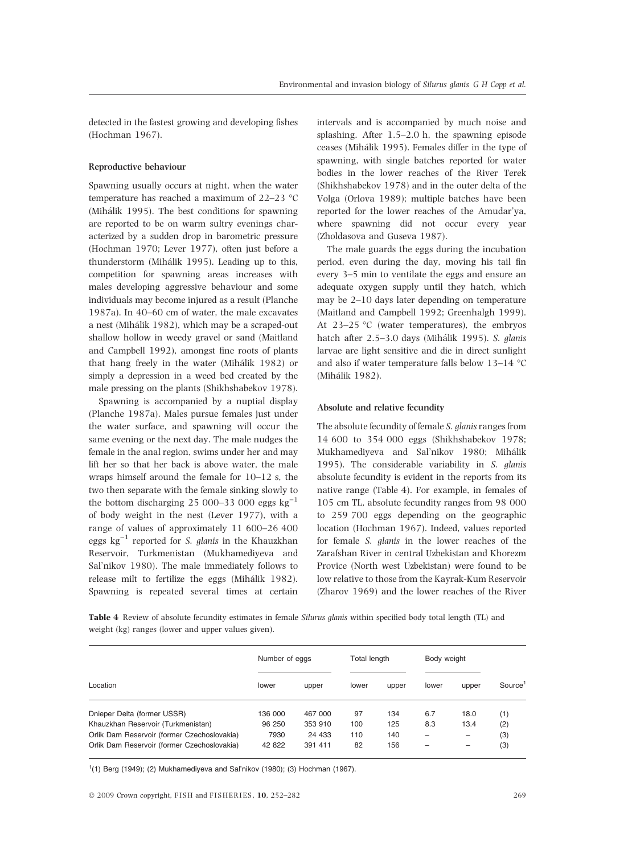detected in the fastest growing and developing fishes (Hochman 1967).

## Reproductive behaviour

Spawning usually occurs at night, when the water temperature has reached a maximum of  $22-23$  °C (Mihálik 1995). The best conditions for spawning are reported to be on warm sultry evenings characterized by a sudden drop in barometric pressure (Hochman 1970; Lever 1977), often just before a thunderstorm (Mihálik 1995). Leading up to this, competition for spawning areas increases with males developing aggressive behaviour and some individuals may become injured as a result (Planche 1987a). In 40–60 cm of water, the male excavates a nest (Mihálik 1982), which may be a scraped-out shallow hollow in weedy gravel or sand (Maitland and Campbell 1992), amongst fine roots of plants that hang freely in the water (Mihálik 1982) or simply a depression in a weed bed created by the male pressing on the plants (Shikhshabekov 1978).

Spawning is accompanied by a nuptial display (Planche 1987a). Males pursue females just under the water surface, and spawning will occur the same evening or the next day. The male nudges the female in the anal region, swims under her and may lift her so that her back is above water, the male wraps himself around the female for 10–12 s, the two then separate with the female sinking slowly to the bottom discharging 25 000–33 000 eggs  $kg^{-1}$ of body weight in the nest (Lever 1977), with a range of values of approximately 11 600–26 400 eggs  $kg^{-1}$  reported for *S. glanis* in the Khauzkhan Reservoir, Turkmenistan (Mukhamediyeva and Sal'nikov 1980). The male immediately follows to release milt to fertilize the eggs (Mihálik 1982). Spawning is repeated several times at certain

intervals and is accompanied by much noise and splashing. After 1.5–2.0 h, the spawning episode ceases (Mihálik 1995). Females differ in the type of spawning, with single batches reported for water bodies in the lower reaches of the River Terek (Shikhshabekov 1978) and in the outer delta of the Volga (Orlova 1989); multiple batches have been reported for the lower reaches of the Amudar'ya, where spawning did not occur every year (Zholdasova and Guseva 1987).

The male guards the eggs during the incubation period, even during the day, moving his tail fin every 3–5 min to ventilate the eggs and ensure an adequate oxygen supply until they hatch, which may be 2–10 days later depending on temperature (Maitland and Campbell 1992; Greenhalgh 1999). At  $23-25$  °C (water temperatures), the embryos hatch after 2.5–3.0 days (Mihálik 1995). S. glanis larvae are light sensitive and die in direct sunlight and also if water temperature falls below  $13-14$  °C (Mihálik 1982).

## Absolute and relative fecundity

The absolute fecundity of female S. glanis ranges from 14 600 to 354 000 eggs (Shikhshabekov 1978; Mukhamediyeva and Sal'nikov 1980; Mihálik 1995). The considerable variability in S. glanis absolute fecundity is evident in the reports from its native range (Table 4). For example, in females of 105 cm TL, absolute fecundity ranges from 98 000 to 259 700 eggs depending on the geographic location (Hochman 1967). Indeed, values reported for female S. glanis in the lower reaches of the Zarafshan River in central Uzbekistan and Khorezm Provice (North west Uzbekistan) were found to be low relative to those from the Kayrak-Kum Reservoir (Zharov 1969) and the lower reaches of the River

Table 4 Review of absolute fecundity estimates in female Silurus glanis within specified body total length (TL) and weight (kg) ranges (lower and upper values given).

|                                             | Number of eggs |         | Total length |       | Body weight |       |                     |
|---------------------------------------------|----------------|---------|--------------|-------|-------------|-------|---------------------|
| Location                                    | lower          | upper   | lower        | upper | lower       | upper | Source <sup>1</sup> |
| Dnieper Delta (former USSR)                 | 136 000        | 467 000 | 97           | 134   | 6.7         | 18.0  | (1)                 |
| Khauzkhan Reservoir (Turkmenistan)          | 96 250         | 353 910 | 100          | 125   | 8.3         | 13.4  | (2)                 |
| Orlik Dam Reservoir (former Czechoslovakia) | 7930           | 24 433  | 110          | 140   |             |       | (3)                 |
| Orlik Dam Reservoir (former Czechoslovakia) | 42 822         | 391 411 | 82           | 156   |             |       | (3)                 |

 $1(1)$  Berg (1949); (2) Mukhamediyeva and Sal'nikov (1980); (3) Hochman (1967).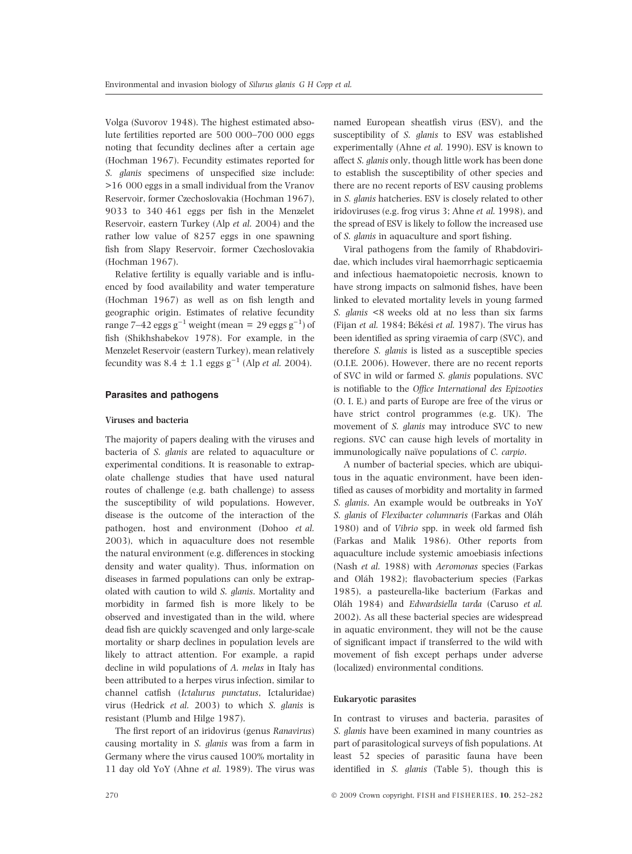Volga (Suvorov 1948). The highest estimated absolute fertilities reported are 500 000–700 000 eggs noting that fecundity declines after a certain age (Hochman 1967). Fecundity estimates reported for S. glanis specimens of unspecified size include: >16 000 eggs in a small individual from the Vranov Reservoir, former Czechoslovakia (Hochman 1967), 9033 to 340 461 eggs per fish in the Menzelet Reservoir, eastern Turkey (Alp et al. 2004) and the rather low value of 8257 eggs in one spawning fish from Slapy Reservoir, former Czechoslovakia (Hochman 1967).

Relative fertility is equally variable and is influenced by food availability and water temperature (Hochman 1967) as well as on fish length and geographic origin. Estimates of relative fecundity range 7–42 eggs g $^{-1}$  weight (mean = 29 eggs g $^{-1}$ ) of fish (Shikhshabekov 1978). For example, in the Menzelet Reservoir (eastern Turkey), mean relatively fecundity was  $8.4 \pm 1.1$  eggs g<sup>-1</sup> (Alp *et al.* 2004).

### Parasites and pathogens

### Viruses and bacteria

The majority of papers dealing with the viruses and bacteria of S. glanis are related to aquaculture or experimental conditions. It is reasonable to extrapolate challenge studies that have used natural routes of challenge (e.g. bath challenge) to assess the susceptibility of wild populations. However, disease is the outcome of the interaction of the pathogen, host and environment (Dohoo et al. 2003), which in aquaculture does not resemble the natural environment (e.g. differences in stocking density and water quality). Thus, information on diseases in farmed populations can only be extrapolated with caution to wild S. glanis. Mortality and morbidity in farmed fish is more likely to be observed and investigated than in the wild, where dead fish are quickly scavenged and only large-scale mortality or sharp declines in population levels are likely to attract attention. For example, a rapid decline in wild populations of A. melas in Italy has been attributed to a herpes virus infection, similar to channel catfish (Ictalurus punctatus, Ictaluridae) virus (Hedrick et al. 2003) to which S. glanis is resistant (Plumb and Hilge 1987).

The first report of an iridovirus (genus Ranavirus) causing mortality in S. glanis was from a farm in Germany where the virus caused 100% mortality in 11 day old YoY (Ahne et al. 1989). The virus was

named European sheatfish virus (ESV), and the susceptibility of S. glanis to ESV was established experimentally (Ahne et al. 1990). ESV is known to affect S. glanis only, though little work has been done to establish the susceptibility of other species and there are no recent reports of ESV causing problems in S. glanis hatcheries. ESV is closely related to other iridoviruses (e.g. frog virus 3; Ahne et al. 1998), and the spread of ESV is likely to follow the increased use of S. glanis in aquaculture and sport fishing.

Viral pathogens from the family of Rhabdoviridae, which includes viral haemorrhagic septicaemia and infectious haematopoietic necrosis, known to have strong impacts on salmonid fishes, have been linked to elevated mortality levels in young farmed S. glanis <8 weeks old at no less than six farms (Fijan et al. 1984; Békési et al. 1987). The virus has been identified as spring viraemia of carp (SVC), and therefore S. glanis is listed as a susceptible species (O.I.E. 2006). However, there are no recent reports of SVC in wild or farmed S. glanis populations. SVC is notifiable to the Office International des Epizooties (O. I. E.) and parts of Europe are free of the virus or have strict control programmes (e.g. UK). The movement of S. glanis may introduce SVC to new regions. SVC can cause high levels of mortality in immunologically naïve populations of C. carpio.

A number of bacterial species, which are ubiquitous in the aquatic environment, have been identified as causes of morbidity and mortality in farmed S. glanis. An example would be outbreaks in YoY S. glanis of Flexibacter columnaris (Farkas and Oláh 1980) and of Vibrio spp. in week old farmed fish (Farkas and Malik 1986). Other reports from aquaculture include systemic amoebiasis infections (Nash et al. 1988) with Aeromonas species (Farkas and Oláh 1982); flavobacterium species (Farkas 1985), a pasteurella-like bacterium (Farkas and Oláh 1984) and Edwardsiella tarda (Caruso et al. 2002). As all these bacterial species are widespread in aquatic environment, they will not be the cause of significant impact if transferred to the wild with movement of fish except perhaps under adverse (localized) environmental conditions.

## Eukaryotic parasites

In contrast to viruses and bacteria, parasites of S. glanis have been examined in many countries as part of parasitological surveys of fish populations. At least 52 species of parasitic fauna have been identified in S. glanis (Table 5), though this is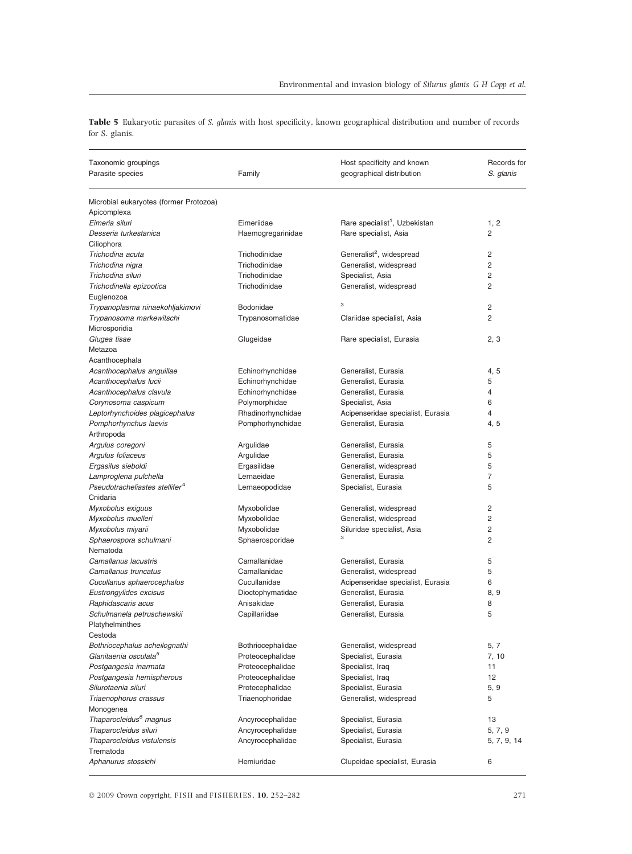Table 5 Eukaryotic parasites of S. glanis with host specificity, known geographical distribution and number of records for S. glanis.

| Taxonomic groupings                        |                        | Host specificity and known                | Records for    |
|--------------------------------------------|------------------------|-------------------------------------------|----------------|
| Parasite species                           | Family                 | geographical distribution                 | S. glanis      |
|                                            |                        |                                           |                |
| Microbial eukaryotes (former Protozoa)     |                        |                                           |                |
| Apicomplexa                                |                        |                                           |                |
| Eimeria siluri                             | Eimeriidae             | Rare specialist <sup>1</sup> , Uzbekistan | 1, 2           |
| Desseria turkestanica                      | Haemogregarinidae      | Rare specialist, Asia                     | 2              |
| Ciliophora                                 |                        |                                           |                |
| Trichodina acuta                           | Trichodinidae          | Generalist <sup>2</sup> , widespread      | 2              |
| Trichodina nigra                           | Trichodinidae          | Generalist, widespread                    | $\overline{2}$ |
| Trichodina siluri                          | Trichodinidae          | Specialist, Asia                          | $\overline{2}$ |
| Trichodinella epizootica                   | Trichodinidae          | Generalist, widespread                    | 2              |
| Euglenozoa                                 |                        |                                           |                |
| Trypanoplasma ninaekohljakimovi            | Bodonidae              | 3                                         | 2              |
| Trypanosoma markewitschi                   | Trypanosomatidae       | Clariidae specialist, Asia                | $\overline{2}$ |
| Microsporidia                              |                        |                                           |                |
| Glugea tisae                               | Glugeidae              | Rare specialist, Eurasia                  | 2, 3           |
| Metazoa                                    |                        |                                           |                |
| Acanthocephala                             |                        |                                           |                |
| Acanthocephalus anguillae                  | Echinorhynchidae       | Generalist, Eurasia                       | 4, 5           |
| Acanthocephalus lucii                      | Echinorhynchidae       | Generalist. Eurasia                       | 5              |
| Acanthocephalus clavula                    | Echinorhynchidae       | Generalist. Eurasia                       | $\overline{4}$ |
| Corynosoma caspicum                        | Polymorphidae          | Specialist, Asia                          | 6              |
| Leptorhynchoides plagicephalus             | Rhadinorhynchidae      | Acipenseridae specialist, Eurasia         | 4              |
| Pomphorhynchus laevis                      | Pomphorhynchidae       | Generalist, Eurasia                       | 4, 5           |
| Arthropoda                                 |                        | Generalist, Eurasia                       | 5              |
| Argulus coregoni<br>Argulus foliaceus      | Argulidae<br>Argulidae | Generalist, Eurasia                       | 5              |
| Ergasilus sieboldi                         | Ergasilidae            | Generalist, widespread                    | 5              |
| Lamproglena pulchella                      | Lernaeidae             | Generalist, Eurasia                       | 7              |
| Pseudotracheliastes stellifer <sup>4</sup> | Lernaeopodidae         | Specialist, Eurasia                       | 5              |
| Cnidaria                                   |                        |                                           |                |
| Myxobolus exiguus                          | Myxobolidae            | Generalist, widespread                    | 2              |
| Myxobolus muelleri                         | Myxobolidae            | Generalist, widespread                    | $\overline{2}$ |
| Myxobolus miyarii                          | Myxobolidae            | Siluridae specialist, Asia                | 2              |
| Sphaerospora schulmani                     | Sphaerosporidae        | 3                                         | 2              |
| Nematoda                                   |                        |                                           |                |
| Camallanus lacustris                       | Camallanidae           | Generalist, Eurasia                       | 5              |
| Camallanus truncatus                       | Camallanidae           | Generalist, widespread                    | 5              |
| Cucullanus sphaerocephalus                 | Cucullanidae           | Acipenseridae specialist, Eurasia         | 6              |
| Eustrongylides excisus                     | Dioctophymatidae       | Generalist, Eurasia                       | 8, 9           |
| Raphidascaris acus                         | Anisakidae             | Generalist, Eurasia                       | 8              |
| Schulmanela petruschewskii                 | Capillariidae          | Generalist, Eurasia                       | 5              |
| Platyhelminthes                            |                        |                                           |                |
| Cestoda                                    |                        |                                           |                |
| Bothriocephalus acheilognathi              | Bothriocephalidae      | Generalist, widespread                    | 5, 7           |
| Glanitaenia osculata <sup>5</sup>          | Proteocephalidae       | Specialist, Eurasia                       | 7, 10          |
| Postgangesia inarmata                      | Proteocephalidae       | Specialist, Iraq                          | 11             |
| Postgangesia hemispherous                  | Proteocephalidae       | Specialist, Iraq                          | 12             |
| Silurotaenia siluri                        | Protecephalidae        | Specialist, Eurasia                       | 5, 9           |
| Triaenophorus crassus                      | Triaenophoridae        | Generalist, widespread                    | 5              |
| Monogenea                                  |                        |                                           |                |
| Thaparocleidus <sup>6</sup> magnus         | Ancyrocephalidae       | Specialist, Eurasia                       | 13             |
| Thaparocleidus siluri                      | Ancyrocephalidae       | Specialist, Eurasia                       | 5, 7, 9        |
| Thaparocleidus vistulensis                 | Ancyrocephalidae       | Specialist, Eurasia                       | 5, 7, 9, 14    |
| Trematoda                                  |                        |                                           |                |
| Aphanurus stossichi                        | Hemiuridae             | Clupeidae specialist, Eurasia             | 6              |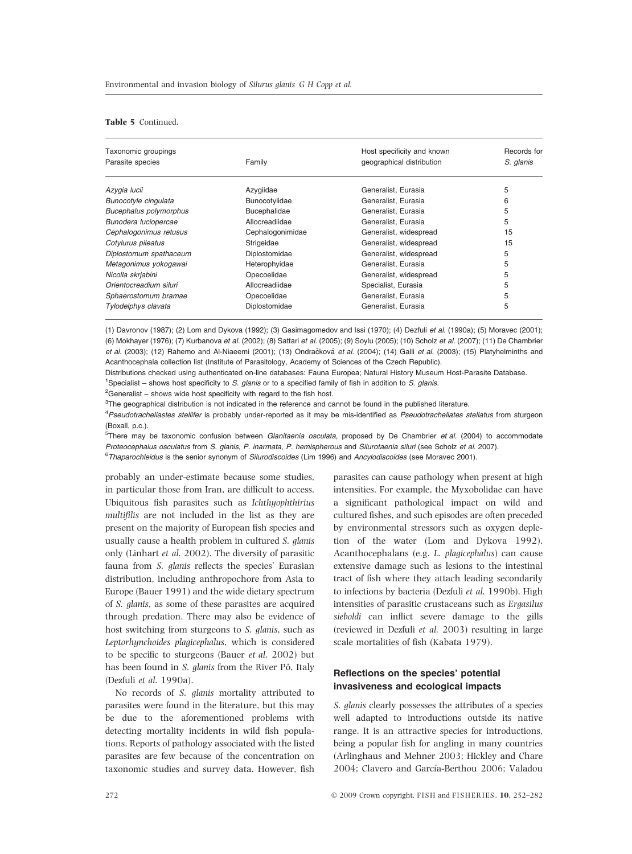## Table 5 Continued.

| Taxonomic groupings    |                     | Host specificity and known | Records for |
|------------------------|---------------------|----------------------------|-------------|
| Parasite species       | Family              | geographical distribution  | S. glanis   |
| Azygia lucii           | Azygiidae           | Generalist, Eurasia        | 5           |
| Bunocotyle cingulata   | Bunocotylidae       | Generalist, Eurasia        | 6           |
| Bucephalus polymorphus | <b>Bucephalidae</b> | Generalist, Eurasia        | 5           |
| Bunodera luciopercae   | Allocreadiidae      | Generalist, Eurasia        | 5           |
| Cephalogonimus retusus | Cephalogonimidae    | Generalist, widespread     | 15          |
| Cotylurus pileatus     | Strigeidae          | Generalist, widespread     | 15          |
| Diplostomum spathaceum | Diplostomidae       | Generalist, widespread     | 5           |
| Metagonimus yokogawai  | Heterophyidae       | Generalist, Eurasia        | 5           |
| Nicolla skrjabini      | Opecoelidae         | Generalist, widespread     | 5           |
| Orientocreadium siluri | Allocreadiidae      | Specialist, Eurasia        | 5           |
| Sphaerostomum bramae   | Opecoelidae         | Generalist, Eurasia        | 5           |
| Tylodelphys clavata    | Diplostomidae       | Generalist. Eurasia        | 5           |

(1) Davronov (1987); (2) Lom and Dykova (1992); (3) Gasimagomedov and Issi (1970); (4) Dezfuli et al. (1990a); (5) Moravec (2001); (6) Mokhayer (1976); (7) Kurbanova et al. (2002); (8) Sattari et al. (2005); (9) Soylu (2005); (10) Scholz et al. (2007); (11) De Chambrier et al. (2003); (12) Rahemo and Al-Niaeemi (2001); (13) Ondračková et al. (2004); (14) Galli et al. (2003); (15) Platyhelminths and Acanthocephala collection list (Institute of Parasitology, Academy of Sciences of the Czech Republic).

Distributions checked using authenticated on-line databases: Fauna Europea; Natural History Museum Host-Parasite Database.

<sup>1</sup>Specialist – shows host specificity to S. glanis or to a specified family of fish in addition to S. glanis.

 ${}^{2}$ Generalist – shows wide host specificity with regard to the fish host.

 $3$ The geographical distribution is not indicated in the reference and cannot be found in the published literature.

<sup>4</sup>Pseudotracheliastes stellifer is probably under-reported as it may be mis-identified as Pseudotracheliates stellatus from sturgeon  $(Roxall, n.c.)$ 

<sup>5</sup>There may be taxonomic confusion between *Glanitaenia osculata*, proposed by De Chambrier *et al.* (2004) to accommodate Proteocephalus osculatus from S. glanis, P. inarmata, P. hemispherous and Silurotaenia siluri (see Scholz et al. 2007).

<sup>6</sup>Thaparochleidus is the senior synonym of Silurodiscoides (Lim 1996) and Ancylodiscoides (see Moravec 2001).

probably an under-estimate because some studies, in particular those from Iran, are difficult to access. Ubiquitous fish parasites such as Ichthyophthirius multifilis are not included in the list as they are present on the majority of European fish species and usually cause a health problem in cultured S. glanis only (Linhart et al. 2002). The diversity of parasitic fauna from S. glanis reflects the species' Eurasian distribution, including anthropochore from Asia to Europe (Bauer 1991) and the wide dietary spectrum of S. glanis, as some of these parasites are acquired through predation. There may also be evidence of host switching from sturgeons to S. glanis, such as Leptorhynchoides plagicephalus, which is considered to be specific to sturgeons (Bauer et al. 2002) but has been found in S. glanis from the River Pô, Italy (Dezfuli et al. 1990a).

No records of S. glanis mortality attributed to parasites were found in the literature, but this may be due to the aforementioned problems with detecting mortality incidents in wild fish populations. Reports of pathology associated with the listed parasites are few because of the concentration on taxonomic studies and survey data. However, fish parasites can cause pathology when present at high intensities. For example, the Myxobolidae can have a significant pathological impact on wild and cultured fishes, and such episodes are often preceded by environmental stressors such as oxygen depletion of the water (Lom and Dykova 1992). Acanthocephalans (e.g. L. plagicephalus) can cause extensive damage such as lesions to the intestinal tract of fish where they attach leading secondarily to infections by bacteria (Dezfuli et al. 1990b). High intensities of parasitic crustaceans such as Ergasilus sieboldi can inflict severe damage to the gills (reviewed in Dezfuli et al. 2003) resulting in large scale mortalities of fish (Kabata 1979).

# Reflections on the species' potential invasiveness and ecological impacts

S. glanis clearly possesses the attributes of a species well adapted to introductions outside its native range. It is an attractive species for introductions, being a popular fish for angling in many countries (Arlinghaus and Mehner 2003; Hickley and Chare 2004; Clavero and García-Berthou 2006; Valadou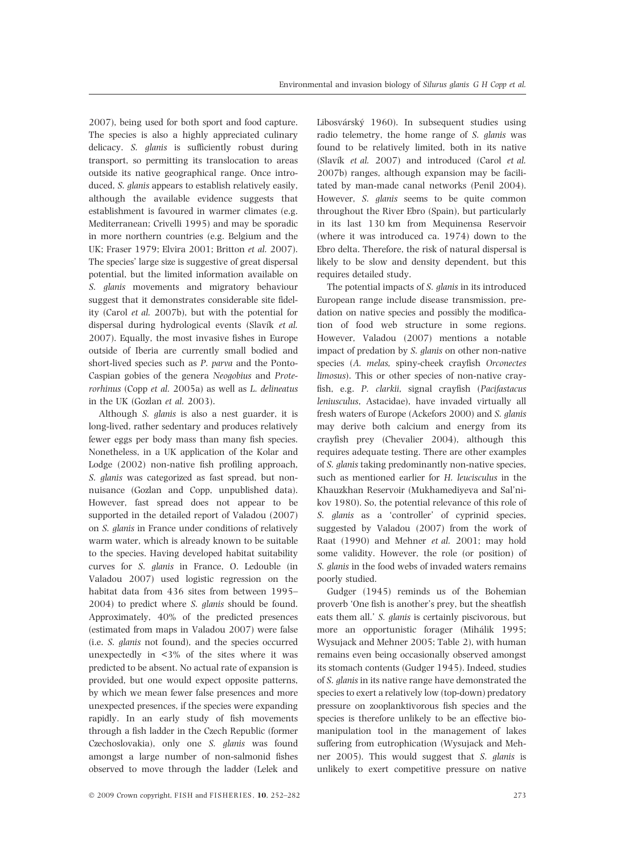2007), being used for both sport and food capture. The species is also a highly appreciated culinary delicacy. S. glanis is sufficiently robust during transport, so permitting its translocation to areas outside its native geographical range. Once introduced. S. *alanis* appears to establish relatively easily, although the available evidence suggests that establishment is favoured in warmer climates (e.g. Mediterranean; Crivelli 1995) and may be sporadic in more northern countries (e.g. Belgium and the UK; Fraser 1979; Elvira 2001; Britton et al. 2007). The species' large size is suggestive of great dispersal potential, but the limited information available on S. glanis movements and migratory behaviour suggest that it demonstrates considerable site fidelity (Carol et al. 2007b), but with the potential for dispersal during hydrological events (Slavík et al. 2007). Equally, the most invasive fishes in Europe outside of Iberia are currently small bodied and short-lived species such as P. parva and the Ponto-Caspian gobies of the genera Neogobius and Proterorhinus (Copp et al. 2005a) as well as L. delineatus in the UK (Gozlan et al. 2003).

Although S. glanis is also a nest guarder, it is long-lived, rather sedentary and produces relatively fewer eggs per body mass than many fish species. Nonetheless, in a UK application of the Kolar and Lodge (2002) non-native fish profiling approach, S. glanis was categorized as fast spread, but nonnuisance (Gozlan and Copp, unpublished data). However, fast spread does not appear to be supported in the detailed report of Valadou (2007) on S. glanis in France under conditions of relatively warm water, which is already known to be suitable to the species. Having developed habitat suitability curves for S. glanis in France, O. Ledouble (in Valadou 2007) used logistic regression on the habitat data from 436 sites from between 1995– 2004) to predict where S. glanis should be found. Approximately, 40% of the predicted presences (estimated from maps in Valadou 2007) were false (i.e. S. glanis not found), and the species occurred unexpectedly in  $\langle 3\% \rangle$  of the sites where it was predicted to be absent. No actual rate of expansion is provided, but one would expect opposite patterns, by which we mean fewer false presences and more unexpected presences, if the species were expanding rapidly. In an early study of fish movements through a fish ladder in the Czech Republic (former Czechoslovakia), only one S. glanis was found amongst a large number of non-salmonid fishes observed to move through the ladder (Lelek and Libosvárský 1960). In subsequent studies using radio telemetry, the home range of S. glanis was found to be relatively limited, both in its native (Slavík et al. 2007) and introduced (Carol et al. 2007b) ranges, although expansion may be facilitated by man-made canal networks (Penil 2004). However, S. glanis seems to be quite common throughout the River Ebro (Spain), but particularly in its last 130 km from Mequinensa Reservoir (where it was introduced ca. 1974) down to the Ebro delta. Therefore, the risk of natural dispersal is likely to be slow and density dependent, but this requires detailed study.

The potential impacts of S. glanis in its introduced European range include disease transmission, predation on native species and possibly the modification of food web structure in some regions. However, Valadou (2007) mentions a notable impact of predation by S. glanis on other non-native species (A. melas, spiny-cheek crayfish Orconectes limosus). This or other species of non-native crayfish, e.g. P. clarkii, signal crayfish (Pacifastacus leniusculus, Astacidae), have invaded virtually all fresh waters of Europe (Ackefors 2000) and S. glanis may derive both calcium and energy from its crayfish prey (Chevalier 2004), although this requires adequate testing. There are other examples of S. glanis taking predominantly non-native species, such as mentioned earlier for H. leucisculus in the Khauzkhan Reservoir (Mukhamediyeva and Sal'nikov 1980). So, the potential relevance of this role of S. *glanis* as a 'controller' of cyprinid species, suggested by Valadou (2007) from the work of Raat (1990) and Mehner et al. 2001; may hold some validity. However, the role (or position) of S. glanis in the food webs of invaded waters remains poorly studied.

Gudger (1945) reminds us of the Bohemian proverb 'One fish is another's prey, but the sheatfish eats them all.' S. glanis is certainly piscivorous, but more an opportunistic forager (Mihálik 1995; Wysujack and Mehner 2005; Table 2), with human remains even being occasionally observed amongst its stomach contents (Gudger 1945). Indeed, studies of S. glanis in its native range have demonstrated the species to exert a relatively low (top-down) predatory pressure on zooplanktivorous fish species and the species is therefore unlikely to be an effective biomanipulation tool in the management of lakes suffering from eutrophication (Wysujack and Mehner 2005). This would suggest that S. glanis is unlikely to exert competitive pressure on native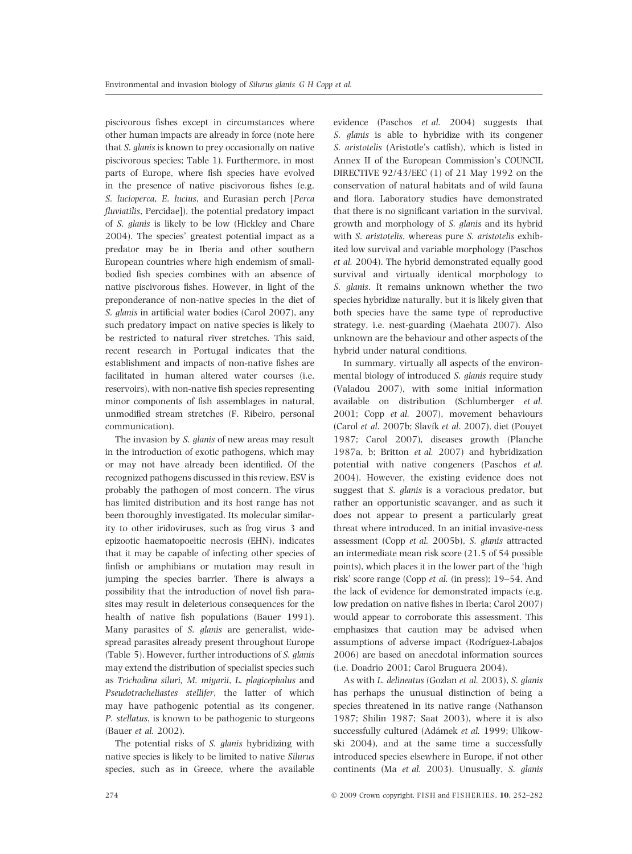piscivorous fishes except in circumstances where other human impacts are already in force (note here that S. glanis is known to prey occasionally on native piscivorous species; Table 1). Furthermore, in most parts of Europe, where fish species have evolved in the presence of native piscivorous fishes (e.g. S. lucioperca, E. lucius, and Eurasian perch [Perca fluviatilis, Percidae]), the potential predatory impact of S. glanis is likely to be low (Hickley and Chare 2004). The species' greatest potential impact as a predator may be in Iberia and other southern European countries where high endemism of smallbodied fish species combines with an absence of native piscivorous fishes. However, in light of the preponderance of non-native species in the diet of S. glanis in artificial water bodies (Carol 2007), any such predatory impact on native species is likely to be restricted to natural river stretches. This said, recent research in Portugal indicates that the establishment and impacts of non-native fishes are facilitated in human altered water courses (i.e. reservoirs), with non-native fish species representing minor components of fish assemblages in natural, unmodified stream stretches (F. Ribeiro, personal communication).

The invasion by *S. glanis* of new areas may result in the introduction of exotic pathogens, which may or may not have already been identified. Of the recognized pathogens discussed in this review, ESV is probably the pathogen of most concern. The virus has limited distribution and its host range has not been thoroughly investigated. Its molecular similarity to other iridoviruses, such as frog virus 3 and epizootic haematopoeitic necrosis (EHN), indicates that it may be capable of infecting other species of finfish or amphibians or mutation may result in jumping the species barrier. There is always a possibility that the introduction of novel fish parasites may result in deleterious consequences for the health of native fish populations (Bauer 1991). Many parasites of S. glanis are generalist, widespread parasites already present throughout Europe (Table 5). However, further introductions of S. glanis may extend the distribution of specialist species such as Trichodina siluri, M. miyarii, L. plagicephalus and Pseudotracheliastes stellifer, the latter of which may have pathogenic potential as its congener, P. stellatus, is known to be pathogenic to sturgeons (Bauer et al. 2002).

The potential risks of S. glanis hybridizing with native species is likely to be limited to native Silurus species, such as in Greece, where the available evidence (Paschos et al. 2004) suggests that S. glanis is able to hybridize with its congener S. aristotelis (Aristotle's catfish), which is listed in Annex II of the European Commission's COUNCIL DIRECTIVE 92/43/EEC (1) of 21 May 1992 on the conservation of natural habitats and of wild fauna and flora. Laboratory studies have demonstrated that there is no significant variation in the survival, growth and morphology of S. glanis and its hybrid with S. aristotelis, whereas pure S. aristotelis exhibited low survival and variable morphology (Paschos et al. 2004). The hybrid demonstrated equally good survival and virtually identical morphology to S. glanis. It remains unknown whether the two species hybridize naturally, but it is likely given that both species have the same type of reproductive strategy, i.e. nest-guarding (Maehata 2007). Also unknown are the behaviour and other aspects of the hybrid under natural conditions.

In summary, virtually all aspects of the environmental biology of introduced S. glanis require study (Valadou 2007), with some initial information available on distribution (Schlumberger et al. 2001; Copp et al. 2007), movement behaviours (Carol et al. 2007b; Slavík et al. 2007), diet (Pouyet 1987; Carol 2007), diseases growth (Planche 1987a, b; Britton et al. 2007) and hybridization potential with native congeners (Paschos et al. 2004). However, the existing evidence does not suggest that S. glanis is a voracious predator, but rather an opportunistic scavanger, and as such it does not appear to present a particularly great threat where introduced. In an initial invasive-ness assessment (Copp et al. 2005b), S. glanis attracted an intermediate mean risk score (21.5 of 54 possible points), which places it in the lower part of the 'high risk' score range (Copp et al. (in press); 19–54. And the lack of evidence for demonstrated impacts (e.g. low predation on native fishes in Iberia; Carol 2007) would appear to corroborate this assessment. This emphasizes that caution may be advised when assumptions of adverse impact (Rodríguez-Labajos 2006) are based on anecdotal information sources (i.e. Doadrio 2001; Carol Bruguera 2004).

As with L. delineatus (Gozlan et al. 2003), S. glanis has perhaps the unusual distinction of being a species threatened in its native range (Nathanson 1987; Shilin 1987; Saat 2003), where it is also successfully cultured (Adámek et al. 1999; Ulikowski 2004), and at the same time a successfully introduced species elsewhere in Europe, if not other continents (Ma et al. 2003). Unusually, S. glanis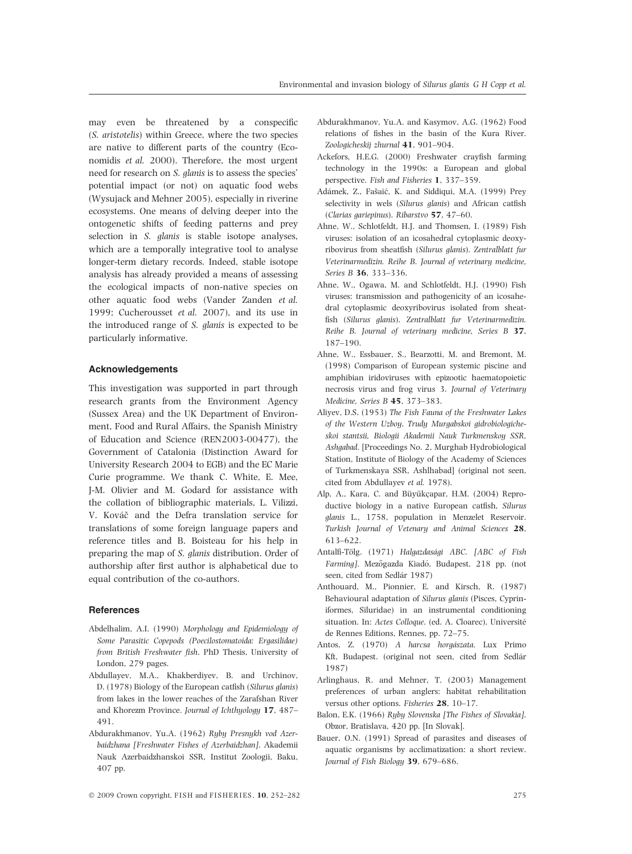may even be threatened by a conspecific (S. aristotelis) within Greece, where the two species are native to different parts of the country (Economidis et al. 2000). Therefore, the most urgent need for research on S. glanis is to assess the species' potential impact (or not) on aquatic food webs (Wysujack and Mehner 2005), especially in riverine ecosystems. One means of delving deeper into the ontogenetic shifts of feeding patterns and prey selection in S. *glanis* is stable isotope analyses, which are a temporally integrative tool to analyse longer-term dietary records. Indeed, stable isotope analysis has already provided a means of assessing the ecological impacts of non-native species on other aquatic food webs (Vander Zanden et al. 1999; Cucherousset et al. 2007), and its use in the introduced range of S. glanis is expected to be particularly informative.

### Acknowledgements

This investigation was supported in part through research grants from the Environment Agency (Sussex Area) and the UK Department of Environment, Food and Rural Affairs, the Spanish Ministry of Education and Science (REN2003-00477), the Government of Catalonia (Distinction Award for University Research 2004 to EGB) and the EC Marie Curie programme. We thank C. White, E. Mee, J-M. Olivier and M. Godard for assistance with the collation of bibliographic materials, L. Vilizzi, V. Kováč and the Defra translation service for translations of some foreign language papers and reference titles and B. Boisteau for his help in preparing the map of S. glanis distribution. Order of authorship after first author is alphabetical due to equal contribution of the co-authors.

# **References**

- Abdelhalim, A.I. (1990) Morphology and Epidemiology of Some Parasitic Copepods (Poecilostomatoida: Ergasilidae) from British Freshwater fish. PhD Thesis, University of London, 279 pages.
- Abdullayev, M.A., Khakberdiyev, B. and Urchinov, D. (1978) Biology of the European catfish (Silurus glanis) from lakes in the lower reaches of the Zarafshan River and Khorezm Province. Journal of Ichthyology 17, 487– 491.
- Abdurakhmanov, Yu.A. (1962) Ryby Presnykh vod Azerbaidzhana [Freshwater Fishes of Azerbaidzhan]. Akademii Nauk Azerbaidzhanskoi SSR, Institut Zoologii, Baku, 407 pp.
- Abdurakhmanov, Yu.A. and Kasymov, A.G. (1962) Food relations of fishes in the basin of the Kura River. Zoologicheskij zhurnal 41, 901–904.
- Ackefors, H.E.G. (2000) Freshwater crayfish farming technology in the 1990s: a European and global perspective. Fish and Fisheries 1, 337–359.
- Adámek, Z., Fašaić, K. and Siddiqui, M.A. (1999) Prey selectivity in wels (Silurus glanis) and African catfish (Clarias gariepinus). Ribarstvo 57, 47–60.
- Ahne, W., Schlotfeldt, H.J. and Thomsen, I. (1989) Fish viruses: isolation of an icosahedral cytoplasmic deoxyribovirus from sheatfish (Silurus glanis). Zentralblatt fur Veterinarmedizin. Reihe B. Journal of veterinary medicine, Series B 36, 333–336.
- Ahne, W., Ogawa, M. and Schlotfeldt, H.J. (1990) Fish viruses: transmission and pathogenicity of an icosahedral cytoplasmic deoxyribovirus isolated from sheatfish (Silurus glanis). Zentralblatt fur Veterinarmedizin. Reihe B. Journal of veterinary medicine, Series B 37, 187–190.
- Ahne, W., Essbauer, S., Bearzotti, M. and Bremont, M. (1998) Comparison of European systemic piscine and amphibian iridoviruses with epizootic haematopoietic necrosis virus and frog virus 3. Journal of Veterinary Medicine, Series B 45, 373–383.
- Aliyev, D.S. (1953) The Fish Fauna of the Freshwater Lakes of the Western Uzboy. Trudy Murgabskoi gidrobiologicheskoi stantsii, Biologii Akademii Nauk Turkmenskoy SSR, Ashgabad. [Proceedings No. 2, Murghab Hydrobiological Station, Institute of Biology of the Academy of Sciences of Turkmenskaya SSR, Ashlhabad] (original not seen, cited from Abdullayev et al. 1978).
- Alp, A., Kara, C. and Büyükçapar, H.M. (2004) Reproductive biology in a native European catfish, Silurus glanis L., 1758, population in Menzelet Reservoir. Turkish Journal of Vetenary and Animal Sciences 28, 613–622.
- Antalfi-Tölg. (1971) Halgazdasági ABC. [ABC of Fish Farming]. Mezőgazda Kiadó, Budapest, 218 pp. (not seen, cited from Sedlár 1987)
- Anthouard, M., Pionnier, E. and Kirsch, R. (1987) Behavioural adaptation of Silurus glanis (Pisces, Cypriniformes, Siluridae) in an instrumental conditioning situation. In: Actes Colloque. (ed. A. Cloarec), Université de Rennes Editions, Rennes, pp. 72–75.
- Antos, Z. (1970) A harcsa horgászata. Lux Primo Kft, Budapest. (original not seen, cited from Sedlár 1987)
- Arlinghaus, R. and Mehner, T. (2003) Management preferences of urban anglers: habitat rehabilitation versus other options. Fisheries 28, 10–17.
- Balon, E.K. (1966) Ryby Slovenska [The Fishes of Slovakia]. Obzor, Bratislava, 420 pp. [In Slovak].
- Bauer, O.N. (1991) Spread of parasites and diseases of aquatic organisms by acclimatization: a short review. Journal of Fish Biology 39, 679–686.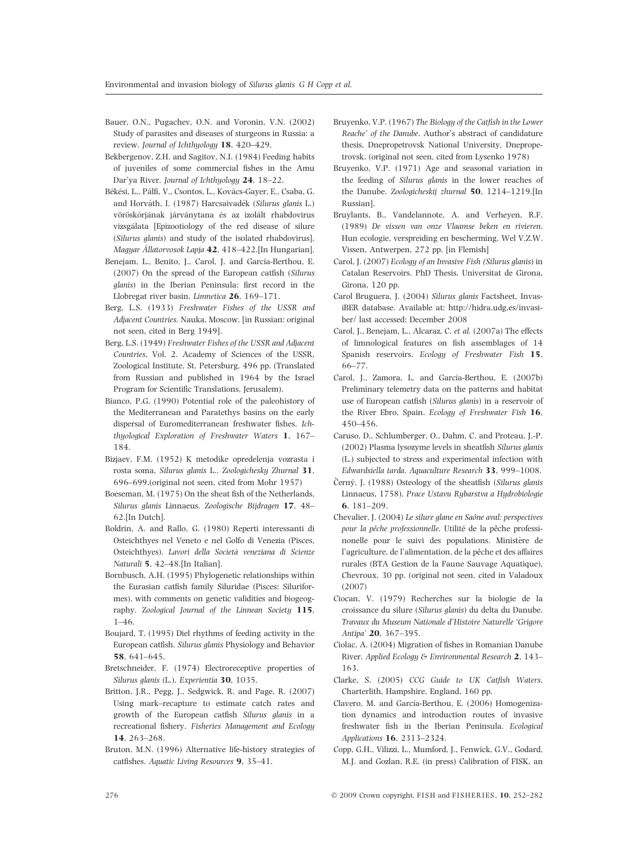- Bauer, O.N., Pugachev, O.N. and Voronin, V.N. (2002) Study of parasites and diseases of sturgeons in Russia: a review. Journal of Ichthyology 18, 420–429.
- Bekbergenov, Z.H. and Sagitov, N.I. (1984) Feeding habits of juveniles of some commercial fishes in the Amu Dar'ya River. Journal of Ichthyology 24, 18–22.
- Békési, L., Pálfi, V., Csontos, L., Kovács-Gayer, E., Csaba, G. and Horváth, I. (1987) Harcsaivadék (Silurus glanis L.) vöröskórjának járványtana és az izolált rhabdovirus vizsgálata [Epizootiology of the red disease of silure (Silurus glanis) and study of the isolated rhabdovirus]. Magyar Állatorvosok Lapja 42, 418–422.[In Hungarian].
- Benejam, L., Benito, J., Carol, J. and García-Berthou, E. (2007) On the spread of the European catfish (Silurus glanis) in the Iberian Peninsula: first record in the Llobregat river basin. Limnetica 26, 169–171.
- Berg, L.S. (1933) Freshwater Fishes of the USSR and Adjacent Countries. Nauka, Moscow. [in Russian: original not seen, cited in Berg 1949].
- Berg, L.S. (1949) Freshwater Fishes of the USSR and Adjacent Countries, Vol. 2. Academy of Sciences of the USSR, Zoological Institute, St. Petersburg, 496 pp. (Translated from Russian and published in 1964 by the Israel Program for Scientific Translations, Jerusalem).
- Bianco, P.G. (1990) Potential role of the paleohistory of the Mediterranean and Paratethys basins on the early dispersal of Euromediterranean freshwater fishes. Ichthyological Exploration of Freshwater Waters 1, 167– 184.
- Bizjaev, F.M. (1952) K metodike opredelenja vozrasta i rosta soma, Silurus glanis L.. Zoologichesky Zhurnal 31, 696–699.(original not seen, cited from Mohr 1957)
- Boeseman, M. (1975) On the sheat fish of the Netherlands, Silurus glanis Linnaeus. Zoologische Bijdragen 17, 48– 62.[In Dutch].
- Boldrin, A. and Rallo, G. (1980) Reperti interessanti di Osteichthyes nel Veneto e nel Golfo di Venezia (Pisces, Osteichthyes). Lavori della Società veneziana di Scienze Naturali 5, 42–48.[In Italian].
- Bornbusch, A.H. (1995) Phylogenetic relationships within the Eurasian catfish family Siluridae (Pisces: Siluriformes), with comments on genetic validities and biogeography. Zoological Journal of the Linnean Society 115, 1–46.
- Boujard, T. (1995) Diel rhythms of feeding activity in the European catfish. Silurus glanis Physiology and Behavior 58, 641–645.
- Bretschneider, F. (1974) Electroreceptive properties of Silurus glanis (L.). Experientia 30, 1035.
- Britton, J.R., Pegg, J., Sedgwick, R. and Page, R. (2007) Using mark–recapture to estimate catch rates and growth of the European catfish Silurus glanis in a recreational fishery. Fisheries Management and Ecology 14, 263–268.
- Bruton, M.N. (1996) Alternative life-history strategies of catfishes. Aquatic Living Resources 9, 35–41.
- Bruyenko, V.P. (1967) The Biology of the Catfish in the Lower Reache' of the Danube. Author's abstract of candidature thesis, Dnepropetrovsk National University, Dnepropetrovsk. (original not seen, cited from Lysenko 1978)
- Bruyenko, V.P. (1971) Age and seasonal variation in the feeding of Silurus glanis in the lower reaches of the Danube. Zoologicheskij zhurnal 50, 1214–1219.[In Russian].
- Bruylants, B., Vandelannote, A. and Verheyen, R.F. (1989) De vissen van onze Vlaamse beken en rivieren. Hun ecologie, verspreiding en bescherming. Wel V.Z.W. Vissen, Antwerpen, 272 pp. [in Flemish]
- Carol, J. (2007) Ecology of an Invasive Fish (Silurus glanis) in Catalan Reservoirs. PhD Thesis, Universitat de Girona, Girona, 120 pp.
- Carol Bruguera, J. (2004) Silurus glanis Factsheet, InvasiBER database. Available at: http://hidra.udg.es/invasiber/ last accessed: December 2008
- Carol, J., Benejam, L., Alcaraz, C. et al. (2007a) The effects of limnological features on fish assemblages of 14 Spanish reservoirs. Ecology of Freshwater Fish 15, 66–77.
- Carol, J., Zamora, L. and García-Berthou, E. (2007b) Preliminary telemetry data on the patterns and habitat use of European catfish (Silurus glanis) in a reservoir of the River Ebro, Spain. Ecology of Freshwater Fish 16, 450–456.
- Caruso, D., Schlumberger, O., Dahm, C. and Proteau, J.-P. (2002) Plasma lysozyme levels in sheatfish Silurus glanis (L.) subjected to stress and experimental infection with Edwardsiella tarda. Aquaculture Research 33, 999–1008.
- Černý, J. (1988) Osteology of the sheatfish (Silurus glanis Linnaeus, 1758). Prace Ustavu Rybarstva a Hydrobiologie 6, 181–209.
- Chevalier, J. (2004) Le silure glane en Saône aval: perspectives pour la pêche professionnelle. Utilité de la pêche professinonelle pour le suivi des populations. Ministère de l'agriculture, de l'alimentation, de la pêche et des affaires rurales (BTA Gestion de la Faune Sauvage Aquatique), Chevroux, 30 pp. (original not seen, cited in Valadoux (2007)
- Ciocan, V. (1979) Recherches sur la biologie de la croissance du silure (Silurus glanis) du delta du Danube. Travaux du Museum Nationale d'Histoire Naturelle 'Grigore Antipa' 20, 367–395.
- Ciolac, A. (2004) Migration of fishes in Romanian Danube River. Applied Ecology & Environmental Research 2, 143– 163.
- Clarke, S. (2005) CCG Guide to UK Catfish Waters. Charterlith, Hampshire, England, 160 pp.
- Clavero, M. and García-Berthou, E. (2006) Homogenization dynamics and introduction routes of invasive freshwater fish in the Iberian Peninsula. Ecological Applications 16, 2313–2324.
- Copp, G.H., Vilizzi, L., Mumford, J., Fenwick, G.V., Godard, M.J. and Gozlan, R.E. (in press) Calibration of FISK, an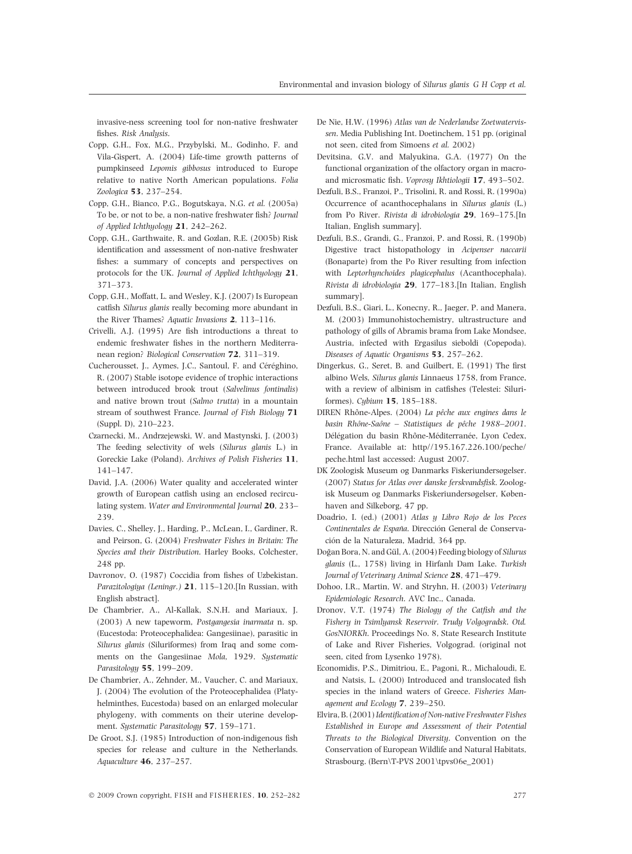invasive-ness screening tool for non-native freshwater fishes. Risk Analysis.

- Copp, G.H., Fox, M.G., Przybylski, M., Godinho, F. and Vila-Gispert, A. (2004) Life-time growth patterns of pumpkinseed Lepomis gibbosus introduced to Europe relative to native North American populations. Folia Zoologica 53, 237–254.
- Copp, G.H., Bianco, P.G., Bogutskaya, N.G. et al. (2005a) To be, or not to be, a non-native freshwater fish? Journal of Applied Ichthyology 21, 242–262.
- Copp, G.H., Garthwaite, R. and Gozlan, R.E. (2005b) Risk identification and assessment of non-native freshwater fishes: a summary of concepts and perspectives on protocols for the UK. Journal of Applied Ichthyology 21, 371–373.
- Copp, G.H., Moffatt, L. and Wesley, K.J. (2007) Is European catfish Silurus glanis really becoming more abundant in the River Thames? Aquatic Invasions 2, 113–116.
- Crivelli, A.J. (1995) Are fish introductions a threat to endemic freshwater fishes in the northern Mediterranean region? Biological Conservation 72, 311–319.
- Cucherousset, J., Aymes, J.C., Santoul, F. and Céréghino, R. (2007) Stable isotope evidence of trophic interactions between introduced brook trout (Salvelinus fontinalis) and native brown trout (Salmo trutta) in a mountain stream of southwest France. Journal of Fish Biology 71 (Suppl. D), 210–223.
- Czarnecki, M., Andrzejewski, W. and Mastynski, J. (2003) The feeding selectivity of wels (Silurus glanis L.) in Goreckie Lake (Poland). Archives of Polish Fisheries 11, 141–147.
- David, J.A. (2006) Water quality and accelerated winter growth of European catfish using an enclosed recirculating system. Water and Environmental Journal 20, 233– 239.
- Davies, C., Shelley, J., Harding, P., McLean, I., Gardiner, R. and Peirson, G. (2004) Freshwater Fishes in Britain: The Species and their Distribution. Harley Books, Colchester, 248 pp.
- Davronov, O. (1987) Coccidia from fishes of Uzbekistan. Parazitologiya (Leningr.) 21, 115-120.[In Russian, with English abstract].
- De Chambrier, A., Al-Kallak, S.N.H. and Mariaux, J. (2003) A new tapeworm, Postgangesia inarmata n. sp. (Eucestoda: Proteocephalidea: Gangesiinae), parasitic in Silurus glanis (Siluriformes) from Iraq and some comments on the Gangesiinae Mola, 1929. Systematic Parasitology 55, 199–209.
- De Chambrier, A., Zehnder, M., Vaucher, C. and Mariaux, J. (2004) The evolution of the Proteocephalidea (Platyhelminthes, Eucestoda) based on an enlarged molecular phylogeny, with comments on their uterine development. Systematic Parasitology 57, 159–171.
- De Groot, S.J. (1985) Introduction of non-indigenous fish species for release and culture in the Netherlands. Aquaculture 46, 237–257.
- De Nie, H.W. (1996) Atlas van de Nederlandse Zoetwatervissen. Media Publishing Int. Doetinchem, 151 pp. (original not seen, cited from Simoens et al. 2002)
- Devitsina, G.V. and Malyukina, G.A. (1977) On the functional organization of the olfactory organ in macroand microsmatic fish. Voprosy Ikhtiologii 17, 493–502.
- Dezfuli, B.S., Franzoi, P., Trisolini, R. and Rossi, R. (1990a) Occurrence of acanthocephalans in Silurus glanis (L.) from Po River. Rivista di idrobiologia 29, 169–175.[In Italian, English summary].
- Dezfuli, B.S., Grandi, G., Franzoi, P. and Rossi, R. (1990b) Digestive tract histopathology in Acipenser naccarii (Bonaparte) from the Po River resulting from infection with Leptorhynchoides plagicephalus (Acanthocephala). Rivista di idrobiologia 29, 177–183.[In Italian, English summary].
- Dezfuli, B.S., Giari, L., Konecny, R., Jaeger, P. and Manera, M. (2003) Immunohistochemistry, ultrastructure and pathology of gills of Abramis brama from Lake Mondsee, Austria, infected with Ergasilus sieboldi (Copepoda). Diseases of Aquatic Organisms 53, 257–262.
- Dingerkus, G., Seret, B. and Guilbert, E. (1991) The first albino Wels, Silurus glanis Linnaeus 1758, from France, with a review of albinism in catfishes (Telestei: Siluriformes). Cybium 15, 185–188.
- DIREN Rhône-Alpes. (2004) La pêche aux engines dans le basin Rhône-Saône – Statistiques de pêche 1988–2001. Délégation du basin Rhône-Méditerranée, Lyon Cedex, France. Available at: http//195.167.226.100/peche/ peche.html last accessed: August 2007.
- DK Zoologisk Museum og Danmarks Fiskeriundersøgelser. (2007) Status for Atlas over danske ferskvandsfisk. Zoologisk Museum og Danmarks Fiskeriundersøgelser, Københaven and Silkeborg, 47 pp.
- Doadrio, I. (ed.) (2001) Atlas y Libro Rojo de los Peces Continentales de España. Dirección General de Conservación de la Naturaleza, Madrid, 364 pp.
- Doğan Bora, N. and Gül, A. (2004) Feeding biology of Silurus glanis (L., 1758) living in Hirfanlı Dam Lake. Turkish Journal of Veterinary Animal Science 28, 471–479.
- Dohoo, I.R., Martin, W. and Stryhn, H. (2003) Veterinary Epidemiologic Research. AVC Inc., Canada.
- Dronov, V.T. (1974) The Biology of the Catfish and the Fishery in Tsimlyansk Reservoir. Trudy Volgogradsk. Otd. GosNIORKh. Proceedings No. 8, State Research Institute of Lake and River Fisheries, Volgograd. (original not seen, cited from Lysenko 1978).
- Economidis, P.S., Dimitriou, E., Pagoni, R., Michaloudi, E. and Natsis, L. (2000) Introduced and translocated fish species in the inland waters of Greece. Fisheries Management and Ecology 7, 239–250.
- Elvira, B. (2001) Identification of Non-native Freshwater Fishes Established in Europe and Assessment of their Potential Threats to the Biological Diversity. Convention on the Conservation of European Wildlife and Natural Habitats, Strasbourg. (Bern\T-PVS 2001\tpvs06e\_2001)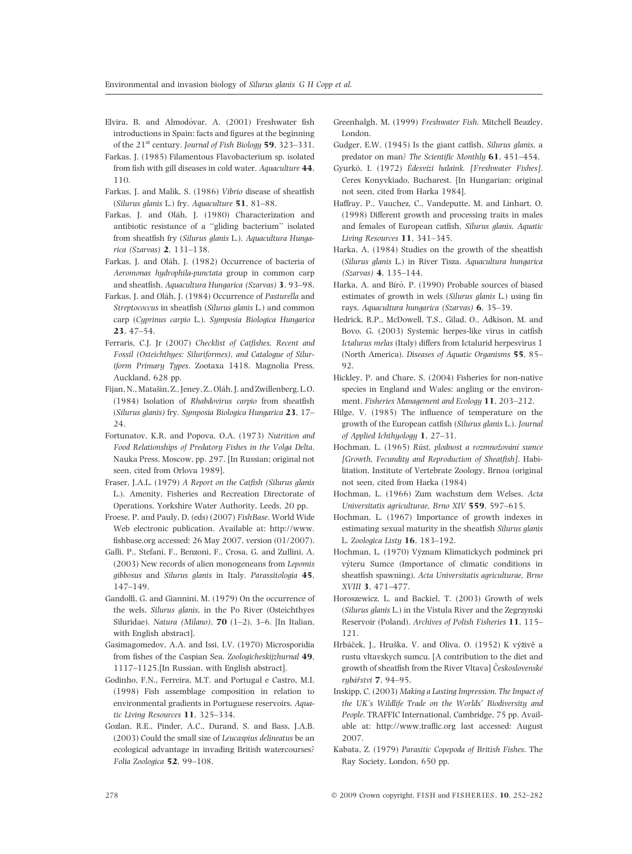- Elvira, B. and Almodóvar, A. (2001) Freshwater fish introductions in Spain: facts and figures at the beginning of the  $21^{st}$  century. Journal of Fish Biology 59, 323–331.
- Farkas, J. (1985) Filamentous Flavobacterium sp. isolated from fish with gill diseases in cold water. Aquaculture 44, 110.
- Farkas, J. and Malik, S. (1986) Vibrio disease of sheatfish (Silurus glanis L.) fry. Aquaculture 51, 81–88.
- Farkas, J. and Oláh, J. (1980) Characterization and antibiotic resistance of a ''gliding bacterium'' isolated from sheatfish fry (Silurus glanis L.). Aquacultura Hungarica (Szarvas) 2, 131–138.
- Farkas, J. and Oláh, J. (1982) Occurrence of bacteria of Aeromonas hydrophila-punctata group in common carp and sheatfish. Aquacultura Hungarica (Szarvas) 3, 93–98.
- Farkas, J. and Oláh, J. (1984) Occurrence of Pasturella and Streptococcus in sheatfish (Silurus glanis L.) and common carp (Cyprinus carpio L.). Symposia Biologica Hungarica 23, 47–54.
- Ferraris, C.J. Jr (2007) Checklist of Catfishes, Recent and Fossil (Osteichthyes: Siluriformes), and Catalogue of Siluriform Primary Types. Zootaxa 1418. Magnolia Press, Auckland, 628 pp.
- Fijan, N., Matašin, Z., Jeney, Z., Oláh, J. and Zwillenberg, L.O. (1984) Isolation of Rhabdovirus carpio from sheatfish (Silurus glanis) fry. Symposia Biologica Hungarica 23, 17– 24.
- Fortunatov, K.R. and Popova, O.A. (1973) Nutrition and Food Relationships of Predatory Fishes in the Volga Delta. Nauka Press, Moscow, pp. 297. [In Russian; original not seen, cited from Orlova 1989].
- Fraser, J.A.L. (1979) A Report on the Catfish (Silurus glanis L.). Amenity, Fisheries and Recreation Directorate of Operations, Yorkshire Water Authority, Leeds, 20 pp.
- Froese, P. and Pauly, D. (eds) (2007) FishBase. World Wide Web electronic publication. Available at: http://www. fishbase.org accessed: 26 May 2007, version (01/2007).
- Galli, P., Stefani, F., Benzoni, F., Crosa, G. and Zullini, A. (2003) New records of alien monogeneans from Lepomis gibbosus and Silurus glanis in Italy. Parassitologia 45, 147–149.
- Gandolfi, G. and Giannini, M. (1979) On the occurrence of the wels, Silurus glanis, in the Po River (Osteichthyes Siluridae). Natura (Milano), 70 (1–2), 3–6. [In Italian, with English abstract].
- Gasimagomedov, A.A. and Issi, I.V. (1970) Microsporidia from fishes of the Caspian Sea. Zoologicheskijzhurnal 49, 1117–1125.[In Russian, with English abstract].
- Godinho, F.N., Ferreira, M.T. and Portugal e Castro, M.I. (1998) Fish assemblage composition in relation to environmental gradients in Portuguese reservoirs. Aquatic Living Resources 11, 325–334.
- Gozlan, R.E., Pinder, A.C., Durand, S. and Bass, J.A.B. (2003) Could the small size of Leucaspius delineatus be an ecological advantage in invading British watercourses? Folia Zoologica 52, 99–108.
- Greenhalgh, M. (1999) Freshwater Fish. Mitchell Beazley, London.
- Gudger, E.W. (1945) Is the giant catfish, Silurus glanis, a predator on man? The Scientific Monthly 61, 451–454.
- Gyurkó, I. (1972) Édesvízi halaink. [Freshwater Fishes]. Ceres Konyvkiado, Bucharest. [In Hungarian; original not seen, cited from Harka 1984].
- Haffray, P., Vauchez, C., Vandeputte, M. and Linhart, O. (1998) Different growth and processing traits in males and females of European catfish, Silurus glanis. Aquatic Living Resources 11, 341–345.
- Harka, A. (1984) Studies on the growth of the sheatfish (Silurus glanis L.) in River Tisza. Aquacultura hungarica (Szarvas) 4, 135–144.
- Harka, A. and Bíró, P. (1990) Probable sources of biased estimates of growth in wels (Silurus glanis L.) using fin rays. Aquacultura hungarica (Szarvas) 6, 35–39.
- Hedrick, R.P., McDowell, T.S., Gilad, O., Adkison, M. and Bovo, G. (2003) Systemic herpes-like virus in catfish Ictalurus melas (Italy) differs from Ictalurid herpesvirus 1 (North America). Diseases of Aquatic Organisms 55, 85– 92.
- Hickley, P. and Chare, S. (2004) Fisheries for non-native species in England and Wales: angling or the environment. Fisheries Management and Ecology 11, 203–212.
- Hilge, V. (1985) The influence of temperature on the growth of the European catfish (Silurus glanis L.). Journal of Applied Ichthyology 1, 27–31.
- Hochman, L. (1965) Růst, plodnost a rozmnožování sumce [Growth, Fecundity and Reproduction of Sheatfish]. Habilitation, Institute of Vertebrate Zoology, Brnoa (original not seen, cited from Harka (1984)
- Hochman, L. (1966) Zum wachstum dem Welses. Acta Universitatis agriculturae, Brno XIV 559, 597–615.
- Hochman, L. (1967) Importance of growth indexes in estimating sexual maturity in the sheatfish Silurus glanis L. Zoologica Listy 16, 183–192.
- Hochman, L. (1970) Význam Klimatickych podminek pri výteru Sumce (Importance of climatic conditions in sheatfish spawning). Acta Universitatis agriculturae, Brno XVIII 3, 471–477.
- Horoszewicz, L. and Backiel, T. (2003) Growth of wels (Silurus glanis L.) in the Vistula River and the Zegrzynski Reservoir (Poland). Archives of Polish Fisheries 11, 115– 121.
- Hrbáček, J., Hruška, V. and Oliva, O. (1952) K výživě a rustu vltavskych sumcu. [A contribution to the diet and growth of sheatfish from the River Vltava] Československé rubářstvi 7, 94–95.
- Inskipp, C. (2003) Making a Lasting Impression. The Impact of the UK's Wildlife Trade on the Worlds' Biodiversity and People. TRAFFIC International, Cambridge, 75 pp. Available at: http://www.traffic.org last accessed: August 2007.
- Kabata, Z. (1979) Parasitic Copepoda of British Fishes. The Ray Society, London, 650 pp.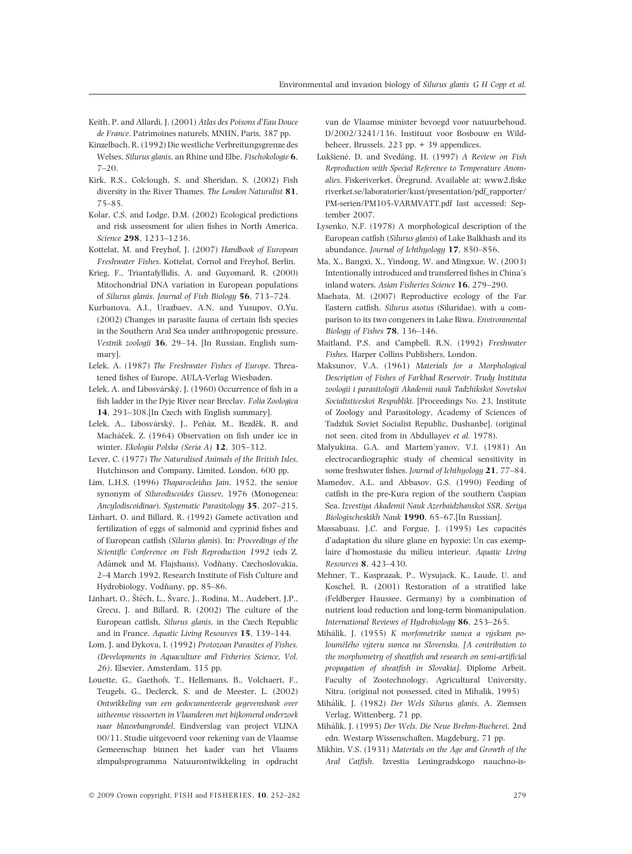- Keith, P. and Allardi, J. (2001) Atlas des Poisons d'Eau Douce de France. Patrimoines naturels, MNHN, Paris, 387 pp.
- Kinzelbach, R. (1992) Die westliche Verbreitungsgrenze des Welses, Silurus glanis, an Rhine und Elbe. Fischokologie 6, 7–20.
- Kirk, R.S., Colclough, S. and Sheridan, S. (2002) Fish diversity in the River Thames. The London Naturalist 81, 75–85.
- Kolar, C.S. and Lodge, D.M. (2002) Ecological predictions and risk assessment for alien fishes in North America. Science 298, 1233–1236.
- Kottelat, M. and Freyhof, J. (2007) Handbook of European Freshwater Fishes. Kottelat, Cornol and Freyhof, Berlin.
- Krieg, F., Triantafyllidis, A. and Guyomard, R. (2000) Mitochondrial DNA variation in European populations of Silurus glanis. Journal of Fish Biology 56, 713–724.
- Kurbanova, A.I., Urazbaev, A.N. and Yusupov, O.Yu. (2002) Changes in parasite fauna of certain fish species in the Southern Aral Sea under anthropogenic pressure. Vestnik zoologii 36, 29–34. [In Russian, English summary].
- Lelek, A. (1987) The Freshwater Fishes of Europe. Threatened fishes of Europe, AULA-Verlag Wiesbaden.
- Lelek, A. and Libosvárský, J. (1960) Occurrence of fish in a fish ladder in the Dyje River near Breclav. Folia Zoologica 14, 293–308.[In Czech with English summary].
- Lelek, A., Libosvárský, J., Peňáz, M., Bezděk, R. and Macháček, Z. (1964) Observation on fish under ice in winter. Ekologia Polska (Seria A) 12, 305–312.
- Lever, C. (1977) The Naturalised Animals of the British Isles. Hutchinson and Company, Limited, London, 600 pp.
- Lim, L.H.S. (1996) Thaparocleidus Jain, 1952, the senior synonym of Silurodiscoides Gussev, 1976 (Monogenea: Ancylodiscoidinae). Systematic Parasitology 35, 207–215.
- Linhart, O. and Billard, R. (1992) Gamete activation and fertilization of eggs of salmonid and cyprinid fishes and of European catfish (Silurus glanis). In: Proceedings of the Scientific Conference on Fish Reproduction 1992 (eds Z. Adámek and M. Flajshans), Vodňany, Czechoslovakia, 2–4 March 1992, Research Institute of Fish Culture and Hydrobiology, Vodňany, pp. 85–86.
- Linhart, O., Štěch, L., Švarc, J., Rodina, M., Audebert, J.P., Grecu, J. and Billard, R. (2002) The culture of the European catfish, Silurus glanis, in the Czech Republic and in France. Aquatic Living Resources 15, 139–144.
- Lom, J. and Dykova, I. (1992) Protozoan Parasites of Fishes. (Developments in Aquaculture and Fisheries Science, Vol. 26). Elsevier, Amsterdam, 315 pp.
- Louette, G., Gaethofs, T., Hellemans, B., Volchaert, F., Teugels, G., Declerck, S. and de Meester, L. (2002) Ontwikkeling van een gedocumenteerde gegevensbank over uitheemse vissoorten in Vlaanderen met bijkomend onderzoek naar blauwbangrondel. Eindverslag van project VLINA 00/11. Studie uitgevoerd voor rekening van de Vlaamse Gemeenschap binnen het kader van het Vlaams zImpulsprogramma Natuurontwikkeling in opdracht

van de Vlaamse minister bevoegd voor natuurbehoud. D/2002/3241/136. Instituut voor Bosbouw en Wildbeheer, Brussels. 223 pp. + 39 appendices.

- Lukšienė, D. and Svedäng, H. (1997) A Review on Fish Reproduction with Special Reference to Temperature Anomalies. Fiskeriverket, Öregrund. Available at: www2.fiske riverket.se/laboratorier/kust/presentation/pdf\_rapporter/ PM-serien/PM105-VARMVATT.pdf last accessed: September 2007.
- Lysenko, N.F. (1978) A morphological description of the European catfish (Silurus glanis) of Lake Balkhash and its abundance. Journal of Ichthyology 17, 850–856.
- Ma, X., Bangxi, X., Yindong, W. and Mingxue, W. (2003) Intentionally introduced and transferred fishes in China's inland waters. Asian Fisheries Science 16, 279–290.
- Maehata, M. (2007) Reproductive ecology of the Far Eastern catfish, Silurus asotus (Siluridae), with a comparison to its two congeners in Lake Biwa. Environmental Biology of Fishes 78, 136–146.
- Maitland, P.S. and Campbell, R.N. (1992) Freshwater Fishes. Harper Collins Publishers, London.
- Maksunov, V.A. (1961) Materials for a Morphological Description of Fishes of Farkhad Reservoir. Trudy Instituta zoologii i parasitologii Akademii nauk Tadzhikskoi Sovetskoi Socialisticeskoi Respubliki. [Proceedings No. 23, Institute of Zoology and Parasitology, Academy of Sciences of Tadzhik Soviet Socialist Republic, Dushanbe]. (original not seen, cited from in Abdullayev et al. 1978).
- Malyukina, G.A. and Martem'yanov, V.I. (1981) An electrocardiographic study of chemical sensitivity in some freshwater fishes. Journal of Ichthyology 21, 77–84.
- Mamedov, A.L. and Abbasov, G.S. (1990) Feeding of catfish in the pre-Kura region of the southern Caspian Sea. Izvestiya Akademii Nauk Azerbaidzhanskoi SSR, Seriya Biologischeskikh Nauk 1990, 65–67.[In Russian].
- Massabuau, J.C. and Forgue, J. (1995) Les capacités d'adaptation du silure glane en hypoxie: Un cas exemplaire d'homostasie du milieu interieur. Aquatic Living Resources 8, 423–430.
- Mehner, T., Kasprazak, P., Wysujack, K., Laude, U. and Koschel, R. (2001) Restoration of a stratified lake (Feldberger Haussee, Germany) by a combination of nutrient load reduction and long-term biomanipulation. International Reviews of Hydrobiology 86, 253–265.
- Mihálik, J. (1955) K morfometrike sumca a výskum poloumělého výteru sumca na Slovensku. [A contribution to the morphometry of sheatfish and research on semi-artificial propagation of sheatfish in Slovakia]. Diplome Arbeit, Faculty of Zootechnology, Agricultural University, Nitra. (original not possessed, cited in Mihalik, 1995)
- Mihálik, J. (1982) Der Wels Silurus glanis. A. Ziemsen Verlag, Wittenberg, 71 pp.
- Mihálik, J. (1995) Der Wels. Die Neue Brehm-Bucherei, 2nd edn. Westarp Wissenschaften, Magdeburg, 71 pp.
- Mikhin, V.S. (1931) Materials on the Age and Growth of the Aral Catfish. Izvestia Leningradskogo nauchno-is-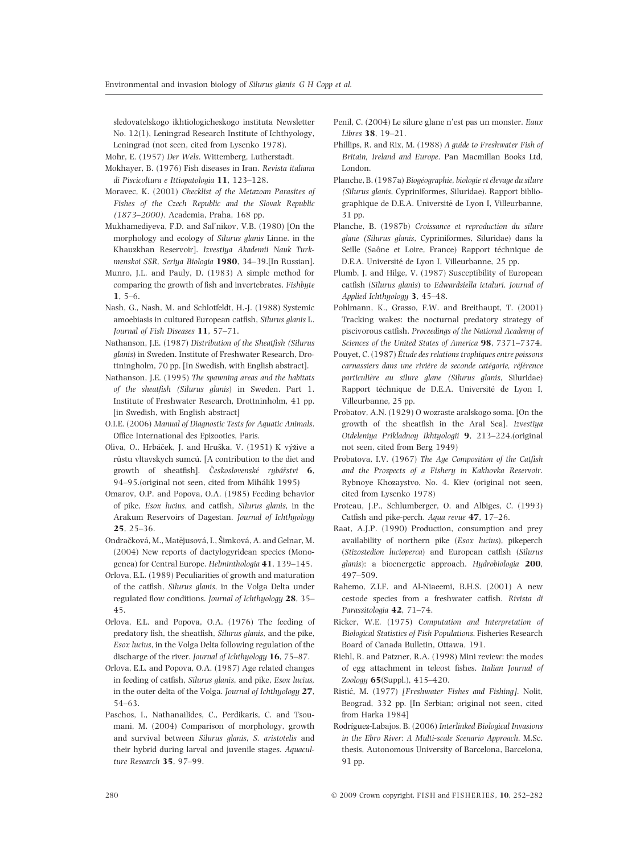sledovatelskogo ikhtiologicheskogo instituta Newsletter No. 12(1), Leningrad Research Institute of Ichthyology, Leningrad (not seen, cited from Lysenko 1978).

Mohr, E. (1957) Der Wels. Wittemberg, Lutherstadt.

- Mokhayer, B. (1976) Fish diseases in Iran. Revista italiana di Piscicoltura e Ittiopatologia 11, 123–128.
- Moravec, K. (2001) Checklist of the Metazoan Parasites of Fishes of the Czech Republic and the Slovak Republic (1873–2000). Academia, Praha, 168 pp.
- Mukhamediyeva, F.D. and Sal'nikov, V.B. (1980) [On the morphology and ecology of Silurus glanis Linne. in the Khauzkhan Reservoir]. Izvestiya Akademii Nauk Turkmenskoi SSR, Seriya Biologia 1980, 34–39.[In Russian].
- Munro, J.L. and Pauly, D. (1983) A simple method for comparing the growth of fish and invertebrates. Fishbyte  $1, 5-6.$
- Nash, G., Nash, M. and Schlotfeldt, H.-J. (1988) Systemic amoebiasis in cultured European catfish, Silurus glanis L. Journal of Fish Diseases 11, 57–71.
- Nathanson, J.E. (1987) Distribution of the Sheatfish (Silurus glanis) in Sweden. Institute of Freshwater Research, Drottningholm, 70 pp. [In Swedish, with English abstract].
- Nathanson, J.E. (1995) The spawning areas and the habitats of the sheatfish (Silurus glanis) in Sweden. Part 1. Institute of Freshwater Research, Drottninholm, 41 pp. [in Swedish, with English abstract]
- O.I.E. (2006) Manual of Diagnostic Tests for Aquatic Animals. Office International des Epizooties, Paris.
- Oliva, O., Hrbáček, J. and Hruška, V. (1951) K výžive a růstu vltavskych sumcú. [A contribution to the diet and growth of sheatfish]. Československé rybářstvi 6, 94–95.(original not seen, cited from Mihálik 1995)
- Omarov, O.P. and Popova, O.A. (1985) Feeding behavior of pike, Esox lucius, and catfish, Silurus glanis, in the Arakum Reservoirs of Dagestan. Journal of Ichthyology 25, 25–36.
- Ondračková, M., Matějusová, I., Šimková, A. and Gelnar, M. (2004) New reports of dactylogyridean species (Monogenea) for Central Europe. Helminthologia 41, 139–145.
- Orlova, E.L. (1989) Peculiarities of growth and maturation of the catfish, Silurus glanis, in the Volga Delta under regulated flow conditions. Journal of Ichthyology 28, 35– 45.
- Orlova, E.L. and Popova, O.A. (1976) The feeding of predatory fish, the sheatfish, Silurus glanis, and the pike, Esox lucius, in the Volga Delta following regulation of the discharge of the river. Journal of Ichthyology 16, 75-87.
- Orlova, E.L. and Popova, O.A. (1987) Age related changes in feeding of catfish, Silurus glanis, and pike, Esox lucius, in the outer delta of the Volga. Journal of Ichthyology 27, 54–63.
- Paschos, I., Nathanailides, C., Perdikaris, C. and Tsoumani, M. (2004) Comparison of morphology, growth and survival between Silurus glanis, S. aristotelis and their hybrid during larval and juvenile stages. Aquaculture Research 35, 97–99.
- Penil, C. (2004) Le silure glane n'est pas un monster. Eaux Libres 38, 19–21.
- Phillips, R. and Rix, M. (1988) A guide to Freshwater Fish of Britain, Ireland and Europe. Pan Macmillan Books Ltd, London.
- Planche, B. (1987a) Biogéographie, biologie et élevage du silure (Silurus glanis, Cypriniformes, Siluridae). Rapport bibliographique de D.E.A. Université de Lyon I, Villeurbanne, 31 pp.
- Planche, B. (1987b) Croissance et reproduction du silure glane (Silurus glanis, Cypriniformes, Siluridae) dans la Seille (Saône et Loire, France) Rapport téchnique de D.E.A. Université de Lyon I, Villeurbanne, 25 pp.
- Plumb, J. and Hilge, V. (1987) Susceptibility of European catfish (Silurus glanis) to Edwardsiella ictaluri. Journal of Applied Ichthyology 3, 45–48.
- Pohlmann, K., Grasso, F.W. and Breithaupt, T. (2001) Tracking wakes: the nocturnal predatory strategy of piscivorous catfish. Proceedings of the National Academy of Sciences of the United States of America 98, 7371–7374.
- Pouyet, C. (1987) Étude des relations trophiques entre poissons carnassiers dans une rivière de seconde catégorie, référence particulière au silure glane (Silurus glanis, Siluridae) Rapport téchnique de D.E.A. Université de Lyon I, Villeurbanne, 25 pp.
- Probatov, A.N. (1929) O wozraste aralskogo soma. [On the growth of the sheatfish in the Aral Sea]. Izvestiya Otdeleniya Prikladnoy Ikhtyologii 9, 213–224.(original not seen, cited from Berg 1949)
- Probatova, I.V. (1967) The Age Composition of the Catfish and the Prospects of a Fishery in Kakhovka Reservoir. Rybnoye Khozaystvo, No. 4. Kiev (original not seen, cited from Lysenko 1978)
- Proteau, J.P., Schlumberger, O. and Albiges, C. (1993) Catfish and pike-perch. Aqua revue 47, 17–26.
- Raat, A.J.P. (1990) Production, consumption and prey availability of northern pike (Esox lucius), pikeperch (Stizostedion lucioperca) and European catfish (Silurus glanis): a bioenergetic approach. Hydrobiologia 200, 497–509.
- Rahemo, Z.I.F. and Al-Niaeemi, B.H.S. (2001) A new cestode species from a freshwater catfish. Rivista di Parassitologia 42, 71–74.
- Ricker, W.E. (1975) Computation and Interpretation of Biological Statistics of Fish Populations. Fisheries Research Board of Canada Bulletin, Ottawa, 191.
- Riehl, R. and Patzner, R.A. (1998) Mini review: the modes of egg attachment in teleost fishes. Italian Journal of Zoology 65(Suppl.), 415–420.
- Ristić, M. (1977) [Freshwater Fishes and Fishing]. Nolit, Beograd, 332 pp. [In Serbian; original not seen, cited from Harka 1984]
- Rodríguez-Labajos, B. (2006) Interlinked Biological Invasions in the Ebro River: A Multi-scale Scenario Approach. M.Sc. thesis, Autonomous University of Barcelona, Barcelona, 91 pp.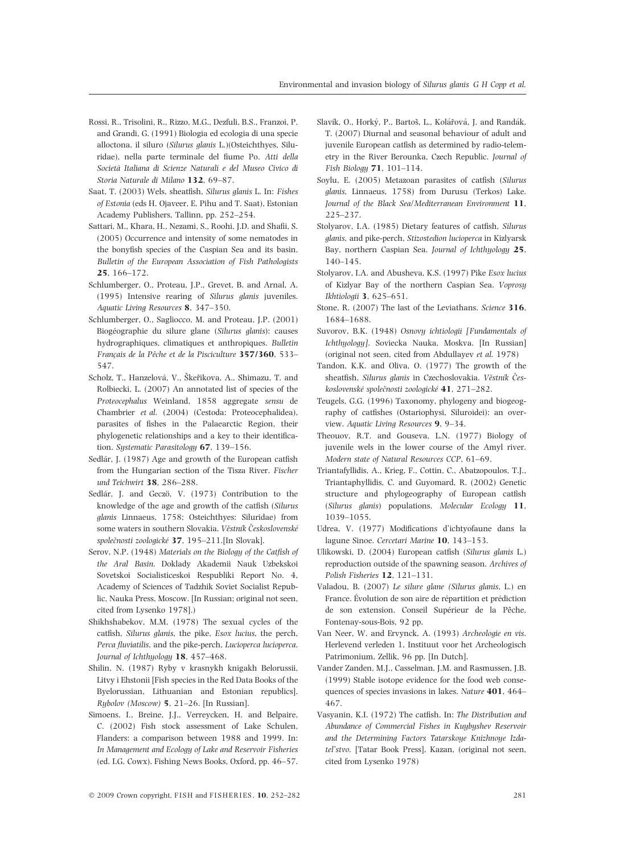- Rossi, R., Trisolini, R., Rizzo, M.G., Dezfuli, B.S., Franzoi, P. and Grandi, G. (1991) Biologia ed ecologia di una specie alloctona, il siluro (Silurus glanis L.)(Osteichthyes, Siluridae), nella parte terminale del fiume Po. Atti della Societa` Italiana di Scienze Naturali e del Museo Civico di Storia Naturale di Milano 132, 69–87.
- Saat, T. (2003) Wels, sheatfish, Silurus glanis L. In: Fishes of Estonia (eds H. Ojaveer, E. Pihu and T. Saat), Estonian Academy Publishers, Tallinn, pp. 252–254.
- Sattari, M., Khara, H., Nezami, S., Roohi, J.D. and Shafii, S. (2005) Occurrence and intensity of some nematodes in the bonyfish species of the Caspian Sea and its basin. Bulletin of the European Association of Fish Pathologists 25, 166–172.
- Schlumberger, O., Proteau, J.P., Grevet, B. and Arnal, A. (1995) Intensive rearing of Silurus glanis juveniles. Aquatic Living Resources 8, 347–350.
- Schlumberger, O., Sagliocco, M. and Proteau, J.P. (2001) Biogéographie du silure glane (Silurus glanis): causes hydrographiques, climatiques et anthropiques. Bulletin Français de la Pêche et de la Pisciculture 357/360, 533– 547.
- Scholz, T., Hanzelová, V., Škeřikova, A., Shimazu, T. and Rolbiecki, L. (2007) An annotated list of species of the Proteocephalus Weinland, 1858 aggregate sensu de Chambrier et al. (2004) (Cestoda: Proteocephalidea), parasites of fishes in the Palaearctic Region, their phylogenetic relationships and a key to their identification. Systematic Parasitology 67, 139-156.
- Sedlár, J. (1987) Age and growth of the European catfish from the Hungarian section of the Tisza River. Fischer und Teichwirt 38, 286–288.
- Sedlár, J. and Geczö, V. (1973) Contribution to the knowledge of the age and growth of the catfish (Silurus glanis Linnaeus, 1758; Osteichthyes: Siluridae) from some waters in southern Slovakia. Věstník Československé společnosti zoologické 37, 195–211.[In Slovak].
- Serov, N.P. (1948) Materials on the Biology of the Catfish of the Aral Basin. Doklady Akademii Nauk Uzbekskoi Sovetskoi Socialisticeskoi Respubliki Report No. 4, Academy of Sciences of Tadzhik Soviet Socialist Republic, Nauka Press, Moscow. [In Russian; original not seen, cited from Lysenko 1978].)
- Shikhshabekov, M.M. (1978) The sexual cycles of the catfish, Silurus glanis, the pike, Esox lucius, the perch, Perca fluviatilis, and the pike-perch, Lucioperca lucioperca. Journal of Ichthyology 18, 457–468.
- Shilin, N. (1987) Ryby v krasnykh knigakh Belorussii, Litvy i Ehstonii [Fish species in the Red Data Books of the Byelorussian, Lithuanian and Estonian republics]. Rybolov (Moscow) 5, 21–26. [In Russian].
- Simoens, I., Breine, J.J., Verreycken, H. and Belpaire, C. (2002) Fish stock assessment of Lake Schulen, Flanders: a comparison between 1988 and 1999. In: In Management and Ecology of Lake and Reservoir Fisheries (ed. I.G. Cowx). Fishing News Books, Oxford, pp. 46–57.
- Slavík, O., Horký, P., Bartoš, L., Kolářová, J. and Randák, T. (2007) Diurnal and seasonal behaviour of adult and juvenile European catfish as determined by radio-telemetry in the River Berounka, Czech Republic. Journal of Fish Biology 71, 101–114.
- Soylu, E. (2005) Metazoan parasites of catfish (Silurus glanis, Linnaeus, 1758) from Durusu (Terkos) Lake. Journal of the Black Sea/Mediterranean Environment 11, 225–237.
- Stolyarov, I.A. (1985) Dietary features of catfish, Silurus glanis, and pike-perch, Stizostedion lucioperca in Kizlyarsk Bay, northern Caspian Sea. Journal of Ichthyology 25, 140–145.
- Stolyarov, I.A. and Abusheva, K.S. (1997) Pike Esox lucius of Kizlyar Bay of the northern Caspian Sea. Voprosy Ikhtiologii 3, 625–651.
- Stone, R. (2007) The last of the Leviathans. Science 316, 1684–1688.
- Suvorov, B.K. (1948) Osnovy ichtiologii [Fundamentals of Ichthyology]. Soviecka Nauka, Moskva. [In Russian] (original not seen, cited from Abdullayev et al. 1978)
- Tandon, K.K. and Oliva, O. (1977) The growth of the sheatfish, Silurus glanis in Czechoslovakia. Věstník Československé společnosti zoologické 41, 271–282.
- Teugels, G.G. (1996) Taxonomy, phylogeny and biogeography of catfishes (Ostariophysi, Siluroidei): an overview. Aquatic Living Resources 9, 9–34.
- Theouov, R.T. and Gouseva, L.N. (1977) Biology of juvenile wels in the lower course of the Amyl river. Modern state of Natural Resources CCP, 61–69.
- Triantafyllidis, A., Krieg, F., Cottin, C., Abatzopoulos, T.J., Triantaphyllidis, C. and Guyomard, R. (2002) Genetic structure and phylogeography of European catfish (Silurus glanis) populations. Molecular Ecology 11, 1039–1055.
- Udrea, V. (1977) Modifications d'ichtyofaune dans la lagune Sinoe. Cercetari Marine 10, 143–153.
- Ulikowski, D. (2004) European catfish (Silurus glanis L.) reproduction outside of the spawning season. Archives of Polish Fisheries 12, 121–131.
- Valadou, B. (2007) Le silure glane (Silurus glanis, L.) en France. Évolution de son aire de répartition et prédiction de son extension. Conseil Supérieur de la Pêche, Fontenay-sous-Bois, 92 pp.
- Van Neer, W. and Ervynck, A. (1993) Archeologie en vis. Herlevend verleden 1, Instituut voor het Archeologisch Patrimonium, Zellik, 96 pp. [In Dutch].
- Vander Zanden, M.J., Casselman, J.M. and Rasmussen, J.B. (1999) Stable isotope evidence for the food web consequences of species invasions in lakes. Nature 401, 464– 467.
- Vasyanin, K.I. (1972) The catfish. In: The Distribution and Abundance of Commercial Fishes in Kuybyshev Reservoir and the Determining Factors Tatarskoye Knizhnoye Izdatel'stvo. [Tatar Book Press], Kazan, (original not seen, cited from Lysenko 1978)